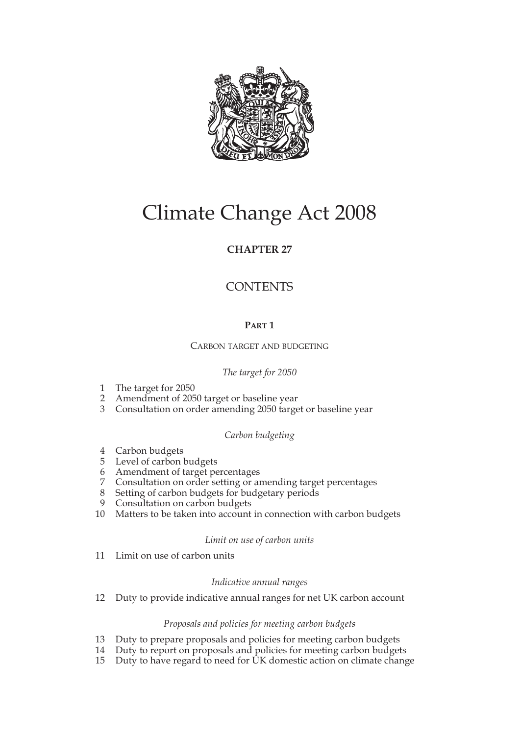

# Climate Change Act 2008

## **CHAPTER 27**

## **CONTENTS**

## **PART 1**

CARBON TARGET AND BUDGETING

## *The target for 2050*

- 1 The target for 2050
- 2 Amendment of 2050 target or baseline year
- 3 Consultation on order amending 2050 target or baseline year

## *Carbon budgeting*

- 4 Carbon budgets
- 5 Level of carbon budgets
- 6 Amendment of target percentages
- 7 Consultation on order setting or amending target percentages
- 8 Setting of carbon budgets for budgetary periods<br>9 Consultation on carbon budgets
- Consultation on carbon budgets
- 10 Matters to be taken into account in connection with carbon budgets

## *Limit on use of carbon units*

11 Limit on use of carbon units

## *Indicative annual ranges*

12 Duty to provide indicative annual ranges for net UK carbon account

## *Proposals and policies for meeting carbon budgets*

- 13 Duty to prepare proposals and policies for meeting carbon budgets
- 14 Duty to report on proposals and policies for meeting carbon budgets<br>15 Duty to have regard to need for UK domestic action on climate change
- Duty to have regard to need for UK domestic action on climate change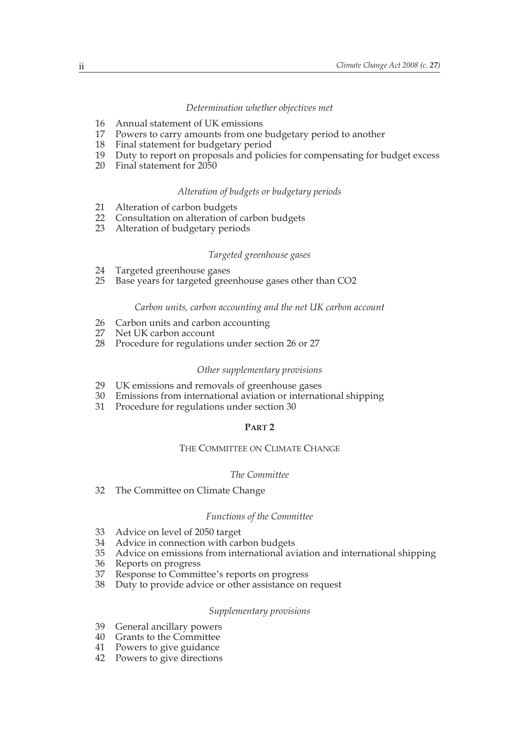#### *Determination whether objectives met*

- 16 Annual statement of UK emissions
- 17 Powers to carry amounts from one budgetary period to another
- 18 Final statement for budgetary period
- 19 Duty to report on proposals and policies for compensating for budget excess
- 20 Final statement for 2050

## *Alteration of budgets or budgetary periods*

- 21 Alteration of carbon budgets<br>22 Consultation on alteration of
- 22 Consultation on alteration of carbon budgets<br>23 Alteration of budgetary periods
- Alteration of budgetary periods

## *Targeted greenhouse gases*

- 24 Targeted greenhouse gases<br>25 Base vears for targeted gree
- Base years for targeted greenhouse gases other than CO2

#### *Carbon units, carbon accounting and the net UK carbon account*

- 26 Carbon units and carbon accounting<br>27 Net UK carbon account
- Net UK carbon account
- 28 Procedure for regulations under section 26 or 27

## *Other supplementary provisions*

- 29 UK emissions and removals of greenhouse gases
- 30 Emissions from international aviation or international shipping
- 31 Procedure for regulations under section 30

## **PART 2**

#### THE COMMITTEE ON CLIMATE CHANGE

#### *The Committee*

32 The Committee on Climate Change

#### *Functions of the Committee*

- 33 Advice on level of 2050 target
- 34 Advice in connection with carbon budgets
- 35 Advice on emissions from international aviation and international shipping
- 36 Reports on progress<br>37 Response to Commi
- 37 Response to Committee's reports on progress<br>38 Duty to provide advice or other assistance on
- Duty to provide advice or other assistance on request

#### *Supplementary provisions*

- 39 General ancillary powers
- 40 Grants to the Committee
- 41 Powers to give guidance
- 42 Powers to give directions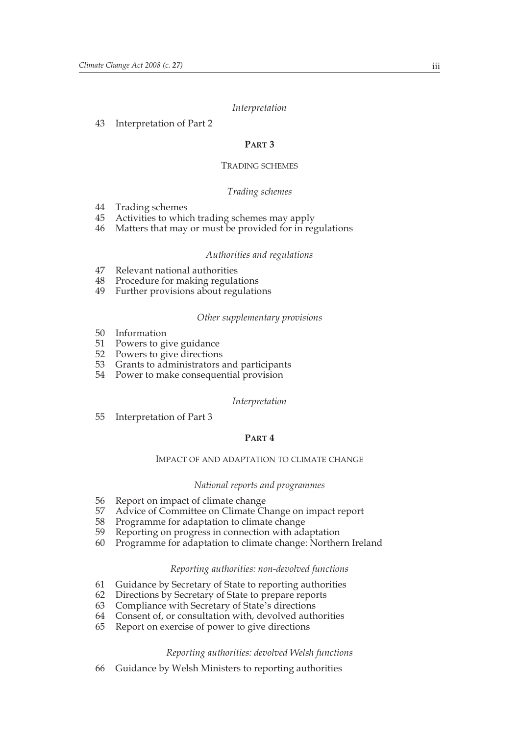#### *Interpretation*

#### 43 Interpretation of Part 2

## **PART 3**

#### TRADING SCHEMES

#### *Trading schemes*

- 44 Trading schemes
- 45 Activities to which trading schemes may apply
- 46 Matters that may or must be provided for in regulations

#### *Authorities and regulations*

- 47 Relevant national authorities
- 48 Procedure for making regulations
- 49 Further provisions about regulations

#### *Other supplementary provisions*

- 50 Information
- 51 Powers to give guidance
- 52 Powers to give directions
- 53 Grants to administrators and participants
- 54 Power to make consequential provision

#### *Interpretation*

55 Interpretation of Part 3

#### **PART 4**

#### IMPACT OF AND ADAPTATION TO CLIMATE CHANGE

#### *National reports and programmes*

- 56 Report on impact of climate change
- 57 Advice of Committee on Climate Change on impact report 58 Programme for adaptation to climate change
- 58 Programme for adaptation to climate change<br>59 Reporting on progress in connection with ad
- Reporting on progress in connection with adaptation
- 60 Programme for adaptation to climate change: Northern Ireland

#### *Reporting authorities: non-devolved functions*

- 61 Guidance by Secretary of State to reporting authorities
- 62 Directions by Secretary of State to prepare reports
- 63 Compliance with Secretary of State's directions
- Consent of, or consultation with, devolved authorities
- 65 Report on exercise of power to give directions

#### *Reporting authorities: devolved Welsh functions*

66 Guidance by Welsh Ministers to reporting authorities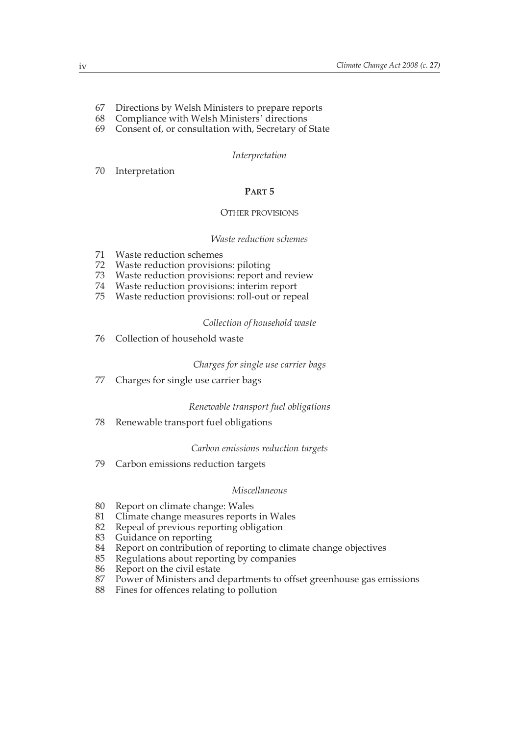- 67 Directions by Welsh Ministers to prepare reports
- 68 Compliance with Welsh Ministers' directions
- 69 Consent of, or consultation with, Secretary of State

#### *Interpretation*

#### 70 Interpretation

#### **PART 5**

#### OTHER PROVISIONS

#### *Waste reduction schemes*

- 71 Waste reduction schemes
- 72 Waste reduction provisions: piloting
- 73 Waste reduction provisions: report and review
- 74 Waste reduction provisions: interim report
- Waste reduction provisions: roll-out or repeal

### *Collection of household waste*

76 Collection of household waste

#### *Charges for single use carrier bags*

77 Charges for single use carrier bags

#### *Renewable transport fuel obligations*

78 Renewable transport fuel obligations

#### *Carbon emissions reduction targets*

79 Carbon emissions reduction targets

#### *Miscellaneous*

- 80 Report on climate change: Wales
- 81 Climate change measures reports in Wales<br>82 Repeal of previous reporting obligation
- 82 Repeal of previous reporting obligation<br>83 Guidance on reporting
- 83 Guidance on reporting<br>84 Report on contribution
- 84 Report on contribution of reporting to climate change objectives<br>85 Regulations about reporting by companies
- 85 Regulations about reporting by companies<br>86 Report on the civil estate
- 86 Report on the civil estate<br>87 Power of Ministers and d
- Power of Ministers and departments to offset greenhouse gas emissions
- 88 Fines for offences relating to pollution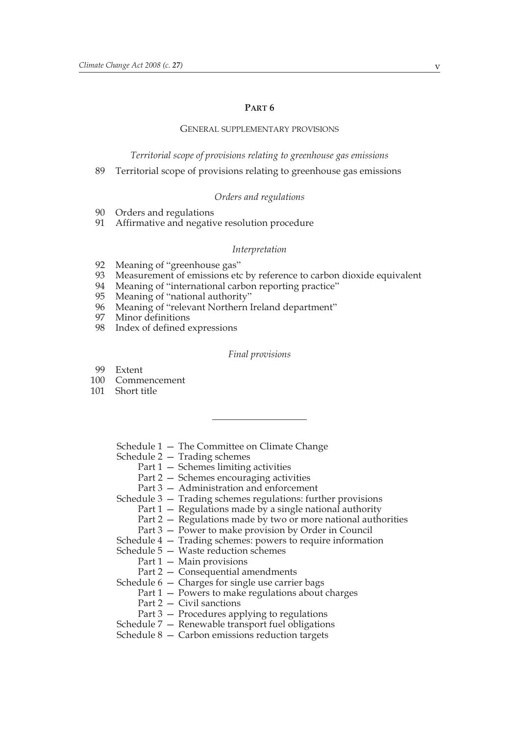#### **PART 6**

#### GENERAL SUPPLEMENTARY PROVISIONS

*Territorial scope of provisions relating to greenhouse gas emissions*

89 Territorial scope of provisions relating to greenhouse gas emissions

#### *Orders and regulations*

- 90 Orders and regulations
- 91 Affirmative and negative resolution procedure

#### *Interpretation*

- 92 Meaning of "greenhouse gas"
- 93 Measurement of emissions etc by reference to carbon dioxide equivalent
- 94 Meaning of "international carbon reporting practice"<br>95 Meaning of "national authority"
- 95 Meaning of "national authority"<br>96 Meaning of "relevant Northern I
- 96 Meaning of "relevant Northern Ireland department"<br>97 Minor definitions
- Minor definitions
- 98 Index of defined expressions

#### *Final provisions*

- 99 Extent
- 100 Commencement
- 101 Short title
	- Schedule 1 The Committee on Climate Change
	- Schedule 2 Trading schemes
		- Part 1 Schemes limiting activities
		- Part 2 Schemes encouraging activities
		- Part 3 Administration and enforcement
	- Schedule 3 Trading schemes regulations: further provisions
		- Part 1 Regulations made by a single national authority
		- Part 2 Regulations made by two or more national authorities
		- Part 3 Power to make provision by Order in Council
	- Schedule 4 Trading schemes: powers to require information
	- Schedule 5 Waste reduction schemes
		- Part 1 Main provisions
		- Part 2 Consequential amendments
	- Schedule 6 Charges for single use carrier bags
		- Part 1 Powers to make regulations about charges
			- Part 2 Civil sanctions
			- Part 3 Procedures applying to regulations
	- Schedule 7 Renewable transport fuel obligations
	- Schedule 8 Carbon emissions reduction targets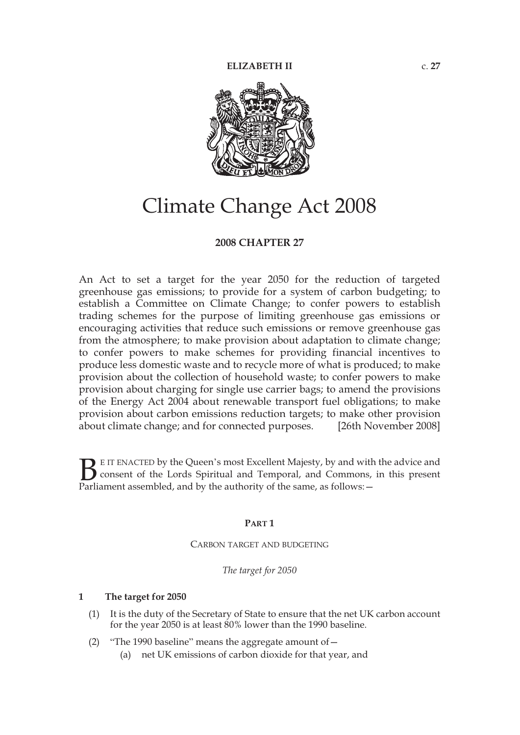

# Climate Change Act 2008

## **2008 CHAPTER 27**

An Act to set a target for the year 2050 for the reduction of targeted greenhouse gas emissions; to provide for a system of carbon budgeting; to establish a Committee on Climate Change; to confer powers to establish trading schemes for the purpose of limiting greenhouse gas emissions or encouraging activities that reduce such emissions or remove greenhouse gas from the atmosphere; to make provision about adaptation to climate change; to confer powers to make schemes for providing financial incentives to produce less domestic waste and to recycle more of what is produced; to make provision about the collection of household waste; to confer powers to make provision about charging for single use carrier bags; to amend the provisions of the Energy Act 2004 about renewable transport fuel obligations; to make provision about carbon emissions reduction targets; to make other provision about climate change; and for connected purposes. [26th November 2008]

E IT ENACTED by the Queen's most Excellent Majesty, by and with the advice and consent of the Lords Spiritual and Temporal, and Commons, in this present **B** E IT ENACTED by the Queen's most Excellent Majesty, by and with consent of the Lords Spiritual and Temporal, and Commons, Parliament assembled, and by the authority of the same, as follows:  $-$ 

#### **PART 1**

CARBON TARGET AND BUDGETING

*The target for 2050*

## **1 The target for 2050**

- (1) It is the duty of the Secretary of State to ensure that the net UK carbon account for the year 2050 is at least 80% lower than the 1990 baseline.
- (2) "The 1990 baseline" means the aggregate amount of— (a) net UK emissions of carbon dioxide for that year, and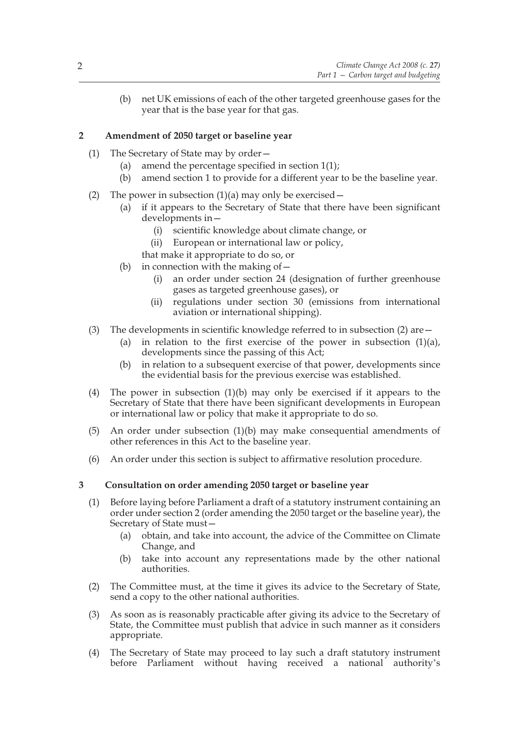(b) net UK emissions of each of the other targeted greenhouse gases for the year that is the base year for that gas.

## **2 Amendment of 2050 target or baseline year**

- (1) The Secretary of State may by order—
	- (a) amend the percentage specified in section  $1(1)$ ;
	- (b) amend section 1 to provide for a different year to be the baseline year.
- (2) The power in subsection  $(1)(a)$  may only be exercised
	- (a) if it appears to the Secretary of State that there have been significant developments in—
		- (i) scientific knowledge about climate change, or
		- (ii) European or international law or policy,
		- that make it appropriate to do so, or
	- (b) in connection with the making of  $$ 
		- an order under section 24 (designation of further greenhouse gases as targeted greenhouse gases), or
		- (ii) regulations under section 30 (emissions from international aviation or international shipping).
- (3) The developments in scientific knowledge referred to in subsection (2) are—
	- (a) in relation to the first exercise of the power in subsection  $(1)(a)$ , developments since the passing of this Act;
	- (b) in relation to a subsequent exercise of that power, developments since the evidential basis for the previous exercise was established.
- (4) The power in subsection (1)(b) may only be exercised if it appears to the Secretary of State that there have been significant developments in European or international law or policy that make it appropriate to do so.
- (5) An order under subsection (1)(b) may make consequential amendments of other references in this Act to the baseline year.
- (6) An order under this section is subject to affirmative resolution procedure.

## **3 Consultation on order amending 2050 target or baseline year**

- (1) Before laying before Parliament a draft of a statutory instrument containing an order under section 2 (order amending the 2050 target or the baseline year), the Secretary of State must—
	- (a) obtain, and take into account, the advice of the Committee on Climate Change, and
	- (b) take into account any representations made by the other national authorities.
- (2) The Committee must, at the time it gives its advice to the Secretary of State, send a copy to the other national authorities.
- (3) As soon as is reasonably practicable after giving its advice to the Secretary of State, the Committee must publish that advice in such manner as it considers appropriate.
- (4) The Secretary of State may proceed to lay such a draft statutory instrument before Parliament without having received a national authority's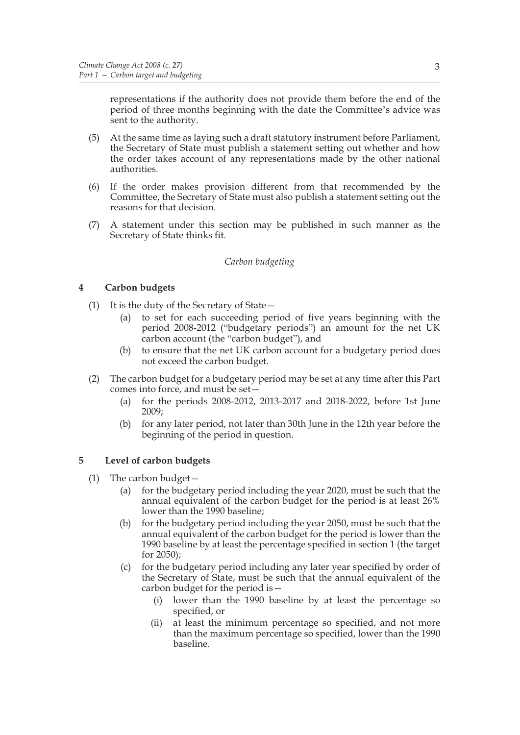representations if the authority does not provide them before the end of the period of three months beginning with the date the Committee's advice was sent to the authority.

- (5) At the same time as laying such a draft statutory instrument before Parliament, the Secretary of State must publish a statement setting out whether and how the order takes account of any representations made by the other national authorities.
- (6) If the order makes provision different from that recommended by the Committee, the Secretary of State must also publish a statement setting out the reasons for that decision.
- (7) A statement under this section may be published in such manner as the Secretary of State thinks fit.

## *Carbon budgeting*

## **4 Carbon budgets**

- (1) It is the duty of the Secretary of State—
	- (a) to set for each succeeding period of five years beginning with the period 2008-2012 ("budgetary periods") an amount for the net UK carbon account (the "carbon budget"), and
	- (b) to ensure that the net UK carbon account for a budgetary period does not exceed the carbon budget.
- (2) The carbon budget for a budgetary period may be set at any time after this Part comes into force, and must be set—
	- (a) for the periods 2008-2012, 2013-2017 and 2018-2022, before 1st June 2009;
	- (b) for any later period, not later than 30th June in the 12th year before the beginning of the period in question.

## **5 Level of carbon budgets**

- (1) The carbon budget—
	- (a) for the budgetary period including the year 2020, must be such that the annual equivalent of the carbon budget for the period is at least 26% lower than the 1990 baseline;
	- (b) for the budgetary period including the year 2050, must be such that the annual equivalent of the carbon budget for the period is lower than the 1990 baseline by at least the percentage specified in section 1 (the target for 2050);
	- (c) for the budgetary period including any later year specified by order of the Secretary of State, must be such that the annual equivalent of the carbon budget for the period is—
		- (i) lower than the 1990 baseline by at least the percentage so specified, or
		- (ii) at least the minimum percentage so specified, and not more than the maximum percentage so specified, lower than the 1990 baseline.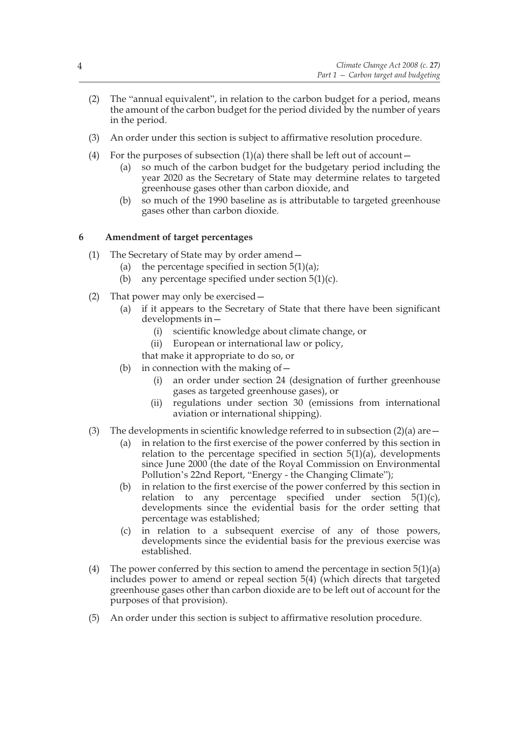- (2) The "annual equivalent", in relation to the carbon budget for a period, means the amount of the carbon budget for the period divided by the number of years in the period.
- (3) An order under this section is subject to affirmative resolution procedure.
- (4) For the purposes of subsection  $(1)(a)$  there shall be left out of account -
	- (a) so much of the carbon budget for the budgetary period including the year 2020 as the Secretary of State may determine relates to targeted greenhouse gases other than carbon dioxide, and
	- (b) so much of the 1990 baseline as is attributable to targeted greenhouse gases other than carbon dioxide.

## **6 Amendment of target percentages**

- (1) The Secretary of State may by order amend—
	- (a) the percentage specified in section  $5(1)(a)$ ;
	- (b) any percentage specified under section  $5(1)(c)$ .
- (2) That power may only be exercised—
	- (a) if it appears to the Secretary of State that there have been significant developments in—
		- (i) scientific knowledge about climate change, or
		- (ii) European or international law or policy,

that make it appropriate to do so, or

- (b) in connection with the making of  $-$ 
	- (i) an order under section 24 (designation of further greenhouse gases as targeted greenhouse gases), or
	- (ii) regulations under section 30 (emissions from international aviation or international shipping).
- (3) The developments in scientific knowledge referred to in subsection  $(2)(a)$  are  $-$ 
	- (a) in relation to the first exercise of the power conferred by this section in relation to the percentage specified in section  $5(1)(a)$ , developments since June 2000 (the date of the Royal Commission on Environmental Pollution's 22nd Report, "Energy - the Changing Climate");
	- (b) in relation to the first exercise of the power conferred by this section in relation to any percentage specified under section  $5(1)(c)$ , developments since the evidential basis for the order setting that percentage was established;
	- (c) in relation to a subsequent exercise of any of those powers, developments since the evidential basis for the previous exercise was established.
- (4) The power conferred by this section to amend the percentage in section  $5(1)(a)$ includes power to amend or repeal section 5(4) (which directs that targeted greenhouse gases other than carbon dioxide are to be left out of account for the purposes of that provision).
- (5) An order under this section is subject to affirmative resolution procedure.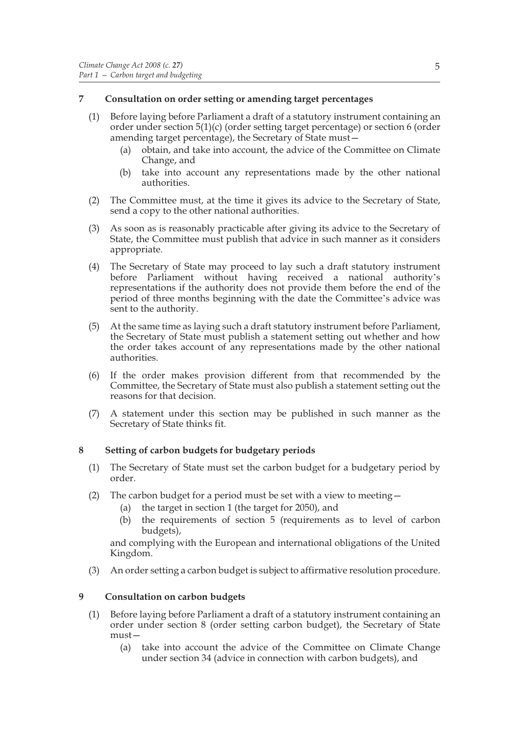## **7 Consultation on order setting or amending target percentages**

- (1) Before laying before Parliament a draft of a statutory instrument containing an order under section 5(1)(c) (order setting target percentage) or section 6 (order amending target percentage), the Secretary of State must—
	- (a) obtain, and take into account, the advice of the Committee on Climate Change, and
	- (b) take into account any representations made by the other national authorities.
- (2) The Committee must, at the time it gives its advice to the Secretary of State, send a copy to the other national authorities.
- (3) As soon as is reasonably practicable after giving its advice to the Secretary of State, the Committee must publish that advice in such manner as it considers appropriate.
- (4) The Secretary of State may proceed to lay such a draft statutory instrument before Parliament without having received a national authority's representations if the authority does not provide them before the end of the period of three months beginning with the date the Committee's advice was sent to the authority.
- (5) At the same time as laying such a draft statutory instrument before Parliament, the Secretary of State must publish a statement setting out whether and how the order takes account of any representations made by the other national authorities.
- (6) If the order makes provision different from that recommended by the Committee, the Secretary of State must also publish a statement setting out the reasons for that decision.
- (7) A statement under this section may be published in such manner as the Secretary of State thinks fit.

## **8 Setting of carbon budgets for budgetary periods**

- (1) The Secretary of State must set the carbon budget for a budgetary period by order.
- (2) The carbon budget for a period must be set with a view to meeting—
	- (a) the target in section 1 (the target for 2050), and
	- (b) the requirements of section 5 (requirements as to level of carbon budgets),

and complying with the European and international obligations of the United Kingdom.

(3) An order setting a carbon budget is subject to affirmative resolution procedure.

## **9 Consultation on carbon budgets**

- (1) Before laying before Parliament a draft of a statutory instrument containing an order under section 8 (order setting carbon budget), the Secretary of State must—
	- (a) take into account the advice of the Committee on Climate Change under section 34 (advice in connection with carbon budgets), and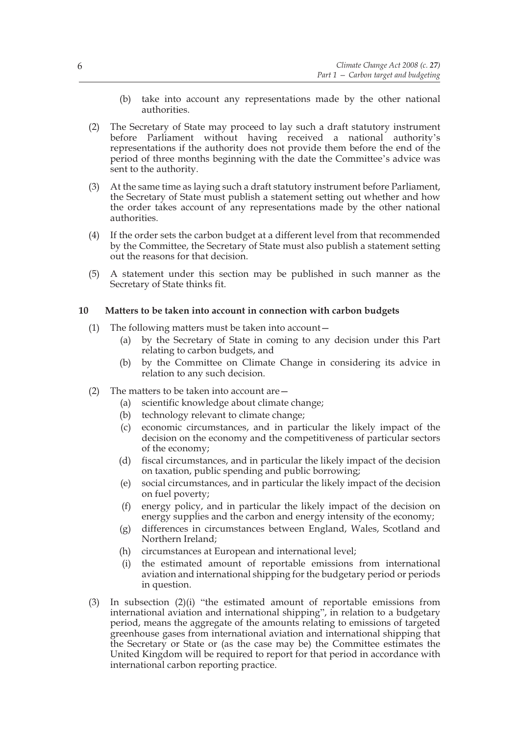- (b) take into account any representations made by the other national authorities.
- (2) The Secretary of State may proceed to lay such a draft statutory instrument before Parliament without having received a national authority's representations if the authority does not provide them before the end of the period of three months beginning with the date the Committee's advice was sent to the authority.
- (3) At the same time as laying such a draft statutory instrument before Parliament, the Secretary of State must publish a statement setting out whether and how the order takes account of any representations made by the other national authorities.
- (4) If the order sets the carbon budget at a different level from that recommended by the Committee, the Secretary of State must also publish a statement setting out the reasons for that decision.
- (5) A statement under this section may be published in such manner as the Secretary of State thinks fit.

## **10 Matters to be taken into account in connection with carbon budgets**

- (1) The following matters must be taken into account—
	- (a) by the Secretary of State in coming to any decision under this Part relating to carbon budgets, and
	- (b) by the Committee on Climate Change in considering its advice in relation to any such decision.
- (2) The matters to be taken into account are  $-$ 
	- (a) scientific knowledge about climate change;
	- (b) technology relevant to climate change;
	- (c) economic circumstances, and in particular the likely impact of the decision on the economy and the competitiveness of particular sectors of the economy;
	- (d) fiscal circumstances, and in particular the likely impact of the decision on taxation, public spending and public borrowing;
	- (e) social circumstances, and in particular the likely impact of the decision on fuel poverty;
	- (f) energy policy, and in particular the likely impact of the decision on energy supplies and the carbon and energy intensity of the economy;
	- (g) differences in circumstances between England, Wales, Scotland and Northern Ireland;
	- (h) circumstances at European and international level;
	- (i) the estimated amount of reportable emissions from international aviation and international shipping for the budgetary period or periods in question.
- (3) In subsection (2)(i) "the estimated amount of reportable emissions from international aviation and international shipping", in relation to a budgetary period, means the aggregate of the amounts relating to emissions of targeted greenhouse gases from international aviation and international shipping that the Secretary or State or (as the case may be) the Committee estimates the United Kingdom will be required to report for that period in accordance with international carbon reporting practice.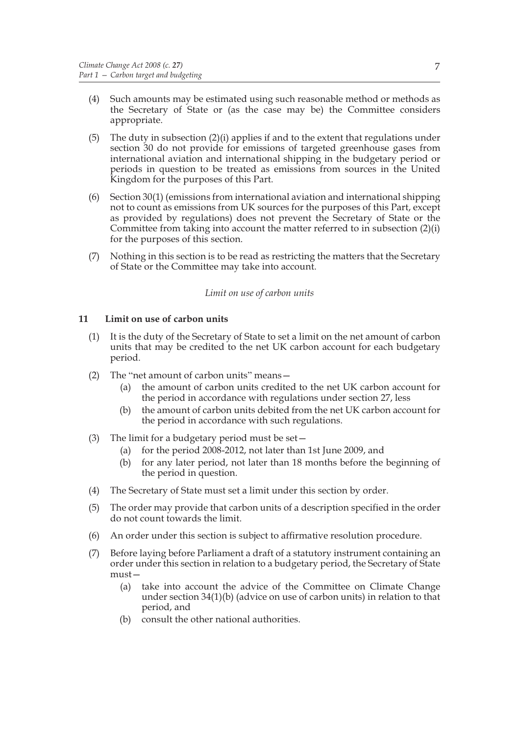- (4) Such amounts may be estimated using such reasonable method or methods as the Secretary of State or (as the case may be) the Committee considers appropriate.
- (5) The duty in subsection (2)(i) applies if and to the extent that regulations under section 30 do not provide for emissions of targeted greenhouse gases from international aviation and international shipping in the budgetary period or periods in question to be treated as emissions from sources in the United Kingdom for the purposes of this Part.
- (6) Section 30(1) (emissions from international aviation and international shipping not to count as emissions from UK sources for the purposes of this Part, except as provided by regulations) does not prevent the Secretary of State or the Committee from taking into account the matter referred to in subsection (2)(i) for the purposes of this section.
- (7) Nothing in this section is to be read as restricting the matters that the Secretary of State or the Committee may take into account.

## *Limit on use of carbon units*

## **11 Limit on use of carbon units**

- (1) It is the duty of the Secretary of State to set a limit on the net amount of carbon units that may be credited to the net UK carbon account for each budgetary period.
- (2) The "net amount of carbon units" means—
	- (a) the amount of carbon units credited to the net UK carbon account for the period in accordance with regulations under section 27, less
	- (b) the amount of carbon units debited from the net UK carbon account for the period in accordance with such regulations.
- (3) The limit for a budgetary period must be set—
	- (a) for the period 2008-2012, not later than 1st June 2009, and
	- (b) for any later period, not later than 18 months before the beginning of the period in question.
- (4) The Secretary of State must set a limit under this section by order.
- (5) The order may provide that carbon units of a description specified in the order do not count towards the limit.
- (6) An order under this section is subject to affirmative resolution procedure.
- (7) Before laying before Parliament a draft of a statutory instrument containing an order under this section in relation to a budgetary period, the Secretary of State must—
	- (a) take into account the advice of the Committee on Climate Change under section 34(1)(b) (advice on use of carbon units) in relation to that period, and
	- (b) consult the other national authorities.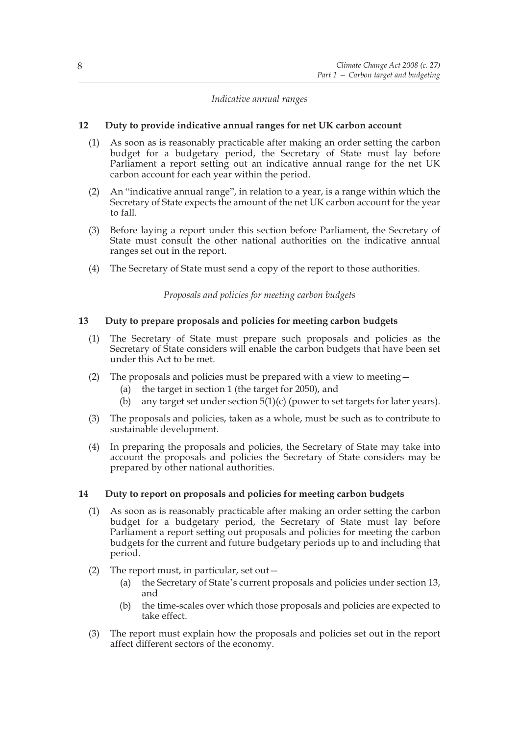## *Indicative annual ranges*

## **12 Duty to provide indicative annual ranges for net UK carbon account**

- (1) As soon as is reasonably practicable after making an order setting the carbon budget for a budgetary period, the Secretary of State must lay before Parliament a report setting out an indicative annual range for the net UK carbon account for each year within the period.
- (2) An "indicative annual range", in relation to a year, is a range within which the Secretary of State expects the amount of the net UK carbon account for the year to fall.
- (3) Before laying a report under this section before Parliament, the Secretary of State must consult the other national authorities on the indicative annual ranges set out in the report.
- (4) The Secretary of State must send a copy of the report to those authorities.

*Proposals and policies for meeting carbon budgets*

## **13 Duty to prepare proposals and policies for meeting carbon budgets**

- (1) The Secretary of State must prepare such proposals and policies as the Secretary of State considers will enable the carbon budgets that have been set under this Act to be met.
- (2) The proposals and policies must be prepared with a view to meeting—
	- (a) the target in section 1 (the target for 2050), and
	- (b) any target set under section  $5(1)(c)$  (power to set targets for later years).
- (3) The proposals and policies, taken as a whole, must be such as to contribute to sustainable development.
- (4) In preparing the proposals and policies, the Secretary of State may take into account the proposals and policies the Secretary of State considers may be prepared by other national authorities.

## **14 Duty to report on proposals and policies for meeting carbon budgets**

- (1) As soon as is reasonably practicable after making an order setting the carbon budget for a budgetary period, the Secretary of State must lay before Parliament a report setting out proposals and policies for meeting the carbon budgets for the current and future budgetary periods up to and including that period.
- (2) The report must, in particular, set out—
	- (a) the Secretary of State's current proposals and policies under section 13, and
	- (b) the time-scales over which those proposals and policies are expected to take effect.
- (3) The report must explain how the proposals and policies set out in the report affect different sectors of the economy.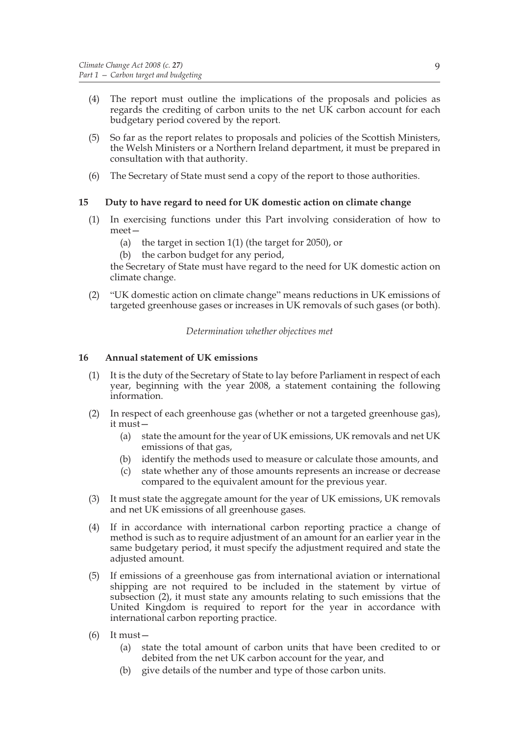- (4) The report must outline the implications of the proposals and policies as regards the crediting of carbon units to the net UK carbon account for each budgetary period covered by the report.
- (5) So far as the report relates to proposals and policies of the Scottish Ministers, the Welsh Ministers or a Northern Ireland department, it must be prepared in consultation with that authority.
- (6) The Secretary of State must send a copy of the report to those authorities.

## **15 Duty to have regard to need for UK domestic action on climate change**

- (1) In exercising functions under this Part involving consideration of how to meet—
	- (a) the target in section 1(1) (the target for 2050), or
	- (b) the carbon budget for any period,

the Secretary of State must have regard to the need for UK domestic action on climate change.

(2) "UK domestic action on climate change" means reductions in UK emissions of targeted greenhouse gases or increases in UK removals of such gases (or both).

## *Determination whether objectives met*

## **16 Annual statement of UK emissions**

- (1) It is the duty of the Secretary of State to lay before Parliament in respect of each year, beginning with the year 2008, a statement containing the following information.
- (2) In respect of each greenhouse gas (whether or not a targeted greenhouse gas), it must—
	- (a) state the amount for the year of UK emissions, UK removals and net UK emissions of that gas,
	- (b) identify the methods used to measure or calculate those amounts, and
	- (c) state whether any of those amounts represents an increase or decrease compared to the equivalent amount for the previous year.
- (3) It must state the aggregate amount for the year of UK emissions, UK removals and net UK emissions of all greenhouse gases.
- (4) If in accordance with international carbon reporting practice a change of method is such as to require adjustment of an amount for an earlier year in the same budgetary period, it must specify the adjustment required and state the adjusted amount.
- (5) If emissions of a greenhouse gas from international aviation or international shipping are not required to be included in the statement by virtue of subsection (2), it must state any amounts relating to such emissions that the United Kingdom is required to report for the year in accordance with international carbon reporting practice.
- (6) It must—
	- (a) state the total amount of carbon units that have been credited to or debited from the net UK carbon account for the year, and
	- (b) give details of the number and type of those carbon units.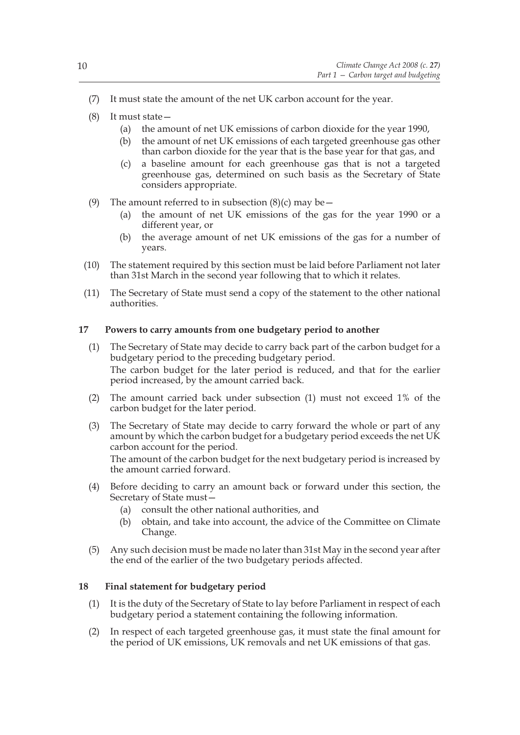- (7) It must state the amount of the net UK carbon account for the year.
- (8) It must state—
	- (a) the amount of net UK emissions of carbon dioxide for the year 1990,
	- (b) the amount of net UK emissions of each targeted greenhouse gas other than carbon dioxide for the year that is the base year for that gas, and
	- (c) a baseline amount for each greenhouse gas that is not a targeted greenhouse gas, determined on such basis as the Secretary of State considers appropriate.
- (9) The amount referred to in subsection  $(8)(c)$  may be  $-$ 
	- (a) the amount of net UK emissions of the gas for the year 1990 or a different year, or
	- (b) the average amount of net UK emissions of the gas for a number of years.
- (10) The statement required by this section must be laid before Parliament not later than 31st March in the second year following that to which it relates.
- (11) The Secretary of State must send a copy of the statement to the other national authorities.

## **17 Powers to carry amounts from one budgetary period to another**

- (1) The Secretary of State may decide to carry back part of the carbon budget for a budgetary period to the preceding budgetary period. The carbon budget for the later period is reduced, and that for the earlier period increased, by the amount carried back.
- (2) The amount carried back under subsection (1) must not exceed 1% of the carbon budget for the later period.
- (3) The Secretary of State may decide to carry forward the whole or part of any amount by which the carbon budget for a budgetary period exceeds the net UK carbon account for the period.

The amount of the carbon budget for the next budgetary period is increased by the amount carried forward.

- (4) Before deciding to carry an amount back or forward under this section, the Secretary of State must—
	- (a) consult the other national authorities, and
	- (b) obtain, and take into account, the advice of the Committee on Climate Change.
- (5) Any such decision must be made no later than 31st May in the second year after the end of the earlier of the two budgetary periods affected.

## **18 Final statement for budgetary period**

- (1) It is the duty of the Secretary of State to lay before Parliament in respect of each budgetary period a statement containing the following information.
- (2) In respect of each targeted greenhouse gas, it must state the final amount for the period of UK emissions, UK removals and net UK emissions of that gas.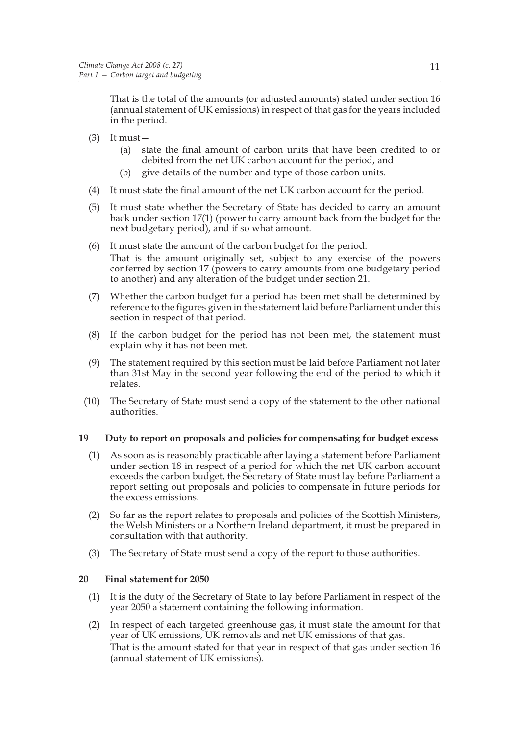That is the total of the amounts (or adjusted amounts) stated under section 16 (annual statement of UK emissions) in respect of that gas for the years included in the period.

- (3) It must—
	- (a) state the final amount of carbon units that have been credited to or debited from the net UK carbon account for the period, and
	- (b) give details of the number and type of those carbon units.
- (4) It must state the final amount of the net UK carbon account for the period.
- (5) It must state whether the Secretary of State has decided to carry an amount back under section 17(1) (power to carry amount back from the budget for the next budgetary period), and if so what amount.
- (6) It must state the amount of the carbon budget for the period. That is the amount originally set, subject to any exercise of the powers conferred by section 17 (powers to carry amounts from one budgetary period to another) and any alteration of the budget under section 21.
- (7) Whether the carbon budget for a period has been met shall be determined by reference to the figures given in the statement laid before Parliament under this section in respect of that period.
- (8) If the carbon budget for the period has not been met, the statement must explain why it has not been met.
- (9) The statement required by this section must be laid before Parliament not later than 31st May in the second year following the end of the period to which it relates.
- (10) The Secretary of State must send a copy of the statement to the other national authorities.

## **19 Duty to report on proposals and policies for compensating for budget excess**

- (1) As soon as is reasonably practicable after laying a statement before Parliament under section 18 in respect of a period for which the net UK carbon account exceeds the carbon budget, the Secretary of State must lay before Parliament a report setting out proposals and policies to compensate in future periods for the excess emissions.
- (2) So far as the report relates to proposals and policies of the Scottish Ministers, the Welsh Ministers or a Northern Ireland department, it must be prepared in consultation with that authority.
- (3) The Secretary of State must send a copy of the report to those authorities.

## **20 Final statement for 2050**

- (1) It is the duty of the Secretary of State to lay before Parliament in respect of the year 2050 a statement containing the following information.
- (2) In respect of each targeted greenhouse gas, it must state the amount for that year of UK emissions, UK removals and net UK emissions of that gas. That is the amount stated for that year in respect of that gas under section 16 (annual statement of UK emissions).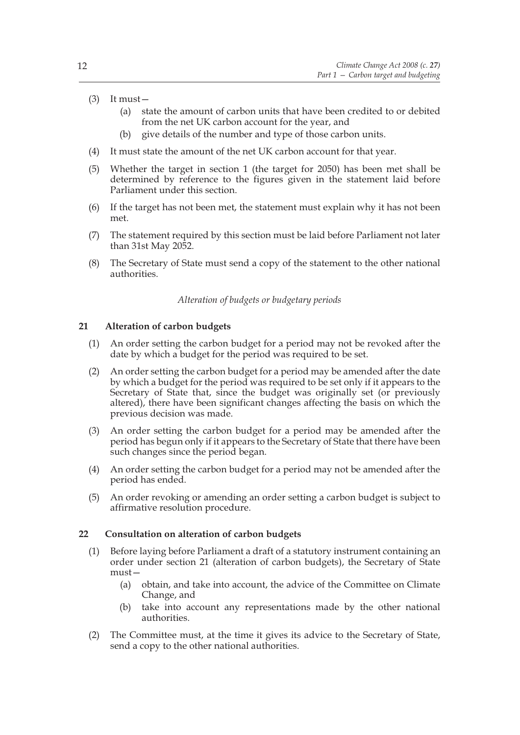- $(3)$  It must
	- (a) state the amount of carbon units that have been credited to or debited from the net UK carbon account for the year, and
	- (b) give details of the number and type of those carbon units.
- (4) It must state the amount of the net UK carbon account for that year.
- (5) Whether the target in section 1 (the target for 2050) has been met shall be determined by reference to the figures given in the statement laid before Parliament under this section.
- (6) If the target has not been met, the statement must explain why it has not been met.
- (7) The statement required by this section must be laid before Parliament not later than 31st May 2052.
- (8) The Secretary of State must send a copy of the statement to the other national authorities.

#### *Alteration of budgets or budgetary periods*

#### **21 Alteration of carbon budgets**

- (1) An order setting the carbon budget for a period may not be revoked after the date by which a budget for the period was required to be set.
- (2) An order setting the carbon budget for a period may be amended after the date by which a budget for the period was required to be set only if it appears to the Secretary of State that, since the budget was originally set (or previously altered), there have been significant changes affecting the basis on which the previous decision was made.
- (3) An order setting the carbon budget for a period may be amended after the period has begun only if it appears to the Secretary of State that there have been such changes since the period began.
- (4) An order setting the carbon budget for a period may not be amended after the period has ended.
- (5) An order revoking or amending an order setting a carbon budget is subject to affirmative resolution procedure.

#### **22 Consultation on alteration of carbon budgets**

- (1) Before laying before Parliament a draft of a statutory instrument containing an order under section 21 (alteration of carbon budgets), the Secretary of State must—
	- (a) obtain, and take into account, the advice of the Committee on Climate Change, and
	- (b) take into account any representations made by the other national authorities.
- (2) The Committee must, at the time it gives its advice to the Secretary of State, send a copy to the other national authorities.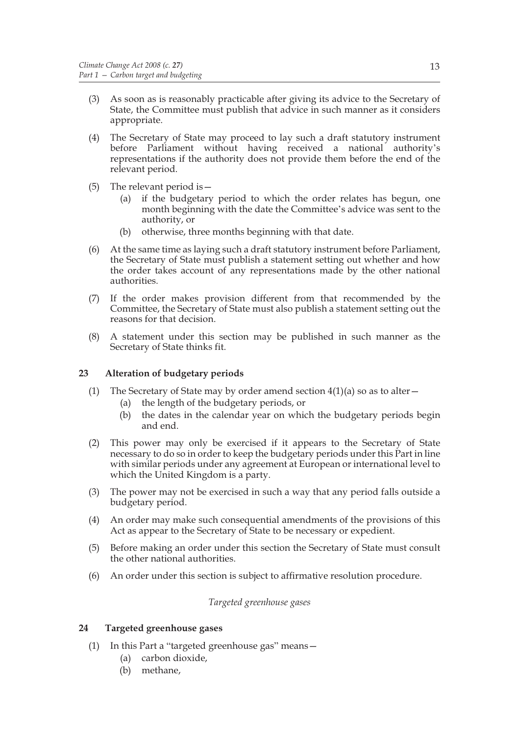- (3) As soon as is reasonably practicable after giving its advice to the Secretary of State, the Committee must publish that advice in such manner as it considers appropriate.
- (4) The Secretary of State may proceed to lay such a draft statutory instrument before Parliament without having received a national authority's representations if the authority does not provide them before the end of the relevant period.
- (5) The relevant period is—
	- (a) if the budgetary period to which the order relates has begun, one month beginning with the date the Committee's advice was sent to the authority, or
	- (b) otherwise, three months beginning with that date.
- (6) At the same time as laying such a draft statutory instrument before Parliament, the Secretary of State must publish a statement setting out whether and how the order takes account of any representations made by the other national authorities.
- (7) If the order makes provision different from that recommended by the Committee, the Secretary of State must also publish a statement setting out the reasons for that decision.
- (8) A statement under this section may be published in such manner as the Secretary of State thinks fit.

## **23 Alteration of budgetary periods**

- (1) The Secretary of State may by order amend section  $4(1)(a)$  so as to alter
	- (a) the length of the budgetary periods, or
	- (b) the dates in the calendar year on which the budgetary periods begin and end.
- (2) This power may only be exercised if it appears to the Secretary of State necessary to do so in order to keep the budgetary periods under this Part in line with similar periods under any agreement at European or international level to which the United Kingdom is a party.
- (3) The power may not be exercised in such a way that any period falls outside a budgetary period.
- (4) An order may make such consequential amendments of the provisions of this Act as appear to the Secretary of State to be necessary or expedient.
- (5) Before making an order under this section the Secretary of State must consult the other national authorities.
- (6) An order under this section is subject to affirmative resolution procedure.

*Targeted greenhouse gases*

## **24 Targeted greenhouse gases**

- (1) In this Part a "targeted greenhouse gas" means—
	- (a) carbon dioxide,
	- (b) methane,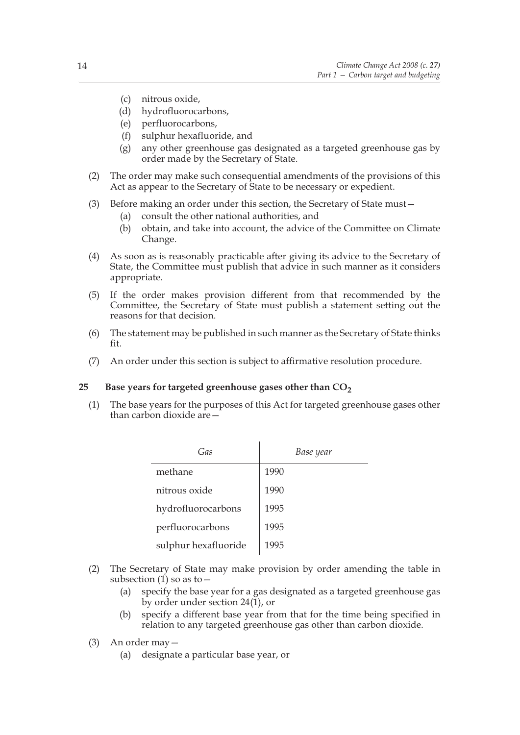- (c) nitrous oxide,
- (d) hydrofluorocarbons,
- (e) perfluorocarbons,
- (f) sulphur hexafluoride, and
- (g) any other greenhouse gas designated as a targeted greenhouse gas by order made by the Secretary of State.
- (2) The order may make such consequential amendments of the provisions of this Act as appear to the Secretary of State to be necessary or expedient.
- (3) Before making an order under this section, the Secretary of State must—
	- (a) consult the other national authorities, and
	- (b) obtain, and take into account, the advice of the Committee on Climate Change.
- (4) As soon as is reasonably practicable after giving its advice to the Secretary of State, the Committee must publish that advice in such manner as it considers appropriate.
- (5) If the order makes provision different from that recommended by the Committee, the Secretary of State must publish a statement setting out the reasons for that decision.
- (6) The statement may be published in such manner as the Secretary of State thinks fit.
- (7) An order under this section is subject to affirmative resolution procedure.

## 25 Base years for targeted greenhouse gases other than  $CO<sub>2</sub>$

(1) The base years for the purposes of this Act for targeted greenhouse gases other than carbon dioxide are—

| Gas                  | Base year |
|----------------------|-----------|
| methane              | 1990      |
| nitrous oxide        | 1990      |
| hydrofluorocarbons   | 1995      |
| perfluorocarbons     | 1995      |
| sulphur hexafluoride | 1995      |

- (2) The Secretary of State may make provision by order amending the table in subsection  $(1)$  so as to  $-$ 
	- (a) specify the base year for a gas designated as a targeted greenhouse gas by order under section 24(1), or
	- (b) specify a different base year from that for the time being specified in relation to any targeted greenhouse gas other than carbon dioxide.
- (3) An order may—
	- (a) designate a particular base year, or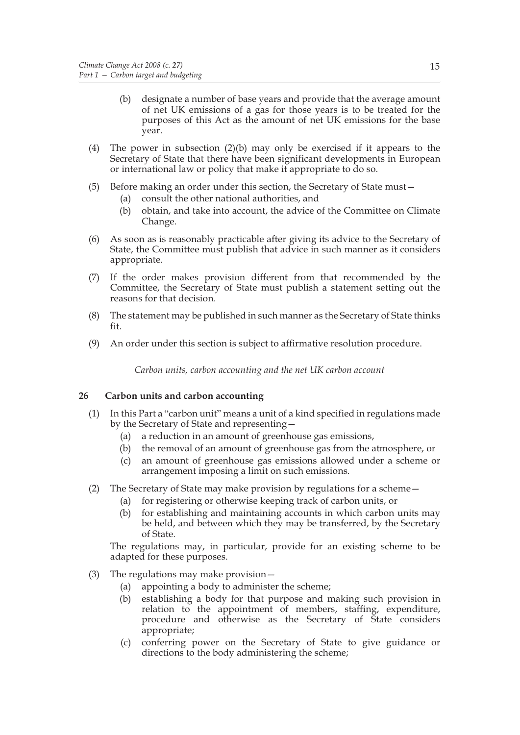- (b) designate a number of base years and provide that the average amount of net UK emissions of a gas for those years is to be treated for the purposes of this Act as the amount of net UK emissions for the base year.
- (4) The power in subsection (2)(b) may only be exercised if it appears to the Secretary of State that there have been significant developments in European or international law or policy that make it appropriate to do so.
- (5) Before making an order under this section, the Secretary of State must—
	- (a) consult the other national authorities, and
	- (b) obtain, and take into account, the advice of the Committee on Climate Change.
- (6) As soon as is reasonably practicable after giving its advice to the Secretary of State, the Committee must publish that advice in such manner as it considers appropriate.
- (7) If the order makes provision different from that recommended by the Committee, the Secretary of State must publish a statement setting out the reasons for that decision.
- (8) The statement may be published in such manner as the Secretary of State thinks fit.
- (9) An order under this section is subject to affirmative resolution procedure.

*Carbon units, carbon accounting and the net UK carbon account*

## **26 Carbon units and carbon accounting**

- (1) In this Part a "carbon unit" means a unit of a kind specified in regulations made by the Secretary of State and representing—
	- (a) a reduction in an amount of greenhouse gas emissions,
	- (b) the removal of an amount of greenhouse gas from the atmosphere, or
	- (c) an amount of greenhouse gas emissions allowed under a scheme or arrangement imposing a limit on such emissions.
- (2) The Secretary of State may make provision by regulations for a scheme—
	- (a) for registering or otherwise keeping track of carbon units, or
	- (b) for establishing and maintaining accounts in which carbon units may be held, and between which they may be transferred, by the Secretary of State.

The regulations may, in particular, provide for an existing scheme to be adapted for these purposes.

- (3) The regulations may make provision—
	- (a) appointing a body to administer the scheme;
	- (b) establishing a body for that purpose and making such provision in relation to the appointment of members, staffing, expenditure, procedure and otherwise as the Secretary of State considers appropriate;
	- (c) conferring power on the Secretary of State to give guidance or directions to the body administering the scheme;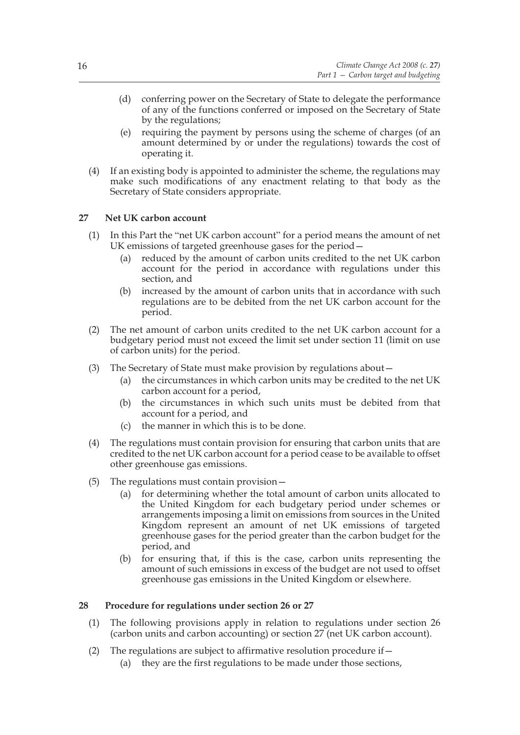- (d) conferring power on the Secretary of State to delegate the performance of any of the functions conferred or imposed on the Secretary of State by the regulations;
- (e) requiring the payment by persons using the scheme of charges (of an amount determined by or under the regulations) towards the cost of operating it.
- (4) If an existing body is appointed to administer the scheme, the regulations may make such modifications of any enactment relating to that body as the Secretary of State considers appropriate.

## **27 Net UK carbon account**

- (1) In this Part the "net UK carbon account" for a period means the amount of net UK emissions of targeted greenhouse gases for the period—
	- (a) reduced by the amount of carbon units credited to the net UK carbon account for the period in accordance with regulations under this section, and
	- (b) increased by the amount of carbon units that in accordance with such regulations are to be debited from the net UK carbon account for the period.
- (2) The net amount of carbon units credited to the net UK carbon account for a budgetary period must not exceed the limit set under section 11 (limit on use of carbon units) for the period.
- (3) The Secretary of State must make provision by regulations about—
	- (a) the circumstances in which carbon units may be credited to the net UK carbon account for a period,
	- (b) the circumstances in which such units must be debited from that account for a period, and
	- (c) the manner in which this is to be done.
- (4) The regulations must contain provision for ensuring that carbon units that are credited to the net UK carbon account for a period cease to be available to offset other greenhouse gas emissions.
- (5) The regulations must contain provision—
	- (a) for determining whether the total amount of carbon units allocated to the United Kingdom for each budgetary period under schemes or arrangements imposing a limit on emissions from sources in the United Kingdom represent an amount of net UK emissions of targeted greenhouse gases for the period greater than the carbon budget for the period, and
	- (b) for ensuring that, if this is the case, carbon units representing the amount of such emissions in excess of the budget are not used to offset greenhouse gas emissions in the United Kingdom or elsewhere.

## **28 Procedure for regulations under section 26 or 27**

- (1) The following provisions apply in relation to regulations under section 26 (carbon units and carbon accounting) or section 27 (net UK carbon account).
- (2) The regulations are subject to affirmative resolution procedure if  $-$ 
	- (a) they are the first regulations to be made under those sections,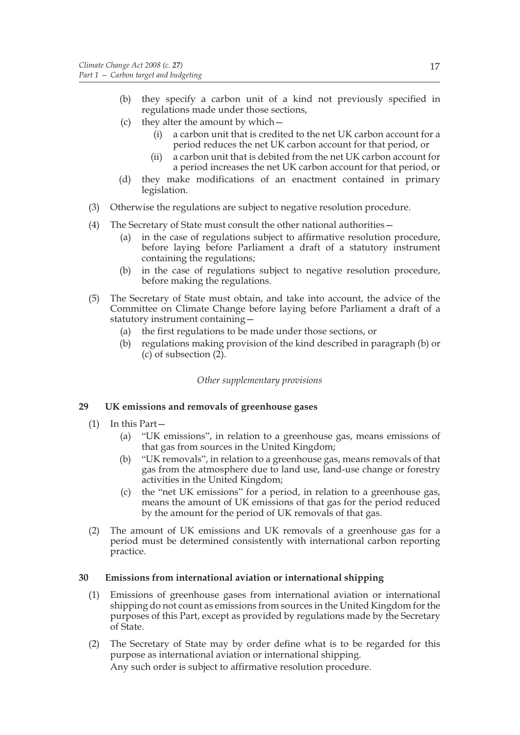- (b) they specify a carbon unit of a kind not previously specified in regulations made under those sections,
- (c) they alter the amount by which—
	- (i) a carbon unit that is credited to the net UK carbon account for a period reduces the net UK carbon account for that period, or
	- (ii) a carbon unit that is debited from the net UK carbon account for a period increases the net UK carbon account for that period, or
- (d) they make modifications of an enactment contained in primary legislation.
- (3) Otherwise the regulations are subject to negative resolution procedure.
- (4) The Secretary of State must consult the other national authorities—
	- (a) in the case of regulations subject to affirmative resolution procedure, before laying before Parliament a draft of a statutory instrument containing the regulations;
	- (b) in the case of regulations subject to negative resolution procedure, before making the regulations.
- (5) The Secretary of State must obtain, and take into account, the advice of the Committee on Climate Change before laying before Parliament a draft of a statutory instrument containing—
	- (a) the first regulations to be made under those sections, or
	- (b) regulations making provision of the kind described in paragraph (b) or (c) of subsection (2).

## *Other supplementary provisions*

## **29 UK emissions and removals of greenhouse gases**

- (1) In this Part—
	- (a) "UK emissions", in relation to a greenhouse gas, means emissions of that gas from sources in the United Kingdom;
	- (b) "UK removals", in relation to a greenhouse gas, means removals of that gas from the atmosphere due to land use, land-use change or forestry activities in the United Kingdom;
	- (c) the "net UK emissions" for a period, in relation to a greenhouse gas, means the amount of UK emissions of that gas for the period reduced by the amount for the period of UK removals of that gas.
- (2) The amount of UK emissions and UK removals of a greenhouse gas for a period must be determined consistently with international carbon reporting practice.

## **30 Emissions from international aviation or international shipping**

- (1) Emissions of greenhouse gases from international aviation or international shipping do not count as emissions from sources in the United Kingdom for the purposes of this Part, except as provided by regulations made by the Secretary of State.
- (2) The Secretary of State may by order define what is to be regarded for this purpose as international aviation or international shipping. Any such order is subject to affirmative resolution procedure.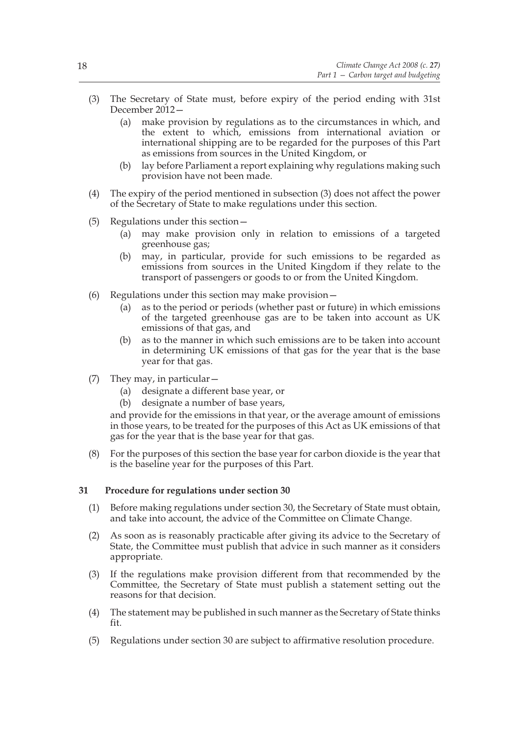- (3) The Secretary of State must, before expiry of the period ending with 31st December 2012—
	- (a) make provision by regulations as to the circumstances in which, and the extent to which, emissions from international aviation or international shipping are to be regarded for the purposes of this Part as emissions from sources in the United Kingdom, or
	- (b) lay before Parliament a report explaining why regulations making such provision have not been made.
- (4) The expiry of the period mentioned in subsection (3) does not affect the power of the Secretary of State to make regulations under this section.
- (5) Regulations under this section—
	- (a) may make provision only in relation to emissions of a targeted greenhouse gas;
	- (b) may, in particular, provide for such emissions to be regarded as emissions from sources in the United Kingdom if they relate to the transport of passengers or goods to or from the United Kingdom.
- (6) Regulations under this section may make provision—
	- (a) as to the period or periods (whether past or future) in which emissions of the targeted greenhouse gas are to be taken into account as UK emissions of that gas, and
	- (b) as to the manner in which such emissions are to be taken into account in determining UK emissions of that gas for the year that is the base year for that gas.
- (7) They may, in particular—
	- (a) designate a different base year, or
	- (b) designate a number of base years,

and provide for the emissions in that year, or the average amount of emissions in those years, to be treated for the purposes of this Act as UK emissions of that gas for the year that is the base year for that gas.

(8) For the purposes of this section the base year for carbon dioxide is the year that is the baseline year for the purposes of this Part.

#### **31 Procedure for regulations under section 30**

- (1) Before making regulations under section 30, the Secretary of State must obtain, and take into account, the advice of the Committee on Climate Change.
- (2) As soon as is reasonably practicable after giving its advice to the Secretary of State, the Committee must publish that advice in such manner as it considers appropriate.
- (3) If the regulations make provision different from that recommended by the Committee, the Secretary of State must publish a statement setting out the reasons for that decision.
- (4) The statement may be published in such manner as the Secretary of State thinks fit.
- (5) Regulations under section 30 are subject to affirmative resolution procedure.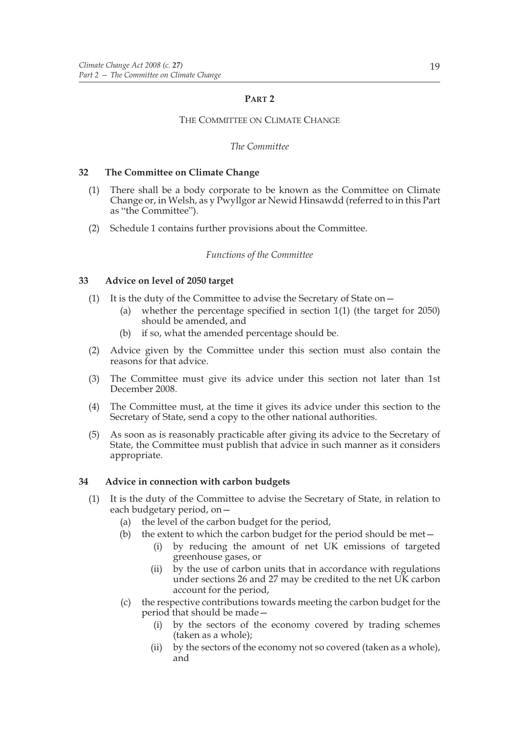## **PART 2**

## THE COMMITTEE ON CLIMATE CHANGE

## *The Committee*

## **32 The Committee on Climate Change**

- (1) There shall be a body corporate to be known as the Committee on Climate Change or, in Welsh, as y Pwyllgor ar Newid Hinsawdd (referred to in this Part as "the Committee").
- (2) Schedule 1 contains further provisions about the Committee.

## *Functions of the Committee*

## **33 Advice on level of 2050 target**

- (1) It is the duty of the Committee to advise the Secretary of State on—
	- (a) whether the percentage specified in section 1(1) (the target for 2050) should be amended, and
	- (b) if so, what the amended percentage should be.
- (2) Advice given by the Committee under this section must also contain the reasons for that advice.
- (3) The Committee must give its advice under this section not later than 1st December 2008.
- (4) The Committee must, at the time it gives its advice under this section to the Secretary of State, send a copy to the other national authorities.
- (5) As soon as is reasonably practicable after giving its advice to the Secretary of State, the Committee must publish that advice in such manner as it considers appropriate.

## **34 Advice in connection with carbon budgets**

- (1) It is the duty of the Committee to advise the Secretary of State, in relation to each budgetary period, on—
	- (a) the level of the carbon budget for the period,
	- (b) the extent to which the carbon budget for the period should be met $-$ 
		- (i) by reducing the amount of net UK emissions of targeted greenhouse gases, or
		- (ii) by the use of carbon units that in accordance with regulations under sections 26 and 27 may be credited to the net UK carbon account for the period,
	- (c) the respective contributions towards meeting the carbon budget for the period that should be made—
		- (i) by the sectors of the economy covered by trading schemes (taken as a whole);
		- (ii) by the sectors of the economy not so covered (taken as a whole), and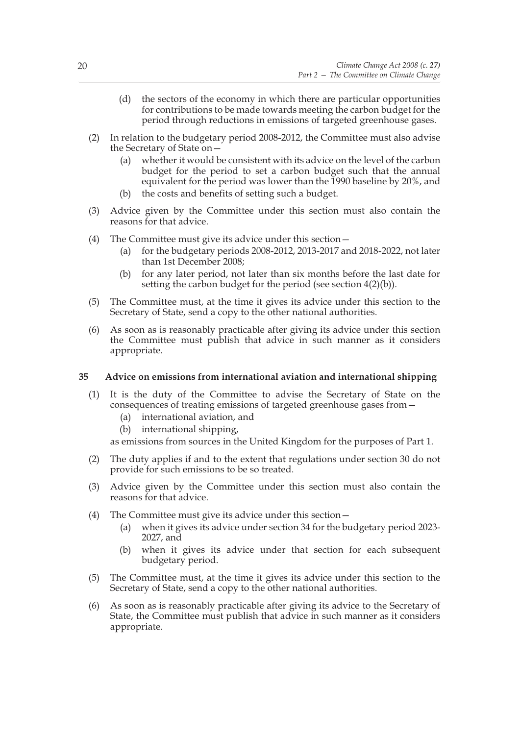- (d) the sectors of the economy in which there are particular opportunities for contributions to be made towards meeting the carbon budget for the period through reductions in emissions of targeted greenhouse gases.
- (2) In relation to the budgetary period 2008-2012, the Committee must also advise the Secretary of State on—
	- (a) whether it would be consistent with its advice on the level of the carbon budget for the period to set a carbon budget such that the annual equivalent for the period was lower than the 1990 baseline by 20%, and
	- (b) the costs and benefits of setting such a budget.
- (3) Advice given by the Committee under this section must also contain the reasons for that advice.
- (4) The Committee must give its advice under this section—
	- (a) for the budgetary periods 2008-2012, 2013-2017 and 2018-2022, not later than 1st December 2008;
	- (b) for any later period, not later than six months before the last date for setting the carbon budget for the period (see section 4(2)(b)).
- (5) The Committee must, at the time it gives its advice under this section to the Secretary of State, send a copy to the other national authorities.
- (6) As soon as is reasonably practicable after giving its advice under this section the Committee must publish that advice in such manner as it considers appropriate.

#### **35 Advice on emissions from international aviation and international shipping**

- (1) It is the duty of the Committee to advise the Secretary of State on the consequences of treating emissions of targeted greenhouse gases from—
	- (a) international aviation, and
	- (b) international shipping,

as emissions from sources in the United Kingdom for the purposes of Part 1.

- (2) The duty applies if and to the extent that regulations under section 30 do not provide for such emissions to be so treated.
- (3) Advice given by the Committee under this section must also contain the reasons for that advice.
- (4) The Committee must give its advice under this section—
	- (a) when it gives its advice under section 34 for the budgetary period 2023- 2027, and
	- (b) when it gives its advice under that section for each subsequent budgetary period.
- (5) The Committee must, at the time it gives its advice under this section to the Secretary of State, send a copy to the other national authorities.
- (6) As soon as is reasonably practicable after giving its advice to the Secretary of State, the Committee must publish that advice in such manner as it considers appropriate.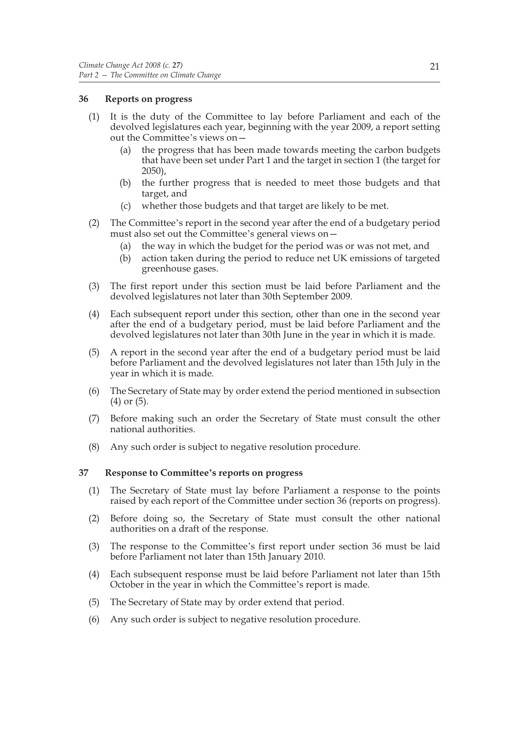## **36 Reports on progress**

- (1) It is the duty of the Committee to lay before Parliament and each of the devolved legislatures each year, beginning with the year 2009, a report setting out the Committee's views on—
	- (a) the progress that has been made towards meeting the carbon budgets that have been set under Part 1 and the target in section 1 (the target for 2050),
	- (b) the further progress that is needed to meet those budgets and that target, and
	- (c) whether those budgets and that target are likely to be met.
- (2) The Committee's report in the second year after the end of a budgetary period must also set out the Committee's general views on—
	- (a) the way in which the budget for the period was or was not met, and
	- (b) action taken during the period to reduce net UK emissions of targeted greenhouse gases.
- (3) The first report under this section must be laid before Parliament and the devolved legislatures not later than 30th September 2009.
- (4) Each subsequent report under this section, other than one in the second year after the end of a budgetary period, must be laid before Parliament and the devolved legislatures not later than 30th June in the year in which it is made.
- (5) A report in the second year after the end of a budgetary period must be laid before Parliament and the devolved legislatures not later than 15th July in the year in which it is made.
- (6) The Secretary of State may by order extend the period mentioned in subsection (4) or (5).
- (7) Before making such an order the Secretary of State must consult the other national authorities.
- (8) Any such order is subject to negative resolution procedure.

## **37 Response to Committee's reports on progress**

- (1) The Secretary of State must lay before Parliament a response to the points raised by each report of the Committee under section 36 (reports on progress).
- (2) Before doing so, the Secretary of State must consult the other national authorities on a draft of the response.
- (3) The response to the Committee's first report under section 36 must be laid before Parliament not later than 15th January 2010.
- (4) Each subsequent response must be laid before Parliament not later than 15th October in the year in which the Committee's report is made.
- (5) The Secretary of State may by order extend that period.
- (6) Any such order is subject to negative resolution procedure.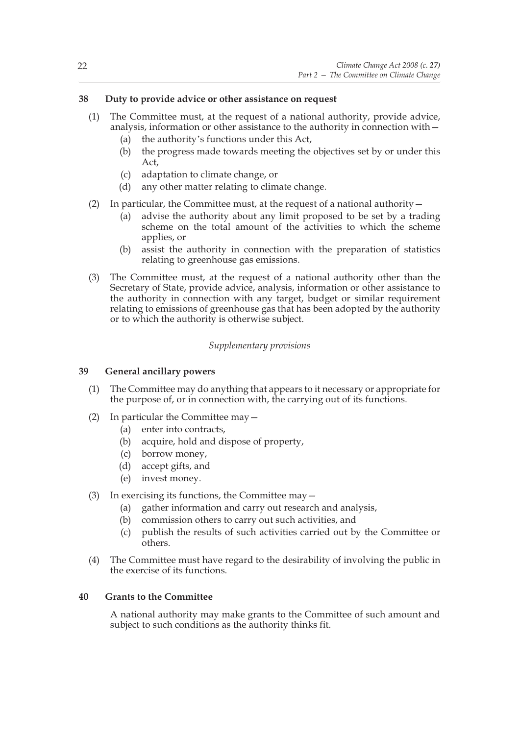## **38 Duty to provide advice or other assistance on request**

- (1) The Committee must, at the request of a national authority, provide advice, analysis, information or other assistance to the authority in connection with—
	- (a) the authority's functions under this Act,
	- (b) the progress made towards meeting the objectives set by or under this Act,
	- (c) adaptation to climate change, or
	- (d) any other matter relating to climate change.
- (2) In particular, the Committee must, at the request of a national authority—
	- (a) advise the authority about any limit proposed to be set by a trading scheme on the total amount of the activities to which the scheme applies, or
	- (b) assist the authority in connection with the preparation of statistics relating to greenhouse gas emissions.
- (3) The Committee must, at the request of a national authority other than the Secretary of State, provide advice, analysis, information or other assistance to the authority in connection with any target, budget or similar requirement relating to emissions of greenhouse gas that has been adopted by the authority or to which the authority is otherwise subject.

## *Supplementary provisions*

## **39 General ancillary powers**

- (1) The Committee may do anything that appears to it necessary or appropriate for the purpose of, or in connection with, the carrying out of its functions.
- (2) In particular the Committee may—
	- (a) enter into contracts,
	- (b) acquire, hold and dispose of property,
	- (c) borrow money,
	- (d) accept gifts, and
	- (e) invest money.

## (3) In exercising its functions, the Committee may—

- (a) gather information and carry out research and analysis,
- (b) commission others to carry out such activities, and
- (c) publish the results of such activities carried out by the Committee or others.
- (4) The Committee must have regard to the desirability of involving the public in the exercise of its functions.

## **40 Grants to the Committee**

A national authority may make grants to the Committee of such amount and subject to such conditions as the authority thinks fit.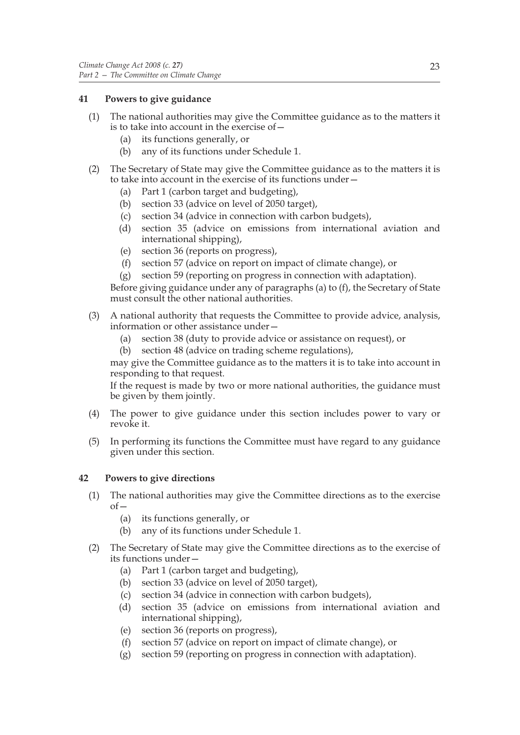## **41 Powers to give guidance**

- (1) The national authorities may give the Committee guidance as to the matters it is to take into account in the exercise of—
	- (a) its functions generally, or
	- (b) any of its functions under Schedule 1.
- (2) The Secretary of State may give the Committee guidance as to the matters it is to take into account in the exercise of its functions under—
	- (a) Part 1 (carbon target and budgeting),
	- (b) section 33 (advice on level of 2050 target),
	- (c) section 34 (advice in connection with carbon budgets),
	- (d) section 35 (advice on emissions from international aviation and international shipping),
	- (e) section 36 (reports on progress),
	- (f) section 57 (advice on report on impact of climate change), or
	- (g) section 59 (reporting on progress in connection with adaptation).

Before giving guidance under any of paragraphs (a) to (f), the Secretary of State must consult the other national authorities.

- (3) A national authority that requests the Committee to provide advice, analysis, information or other assistance under—
	- (a) section 38 (duty to provide advice or assistance on request), or
	- (b) section 48 (advice on trading scheme regulations),

may give the Committee guidance as to the matters it is to take into account in responding to that request.

If the request is made by two or more national authorities, the guidance must be given by them jointly.

- (4) The power to give guidance under this section includes power to vary or revoke it.
- (5) In performing its functions the Committee must have regard to any guidance given under this section.

## **42 Powers to give directions**

- (1) The national authorities may give the Committee directions as to the exercise  $of$ 
	- (a) its functions generally, or
	- (b) any of its functions under Schedule 1.
- (2) The Secretary of State may give the Committee directions as to the exercise of its functions under—
	- (a) Part 1 (carbon target and budgeting),
	- (b) section 33 (advice on level of 2050 target),
	- (c) section 34 (advice in connection with carbon budgets),
	- (d) section 35 (advice on emissions from international aviation and international shipping),
	- (e) section 36 (reports on progress),
	- (f) section 57 (advice on report on impact of climate change), or
	- (g) section 59 (reporting on progress in connection with adaptation).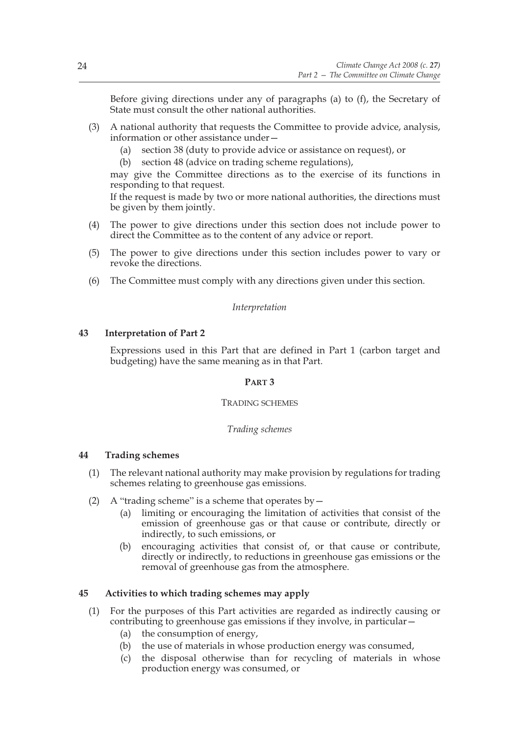Before giving directions under any of paragraphs (a) to (f), the Secretary of State must consult the other national authorities.

- (3) A national authority that requests the Committee to provide advice, analysis, information or other assistance under—
	- (a) section 38 (duty to provide advice or assistance on request), or
	- (b) section 48 (advice on trading scheme regulations),

may give the Committee directions as to the exercise of its functions in responding to that request.

If the request is made by two or more national authorities, the directions must be given by them jointly.

- (4) The power to give directions under this section does not include power to direct the Committee as to the content of any advice or report.
- (5) The power to give directions under this section includes power to vary or revoke the directions.
- (6) The Committee must comply with any directions given under this section.

#### *Interpretation*

## **43 Interpretation of Part 2**

Expressions used in this Part that are defined in Part 1 (carbon target and budgeting) have the same meaning as in that Part.

## **PART 3**

#### TRADING SCHEMES

#### *Trading schemes*

## **44 Trading schemes**

- (1) The relevant national authority may make provision by regulations for trading schemes relating to greenhouse gas emissions.
- (2) A "trading scheme" is a scheme that operates by  $-$ 
	- (a) limiting or encouraging the limitation of activities that consist of the emission of greenhouse gas or that cause or contribute, directly or indirectly, to such emissions, or
	- (b) encouraging activities that consist of, or that cause or contribute, directly or indirectly, to reductions in greenhouse gas emissions or the removal of greenhouse gas from the atmosphere.

#### **45 Activities to which trading schemes may apply**

- (1) For the purposes of this Part activities are regarded as indirectly causing or contributing to greenhouse gas emissions if they involve, in particular—
	- (a) the consumption of energy,
	- (b) the use of materials in whose production energy was consumed,
	- (c) the disposal otherwise than for recycling of materials in whose production energy was consumed, or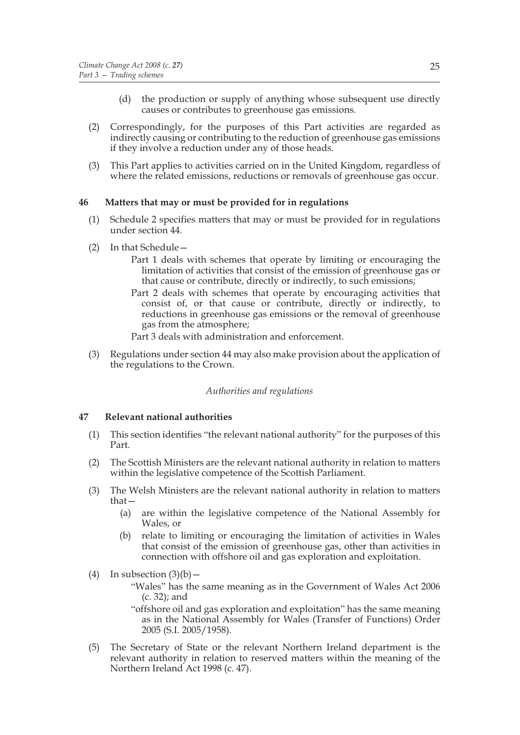- (d) the production or supply of anything whose subsequent use directly causes or contributes to greenhouse gas emissions.
- (2) Correspondingly, for the purposes of this Part activities are regarded as indirectly causing or contributing to the reduction of greenhouse gas emissions if they involve a reduction under any of those heads.
- (3) This Part applies to activities carried on in the United Kingdom, regardless of where the related emissions, reductions or removals of greenhouse gas occur.

## **46 Matters that may or must be provided for in regulations**

- (1) Schedule 2 specifies matters that may or must be provided for in regulations under section 44.
- (2) In that Schedule—
	- Part 1 deals with schemes that operate by limiting or encouraging the limitation of activities that consist of the emission of greenhouse gas or that cause or contribute, directly or indirectly, to such emissions;
	- Part 2 deals with schemes that operate by encouraging activities that consist of, or that cause or contribute, directly or indirectly, to reductions in greenhouse gas emissions or the removal of greenhouse gas from the atmosphere;
	- Part 3 deals with administration and enforcement.
- (3) Regulations under section 44 may also make provision about the application of the regulations to the Crown.

#### *Authorities and regulations*

## **47 Relevant national authorities**

- (1) This section identifies "the relevant national authority" for the purposes of this Part.
- (2) The Scottish Ministers are the relevant national authority in relation to matters within the legislative competence of the Scottish Parliament.
- (3) The Welsh Ministers are the relevant national authority in relation to matters that—
	- (a) are within the legislative competence of the National Assembly for Wales, or
	- (b) relate to limiting or encouraging the limitation of activities in Wales that consist of the emission of greenhouse gas, other than activities in connection with offshore oil and gas exploration and exploitation.
- (4) In subsection  $(3)(b)$ 
	- "Wales" has the same meaning as in the Government of Wales Act 2006 (c. 32); and
	- "offshore oil and gas exploration and exploitation" has the same meaning as in the National Assembly for Wales (Transfer of Functions) Order 2005 (S.I. 2005/1958).
- (5) The Secretary of State or the relevant Northern Ireland department is the relevant authority in relation to reserved matters within the meaning of the Northern Ireland Act 1998 (c. 47).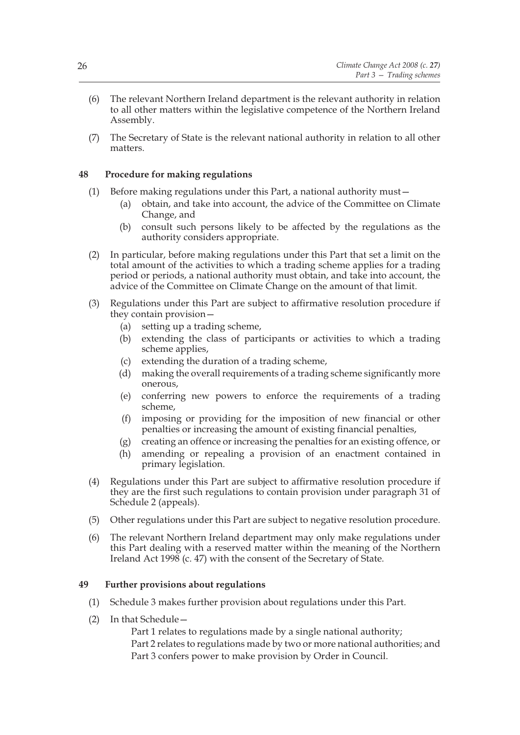- (6) The relevant Northern Ireland department is the relevant authority in relation to all other matters within the legislative competence of the Northern Ireland Assembly.
- (7) The Secretary of State is the relevant national authority in relation to all other matters.

## **48 Procedure for making regulations**

- (1) Before making regulations under this Part, a national authority must—
	- (a) obtain, and take into account, the advice of the Committee on Climate Change, and
	- (b) consult such persons likely to be affected by the regulations as the authority considers appropriate.
- (2) In particular, before making regulations under this Part that set a limit on the total amount of the activities to which a trading scheme applies for a trading period or periods, a national authority must obtain, and take into account, the advice of the Committee on Climate Change on the amount of that limit.
- (3) Regulations under this Part are subject to affirmative resolution procedure if they contain provision—
	- (a) setting up a trading scheme,
	- (b) extending the class of participants or activities to which a trading scheme applies,
	- (c) extending the duration of a trading scheme,
	- (d) making the overall requirements of a trading scheme significantly more onerous,
	- (e) conferring new powers to enforce the requirements of a trading scheme,
	- (f) imposing or providing for the imposition of new financial or other penalties or increasing the amount of existing financial penalties,
	- (g) creating an offence or increasing the penalties for an existing offence, or
	- (h) amending or repealing a provision of an enactment contained in primary legislation.
- (4) Regulations under this Part are subject to affirmative resolution procedure if they are the first such regulations to contain provision under paragraph 31 of Schedule 2 (appeals).
- (5) Other regulations under this Part are subject to negative resolution procedure.
- (6) The relevant Northern Ireland department may only make regulations under this Part dealing with a reserved matter within the meaning of the Northern Ireland Act 1998 (c. 47) with the consent of the Secretary of State.

## **49 Further provisions about regulations**

- (1) Schedule 3 makes further provision about regulations under this Part.
- (2) In that Schedule—

Part 1 relates to regulations made by a single national authority; Part 2 relates to regulations made by two or more national authorities; and Part 3 confers power to make provision by Order in Council.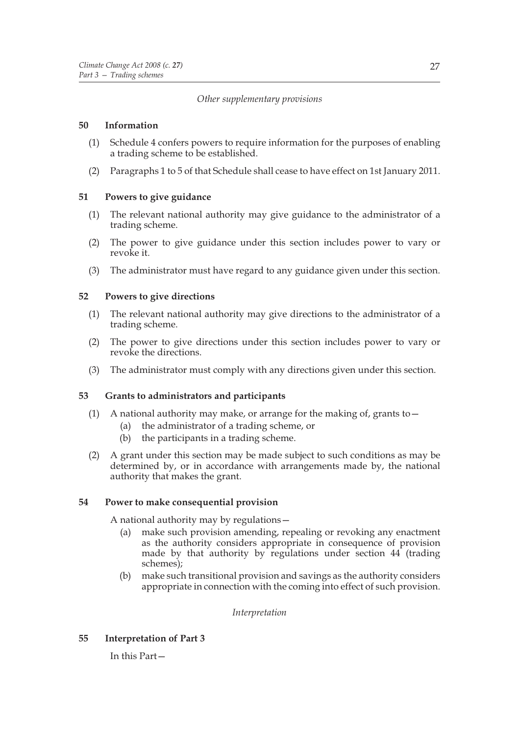## *Other supplementary provisions*

## **50 Information**

- (1) Schedule 4 confers powers to require information for the purposes of enabling a trading scheme to be established.
- (2) Paragraphs 1 to 5 of that Schedule shall cease to have effect on 1st January 2011.

## **51 Powers to give guidance**

- (1) The relevant national authority may give guidance to the administrator of a trading scheme.
- (2) The power to give guidance under this section includes power to vary or revoke it.
- (3) The administrator must have regard to any guidance given under this section.

## **52 Powers to give directions**

- (1) The relevant national authority may give directions to the administrator of a trading scheme.
- (2) The power to give directions under this section includes power to vary or revoke the directions.
- (3) The administrator must comply with any directions given under this section.

## **53 Grants to administrators and participants**

- (1) A national authority may make, or arrange for the making of, grants to—
	- (a) the administrator of a trading scheme, or
	- (b) the participants in a trading scheme.
- (2) A grant under this section may be made subject to such conditions as may be determined by, or in accordance with arrangements made by, the national authority that makes the grant.

## **54 Power to make consequential provision**

A national authority may by regulations—

- (a) make such provision amending, repealing or revoking any enactment as the authority considers appropriate in consequence of provision made by that authority by regulations under section 44 (trading schemes);
- (b) make such transitional provision and savings as the authority considers appropriate in connection with the coming into effect of such provision.

*Interpretation*

**55 Interpretation of Part 3**

In this Part—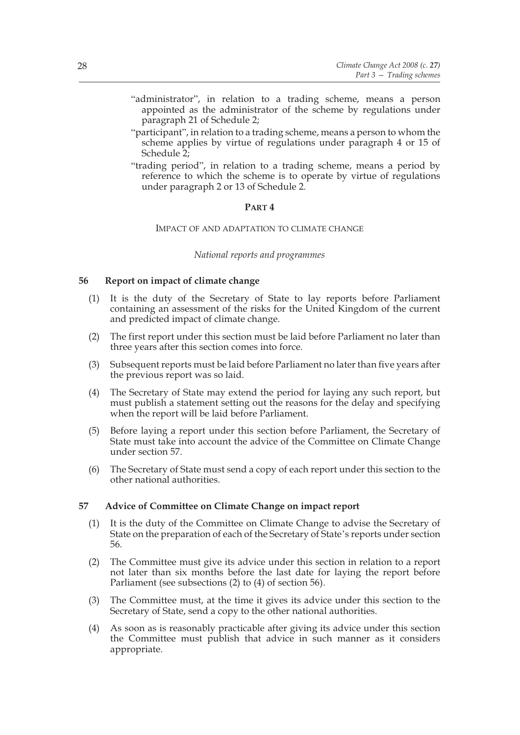- "administrator", in relation to a trading scheme, means a person appointed as the administrator of the scheme by regulations under paragraph 21 of Schedule 2;
- "participant", in relation to a trading scheme, means a person to whom the scheme applies by virtue of regulations under paragraph 4 or 15 of Schedule 2;
- "trading period", in relation to a trading scheme, means a period by reference to which the scheme is to operate by virtue of regulations under paragraph 2 or 13 of Schedule 2.

## **PART 4**

#### IMPACT OF AND ADAPTATION TO CLIMATE CHANGE

#### *National reports and programmes*

## **56 Report on impact of climate change**

- (1) It is the duty of the Secretary of State to lay reports before Parliament containing an assessment of the risks for the United Kingdom of the current and predicted impact of climate change.
- (2) The first report under this section must be laid before Parliament no later than three years after this section comes into force.
- (3) Subsequent reports must be laid before Parliament no later than five years after the previous report was so laid.
- (4) The Secretary of State may extend the period for laying any such report, but must publish a statement setting out the reasons for the delay and specifying when the report will be laid before Parliament.
- (5) Before laying a report under this section before Parliament, the Secretary of State must take into account the advice of the Committee on Climate Change under section 57.
- (6) The Secretary of State must send a copy of each report under this section to the other national authorities.

#### **57 Advice of Committee on Climate Change on impact report**

- (1) It is the duty of the Committee on Climate Change to advise the Secretary of State on the preparation of each of the Secretary of State's reports under section 56.
- (2) The Committee must give its advice under this section in relation to a report not later than six months before the last date for laying the report before Parliament (see subsections (2) to (4) of section 56).
- (3) The Committee must, at the time it gives its advice under this section to the Secretary of State, send a copy to the other national authorities.
- (4) As soon as is reasonably practicable after giving its advice under this section the Committee must publish that advice in such manner as it considers appropriate.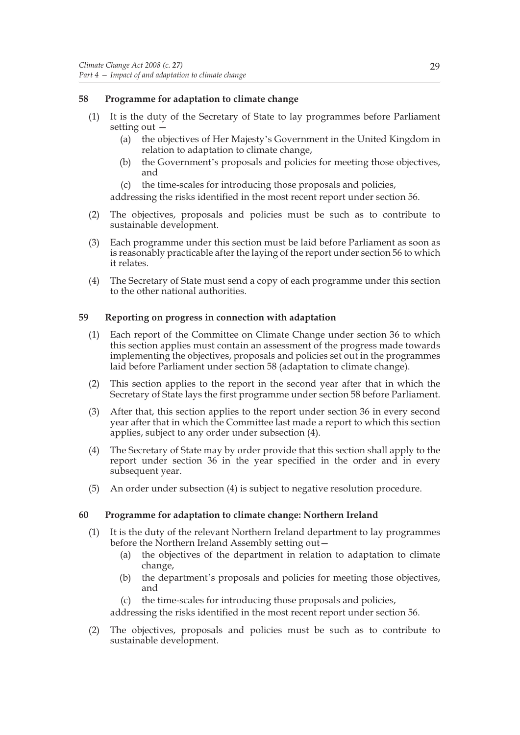## **58 Programme for adaptation to climate change**

- (1) It is the duty of the Secretary of State to lay programmes before Parliament setting out —
	- (a) the objectives of Her Majesty's Government in the United Kingdom in relation to adaptation to climate change,
	- (b) the Government's proposals and policies for meeting those objectives, and
	- (c) the time-scales for introducing those proposals and policies,

addressing the risks identified in the most recent report under section 56.

- (2) The objectives, proposals and policies must be such as to contribute to sustainable development.
- (3) Each programme under this section must be laid before Parliament as soon as is reasonably practicable after the laying of the report under section 56 to which it relates.
- (4) The Secretary of State must send a copy of each programme under this section to the other national authorities.

## **59 Reporting on progress in connection with adaptation**

- (1) Each report of the Committee on Climate Change under section 36 to which this section applies must contain an assessment of the progress made towards implementing the objectives, proposals and policies set out in the programmes laid before Parliament under section 58 (adaptation to climate change).
- (2) This section applies to the report in the second year after that in which the Secretary of State lays the first programme under section 58 before Parliament.
- (3) After that, this section applies to the report under section 36 in every second year after that in which the Committee last made a report to which this section applies, subject to any order under subsection (4).
- (4) The Secretary of State may by order provide that this section shall apply to the report under section 36 in the year specified in the order and in every subsequent year.
- (5) An order under subsection (4) is subject to negative resolution procedure.

## **60 Programme for adaptation to climate change: Northern Ireland**

- (1) It is the duty of the relevant Northern Ireland department to lay programmes before the Northern Ireland Assembly setting out—
	- (a) the objectives of the department in relation to adaptation to climate change,
	- (b) the department's proposals and policies for meeting those objectives, and
	- (c) the time-scales for introducing those proposals and policies,

addressing the risks identified in the most recent report under section 56.

(2) The objectives, proposals and policies must be such as to contribute to sustainable development.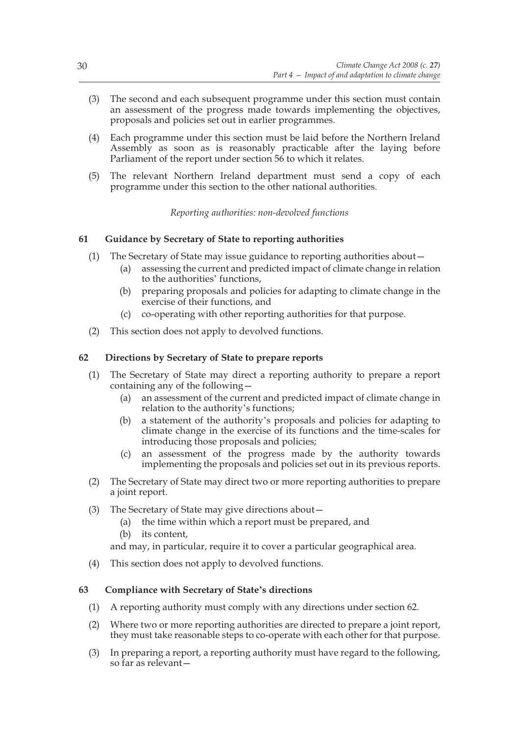- (3) The second and each subsequent programme under this section must contain an assessment of the progress made towards implementing the objectives, proposals and policies set out in earlier programmes.
- (4) Each programme under this section must be laid before the Northern Ireland Assembly as soon as is reasonably practicable after the laying before Parliament of the report under section 56 to which it relates.
- (5) The relevant Northern Ireland department must send a copy of each programme under this section to the other national authorities.

*Reporting authorities: non-devolved functions*

## **61 Guidance by Secretary of State to reporting authorities**

- (1) The Secretary of State may issue guidance to reporting authorities about—
	- (a) assessing the current and predicted impact of climate change in relation to the authorities' functions,
	- (b) preparing proposals and policies for adapting to climate change in the exercise of their functions, and
	- (c) co-operating with other reporting authorities for that purpose.
- (2) This section does not apply to devolved functions.

## **62 Directions by Secretary of State to prepare reports**

- (1) The Secretary of State may direct a reporting authority to prepare a report containing any of the following—
	- (a) an assessment of the current and predicted impact of climate change in relation to the authority's functions;
	- (b) a statement of the authority's proposals and policies for adapting to climate change in the exercise of its functions and the time-scales for introducing those proposals and policies;
	- (c) an assessment of the progress made by the authority towards implementing the proposals and policies set out in its previous reports.
- (2) The Secretary of State may direct two or more reporting authorities to prepare a joint report.
- (3) The Secretary of State may give directions about—
	- (a) the time within which a report must be prepared, and
	- (b) its content,

and may, in particular, require it to cover a particular geographical area.

(4) This section does not apply to devolved functions.

## **63 Compliance with Secretary of State's directions**

- (1) A reporting authority must comply with any directions under section 62.
- (2) Where two or more reporting authorities are directed to prepare a joint report, they must take reasonable steps to co-operate with each other for that purpose.
- (3) In preparing a report, a reporting authority must have regard to the following, so far as relevant—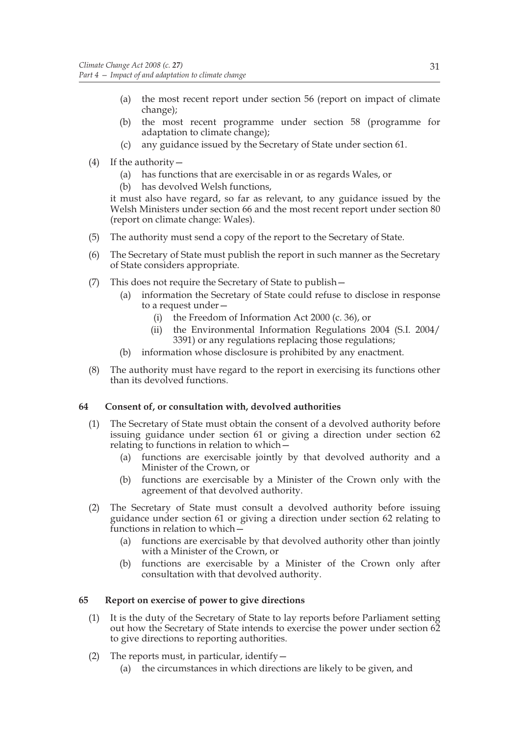- (a) the most recent report under section 56 (report on impact of climate change);
- (b) the most recent programme under section 58 (programme for adaptation to climate change);
- (c) any guidance issued by the Secretary of State under section 61.
- (4) If the authority—
	- (a) has functions that are exercisable in or as regards Wales, or
	- (b) has devolved Welsh functions,

it must also have regard, so far as relevant, to any guidance issued by the Welsh Ministers under section 66 and the most recent report under section 80 (report on climate change: Wales).

- (5) The authority must send a copy of the report to the Secretary of State.
- (6) The Secretary of State must publish the report in such manner as the Secretary of State considers appropriate.
- (7) This does not require the Secretary of State to publish—
	- (a) information the Secretary of State could refuse to disclose in response to a request under—
		- (i) the Freedom of Information Act 2000 (c. 36), or
		- (ii) the Environmental Information Regulations 2004 (S.I. 2004/ 3391) or any regulations replacing those regulations;
	- (b) information whose disclosure is prohibited by any enactment.
- (8) The authority must have regard to the report in exercising its functions other than its devolved functions.

## **64 Consent of, or consultation with, devolved authorities**

- (1) The Secretary of State must obtain the consent of a devolved authority before issuing guidance under section 61 or giving a direction under section 62 relating to functions in relation to which—
	- (a) functions are exercisable jointly by that devolved authority and a Minister of the Crown, or
	- (b) functions are exercisable by a Minister of the Crown only with the agreement of that devolved authority.
- (2) The Secretary of State must consult a devolved authority before issuing guidance under section 61 or giving a direction under section 62 relating to functions in relation to which—
	- (a) functions are exercisable by that devolved authority other than jointly with a Minister of the Crown, or
	- (b) functions are exercisable by a Minister of the Crown only after consultation with that devolved authority.

## **65 Report on exercise of power to give directions**

- (1) It is the duty of the Secretary of State to lay reports before Parliament setting out how the Secretary of State intends to exercise the power under section 62 to give directions to reporting authorities.
- (2) The reports must, in particular, identify  $-$ (a) the circumstances in which directions are likely to be given, and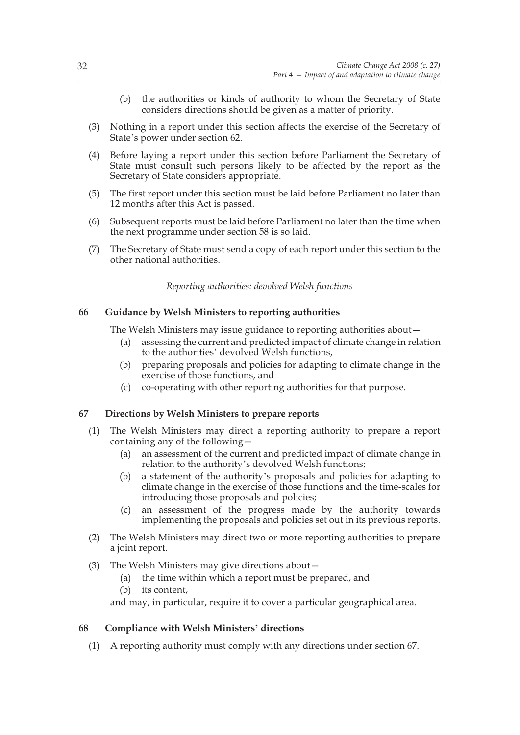- (b) the authorities or kinds of authority to whom the Secretary of State considers directions should be given as a matter of priority.
- (3) Nothing in a report under this section affects the exercise of the Secretary of State's power under section 62.
- (4) Before laying a report under this section before Parliament the Secretary of State must consult such persons likely to be affected by the report as the Secretary of State considers appropriate.
- (5) The first report under this section must be laid before Parliament no later than 12 months after this Act is passed.
- (6) Subsequent reports must be laid before Parliament no later than the time when the next programme under section 58 is so laid.
- (7) The Secretary of State must send a copy of each report under this section to the other national authorities.

*Reporting authorities: devolved Welsh functions*

# **66 Guidance by Welsh Ministers to reporting authorities**

The Welsh Ministers may issue guidance to reporting authorities about—

- (a) assessing the current and predicted impact of climate change in relation to the authorities' devolved Welsh functions,
- (b) preparing proposals and policies for adapting to climate change in the exercise of those functions, and
- (c) co-operating with other reporting authorities for that purpose.

#### **67 Directions by Welsh Ministers to prepare reports**

- (1) The Welsh Ministers may direct a reporting authority to prepare a report containing any of the following—
	- (a) an assessment of the current and predicted impact of climate change in relation to the authority's devolved Welsh functions;
	- (b) a statement of the authority's proposals and policies for adapting to climate change in the exercise of those functions and the time-scales for introducing those proposals and policies;
	- (c) an assessment of the progress made by the authority towards implementing the proposals and policies set out in its previous reports.
- (2) The Welsh Ministers may direct two or more reporting authorities to prepare a joint report.
- (3) The Welsh Ministers may give directions about—
	- (a) the time within which a report must be prepared, and
	- (b) its content,

and may, in particular, require it to cover a particular geographical area.

#### **68 Compliance with Welsh Ministers' directions**

(1) A reporting authority must comply with any directions under section 67.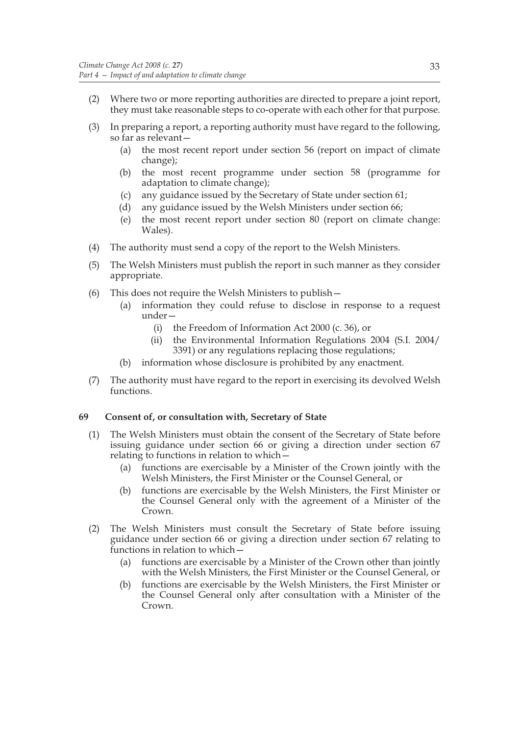- (2) Where two or more reporting authorities are directed to prepare a joint report, they must take reasonable steps to co-operate with each other for that purpose.
- (3) In preparing a report, a reporting authority must have regard to the following, so far as relevant—
	- (a) the most recent report under section 56 (report on impact of climate change);
	- (b) the most recent programme under section 58 (programme for adaptation to climate change);
	- (c) any guidance issued by the Secretary of State under section 61;
	- (d) any guidance issued by the Welsh Ministers under section 66;
	- (e) the most recent report under section 80 (report on climate change: Wales).
- (4) The authority must send a copy of the report to the Welsh Ministers.
- (5) The Welsh Ministers must publish the report in such manner as they consider appropriate.
- (6) This does not require the Welsh Ministers to publish—
	- (a) information they could refuse to disclose in response to a request under—
		- (i) the Freedom of Information Act 2000 (c. 36), or
		- (ii) the Environmental Information Regulations 2004 (S.I. 2004/ 3391) or any regulations replacing those regulations;
	- (b) information whose disclosure is prohibited by any enactment.
- (7) The authority must have regard to the report in exercising its devolved Welsh functions.

# **69 Consent of, or consultation with, Secretary of State**

- (1) The Welsh Ministers must obtain the consent of the Secretary of State before issuing guidance under section 66 or giving a direction under section 67 relating to functions in relation to which—
	- (a) functions are exercisable by a Minister of the Crown jointly with the Welsh Ministers, the First Minister or the Counsel General, or
	- (b) functions are exercisable by the Welsh Ministers, the First Minister or the Counsel General only with the agreement of a Minister of the Crown.
- (2) The Welsh Ministers must consult the Secretary of State before issuing guidance under section 66 or giving a direction under section 67 relating to functions in relation to which—
	- (a) functions are exercisable by a Minister of the Crown other than jointly with the Welsh Ministers, the First Minister or the Counsel General, or
	- (b) functions are exercisable by the Welsh Ministers, the First Minister or the Counsel General only after consultation with a Minister of the Crown.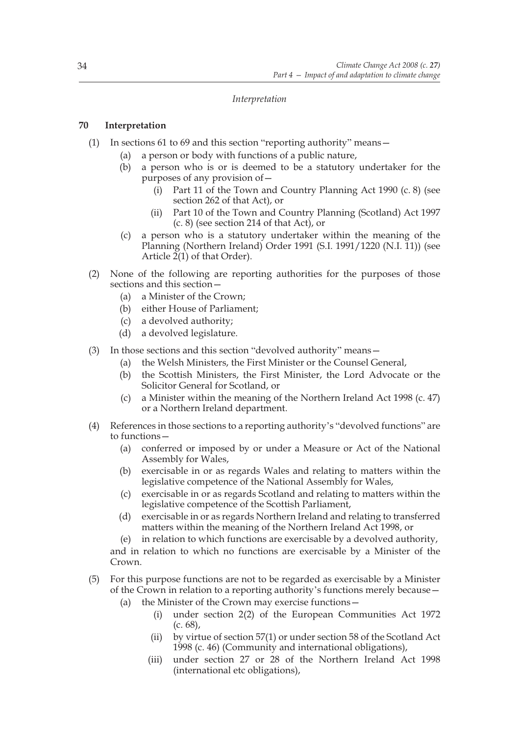## *Interpretation*

# **70 Interpretation**

- (1) In sections 61 to 69 and this section "reporting authority" means—
	- (a) a person or body with functions of a public nature,
	- (b) a person who is or is deemed to be a statutory undertaker for the purposes of any provision of—
		- (i) Part 11 of the Town and Country Planning Act 1990 (c. 8) (see section 262 of that Act), or
		- (ii) Part 10 of the Town and Country Planning (Scotland) Act 1997 (c. 8) (see section 214 of that Act), or
	- (c) a person who is a statutory undertaker within the meaning of the Planning (Northern Ireland) Order 1991 (S.I. 1991/1220 (N.I. 11)) (see Article  $2(1)$  of that Order).
- (2) None of the following are reporting authorities for the purposes of those sections and this section—
	- (a) a Minister of the Crown;
	- (b) either House of Parliament;
	- (c) a devolved authority;
	- (d) a devolved legislature.
- (3) In those sections and this section "devolved authority" means—
	- (a) the Welsh Ministers, the First Minister or the Counsel General,
	- (b) the Scottish Ministers, the First Minister, the Lord Advocate or the Solicitor General for Scotland, or
	- (c) a Minister within the meaning of the Northern Ireland Act 1998 (c. 47) or a Northern Ireland department.
- (4) References in those sections to a reporting authority's "devolved functions" are to functions—
	- (a) conferred or imposed by or under a Measure or Act of the National Assembly for Wales,
	- (b) exercisable in or as regards Wales and relating to matters within the legislative competence of the National Assembly for Wales,
	- (c) exercisable in or as regards Scotland and relating to matters within the legislative competence of the Scottish Parliament,
	- (d) exercisable in or as regards Northern Ireland and relating to transferred matters within the meaning of the Northern Ireland Act 1998, or
	- (e) in relation to which functions are exercisable by a devolved authority,

and in relation to which no functions are exercisable by a Minister of the Crown.

- (5) For this purpose functions are not to be regarded as exercisable by a Minister of the Crown in relation to a reporting authority's functions merely because—
	- (a) the Minister of the Crown may exercise functions—
		- (i) under section 2(2) of the European Communities Act 1972 (c. 68),
		- (ii) by virtue of section 57(1) or under section 58 of the Scotland Act 1998 (c. 46) (Community and international obligations),
		- (iii) under section 27 or 28 of the Northern Ireland Act 1998 (international etc obligations),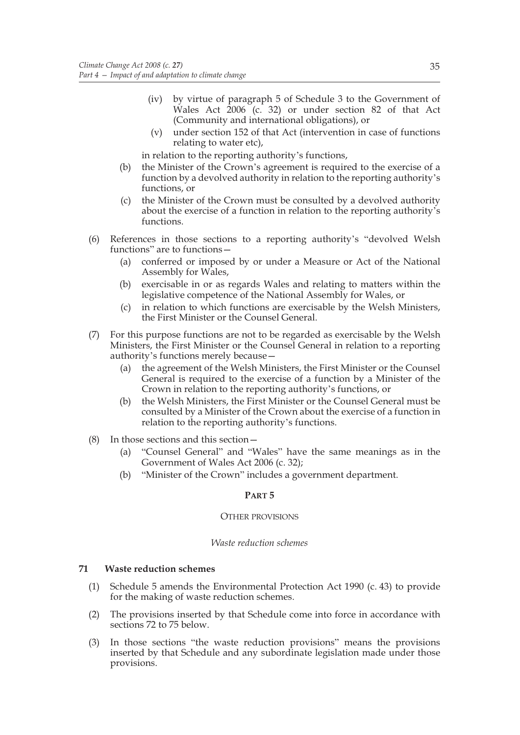- (iv) by virtue of paragraph 5 of Schedule 3 to the Government of Wales Act  $2006$  (c. 32) or under section 82 of that Act (Community and international obligations), or
- (v) under section 152 of that Act (intervention in case of functions relating to water etc),

in relation to the reporting authority's functions,

- (b) the Minister of the Crown's agreement is required to the exercise of a function by a devolved authority in relation to the reporting authority's functions, or
- (c) the Minister of the Crown must be consulted by a devolved authority about the exercise of a function in relation to the reporting authority's functions.
- (6) References in those sections to a reporting authority's "devolved Welsh functions" are to functions-
	- (a) conferred or imposed by or under a Measure or Act of the National Assembly for Wales,
	- (b) exercisable in or as regards Wales and relating to matters within the legislative competence of the National Assembly for Wales, or
	- (c) in relation to which functions are exercisable by the Welsh Ministers, the First Minister or the Counsel General.
- (7) For this purpose functions are not to be regarded as exercisable by the Welsh Ministers, the First Minister or the Counsel General in relation to a reporting authority's functions merely because—
	- (a) the agreement of the Welsh Ministers, the First Minister or the Counsel General is required to the exercise of a function by a Minister of the Crown in relation to the reporting authority's functions, or
	- (b) the Welsh Ministers, the First Minister or the Counsel General must be consulted by a Minister of the Crown about the exercise of a function in relation to the reporting authority's functions.
- (8) In those sections and this section—
	- (a) "Counsel General" and "Wales" have the same meanings as in the Government of Wales Act 2006 (c. 32);
	- (b) "Minister of the Crown" includes a government department.

# **PART 5**

#### OTHER PROVISIONS

#### *Waste reduction schemes*

# **71 Waste reduction schemes**

- (1) Schedule 5 amends the Environmental Protection Act 1990 (c. 43) to provide for the making of waste reduction schemes.
- (2) The provisions inserted by that Schedule come into force in accordance with sections 72 to 75 below.
- (3) In those sections "the waste reduction provisions" means the provisions inserted by that Schedule and any subordinate legislation made under those provisions.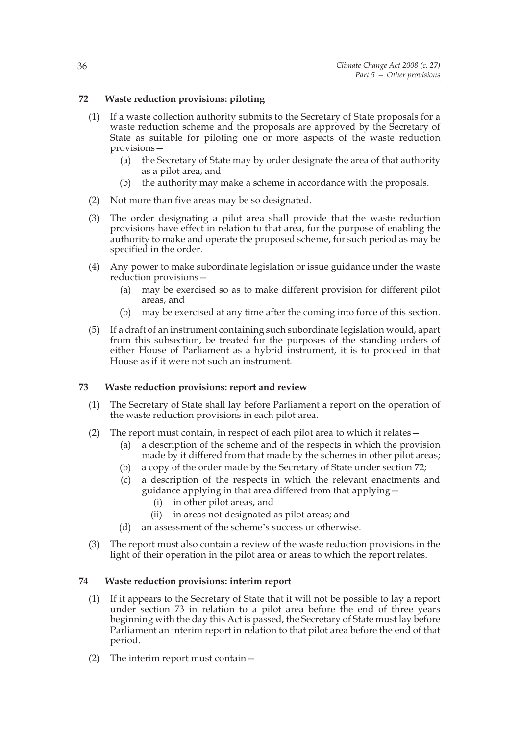# **72 Waste reduction provisions: piloting**

- (1) If a waste collection authority submits to the Secretary of State proposals for a waste reduction scheme and the proposals are approved by the Secretary of State as suitable for piloting one or more aspects of the waste reduction provisions—
	- (a) the Secretary of State may by order designate the area of that authority as a pilot area, and
	- (b) the authority may make a scheme in accordance with the proposals.
- (2) Not more than five areas may be so designated.
- (3) The order designating a pilot area shall provide that the waste reduction provisions have effect in relation to that area, for the purpose of enabling the authority to make and operate the proposed scheme, for such period as may be specified in the order.
- (4) Any power to make subordinate legislation or issue guidance under the waste reduction provisions—
	- (a) may be exercised so as to make different provision for different pilot areas, and
	- (b) may be exercised at any time after the coming into force of this section.
- (5) If a draft of an instrument containing such subordinate legislation would, apart from this subsection, be treated for the purposes of the standing orders of either House of Parliament as a hybrid instrument, it is to proceed in that House as if it were not such an instrument.

# **73 Waste reduction provisions: report and review**

- (1) The Secretary of State shall lay before Parliament a report on the operation of the waste reduction provisions in each pilot area.
- (2) The report must contain, in respect of each pilot area to which it relates—
	- (a) a description of the scheme and of the respects in which the provision made by it differed from that made by the schemes in other pilot areas;
	- (b) a copy of the order made by the Secretary of State under section 72;
	- (c) a description of the respects in which the relevant enactments and guidance applying in that area differed from that applying—
		- (i) in other pilot areas, and
		- (ii) in areas not designated as pilot areas; and
	- (d) an assessment of the scheme's success or otherwise.
- (3) The report must also contain a review of the waste reduction provisions in the light of their operation in the pilot area or areas to which the report relates.

# **74 Waste reduction provisions: interim report**

- (1) If it appears to the Secretary of State that it will not be possible to lay a report under section 73 in relation to a pilot area before the end of three years beginning with the day this Act is passed, the Secretary of State must lay before Parliament an interim report in relation to that pilot area before the end of that period.
- (2) The interim report must contain—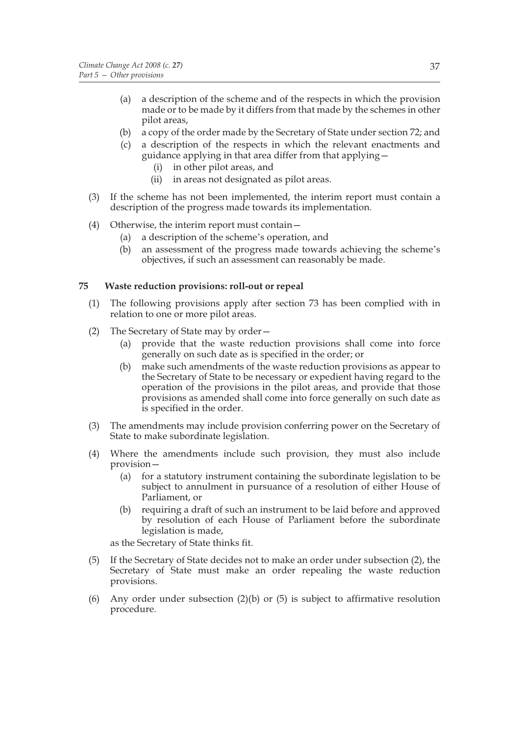- (a) a description of the scheme and of the respects in which the provision made or to be made by it differs from that made by the schemes in other pilot areas,
- (b) a copy of the order made by the Secretary of State under section 72; and
- (c) a description of the respects in which the relevant enactments and guidance applying in that area differ from that applying—
	- (i) in other pilot areas, and
	- (ii) in areas not designated as pilot areas.
- (3) If the scheme has not been implemented, the interim report must contain a description of the progress made towards its implementation.
- (4) Otherwise, the interim report must contain—
	- (a) a description of the scheme's operation, and
	- (b) an assessment of the progress made towards achieving the scheme's objectives, if such an assessment can reasonably be made.

# **75 Waste reduction provisions: roll-out or repeal**

- (1) The following provisions apply after section 73 has been complied with in relation to one or more pilot areas.
- (2) The Secretary of State may by order—
	- (a) provide that the waste reduction provisions shall come into force generally on such date as is specified in the order; or
	- (b) make such amendments of the waste reduction provisions as appear to the Secretary of State to be necessary or expedient having regard to the operation of the provisions in the pilot areas, and provide that those provisions as amended shall come into force generally on such date as is specified in the order.
- (3) The amendments may include provision conferring power on the Secretary of State to make subordinate legislation.
- (4) Where the amendments include such provision, they must also include provision—
	- (a) for a statutory instrument containing the subordinate legislation to be subject to annulment in pursuance of a resolution of either House of Parliament, or
	- (b) requiring a draft of such an instrument to be laid before and approved by resolution of each House of Parliament before the subordinate legislation is made,

as the Secretary of State thinks fit.

- (5) If the Secretary of State decides not to make an order under subsection (2), the Secretary of State must make an order repealing the waste reduction provisions.
- (6) Any order under subsection  $(2)(b)$  or  $(5)$  is subject to affirmative resolution procedure.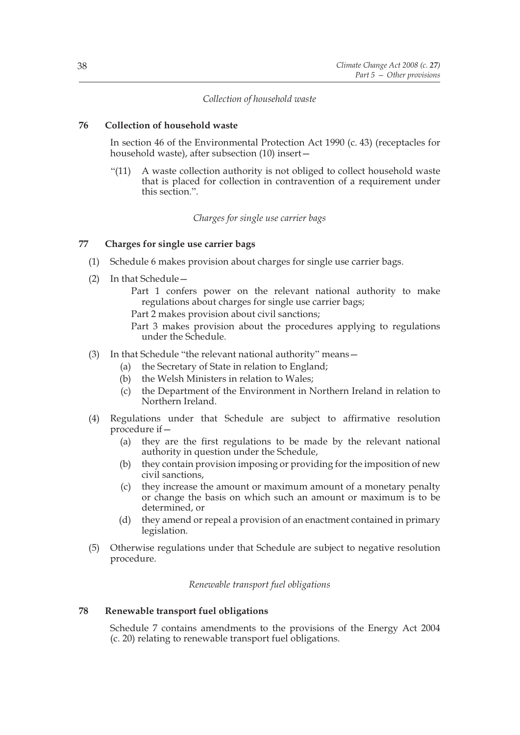# *Collection of household waste*

# **76 Collection of household waste**

In section 46 of the Environmental Protection Act 1990 (c. 43) (receptacles for household waste), after subsection (10) insert—

"(11) A waste collection authority is not obliged to collect household waste that is placed for collection in contravention of a requirement under this section.".

*Charges for single use carrier bags*

# **77 Charges for single use carrier bags**

- (1) Schedule 6 makes provision about charges for single use carrier bags.
- (2) In that Schedule—

Part 1 confers power on the relevant national authority to make regulations about charges for single use carrier bags;

Part 2 makes provision about civil sanctions;

Part 3 makes provision about the procedures applying to regulations under the Schedule.

- (3) In that Schedule "the relevant national authority" means—
	- (a) the Secretary of State in relation to England;
	- (b) the Welsh Ministers in relation to Wales;
	- (c) the Department of the Environment in Northern Ireland in relation to Northern Ireland.
- (4) Regulations under that Schedule are subject to affirmative resolution procedure if—
	- (a) they are the first regulations to be made by the relevant national authority in question under the Schedule,
	- (b) they contain provision imposing or providing for the imposition of new civil sanctions,
	- (c) they increase the amount or maximum amount of a monetary penalty or change the basis on which such an amount or maximum is to be determined, or
	- (d) they amend or repeal a provision of an enactment contained in primary legislation.
- (5) Otherwise regulations under that Schedule are subject to negative resolution procedure.

*Renewable transport fuel obligations*

#### **78 Renewable transport fuel obligations**

Schedule 7 contains amendments to the provisions of the Energy Act 2004 (c. 20) relating to renewable transport fuel obligations.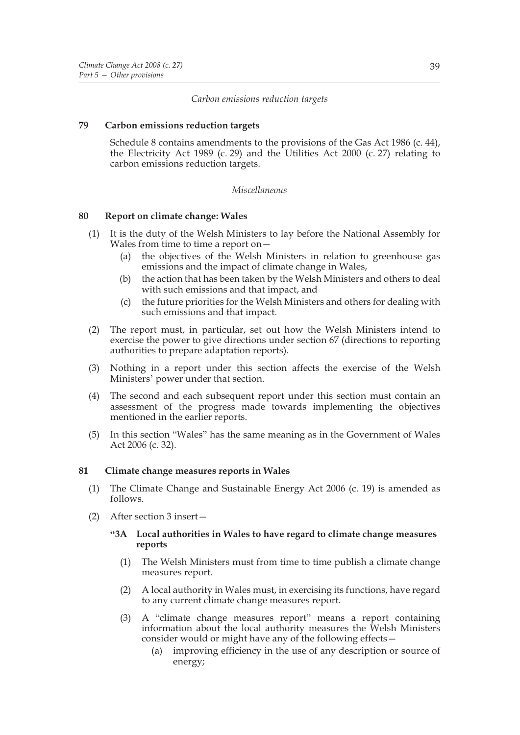*Carbon emissions reduction targets*

## **79 Carbon emissions reduction targets**

Schedule 8 contains amendments to the provisions of the Gas Act 1986 (c. 44), the Electricity Act 1989 (c. 29) and the Utilities Act 2000 (c. 27) relating to carbon emissions reduction targets.

# *Miscellaneous*

#### **80 Report on climate change: Wales**

- (1) It is the duty of the Welsh Ministers to lay before the National Assembly for Wales from time to time a report on—
	- (a) the objectives of the Welsh Ministers in relation to greenhouse gas emissions and the impact of climate change in Wales,
	- (b) the action that has been taken by the Welsh Ministers and others to deal with such emissions and that impact, and
	- (c) the future priorities for the Welsh Ministers and others for dealing with such emissions and that impact.
- (2) The report must, in particular, set out how the Welsh Ministers intend to exercise the power to give directions under section 67 (directions to reporting authorities to prepare adaptation reports).
- (3) Nothing in a report under this section affects the exercise of the Welsh Ministers' power under that section.
- (4) The second and each subsequent report under this section must contain an assessment of the progress made towards implementing the objectives mentioned in the earlier reports.
- (5) In this section "Wales" has the same meaning as in the Government of Wales Act 2006 (c. 32).

#### **81 Climate change measures reports in Wales**

- (1) The Climate Change and Sustainable Energy Act 2006 (c. 19) is amended as follows.
- (2) After section 3 insert—

#### **"3A Local authorities in Wales to have regard to climate change measures reports**

- (1) The Welsh Ministers must from time to time publish a climate change measures report.
- (2) A local authority in Wales must, in exercising its functions, have regard to any current climate change measures report.
- (3) A "climate change measures report" means a report containing information about the local authority measures the Welsh Ministers consider would or might have any of the following effects—
	- (a) improving efficiency in the use of any description or source of energy;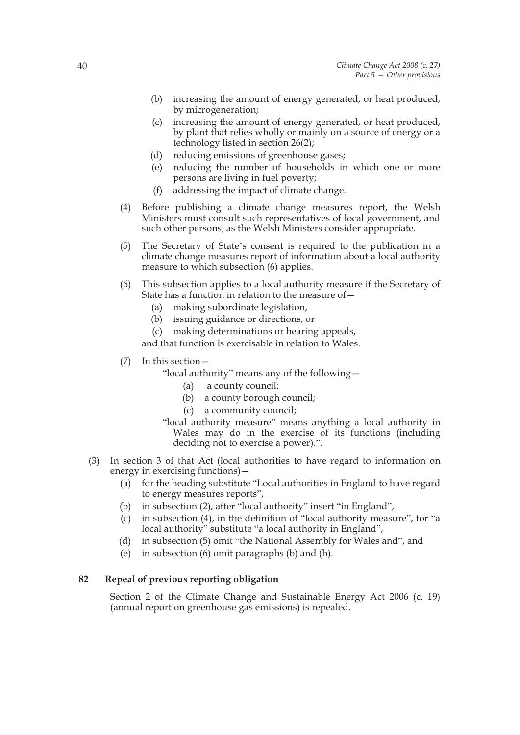- (b) increasing the amount of energy generated, or heat produced, by microgeneration;
- (c) increasing the amount of energy generated, or heat produced, by plant that relies wholly or mainly on a source of energy or a technology listed in section 26(2);
- (d) reducing emissions of greenhouse gases;
- (e) reducing the number of households in which one or more persons are living in fuel poverty;
- (f) addressing the impact of climate change.
- (4) Before publishing a climate change measures report, the Welsh Ministers must consult such representatives of local government, and such other persons, as the Welsh Ministers consider appropriate.
- (5) The Secretary of State's consent is required to the publication in a climate change measures report of information about a local authority measure to which subsection (6) applies.
- (6) This subsection applies to a local authority measure if the Secretary of State has a function in relation to the measure of—
	- (a) making subordinate legislation,
	- (b) issuing guidance or directions, or
	- (c) making determinations or hearing appeals,

and that function is exercisable in relation to Wales.

(7) In this section—

"local authority" means any of the following—

- (a) a county council;
- (b) a county borough council;
- (c) a community council;

"local authority measure" means anything a local authority in Wales may do in the exercise of its functions (including deciding not to exercise a power).".

- (3) In section 3 of that Act (local authorities to have regard to information on energy in exercising functions)—
	- (a) for the heading substitute "Local authorities in England to have regard to energy measures reports",
	- (b) in subsection (2), after "local authority" insert "in England",
	- (c) in subsection (4), in the definition of "local authority measure", for "a local authority" substitute "a local authority in England",
	- (d) in subsection (5) omit "the National Assembly for Wales and", and
	- (e) in subsection (6) omit paragraphs (b) and (h).

# **82 Repeal of previous reporting obligation**

Section 2 of the Climate Change and Sustainable Energy Act 2006 (c. 19) (annual report on greenhouse gas emissions) is repealed.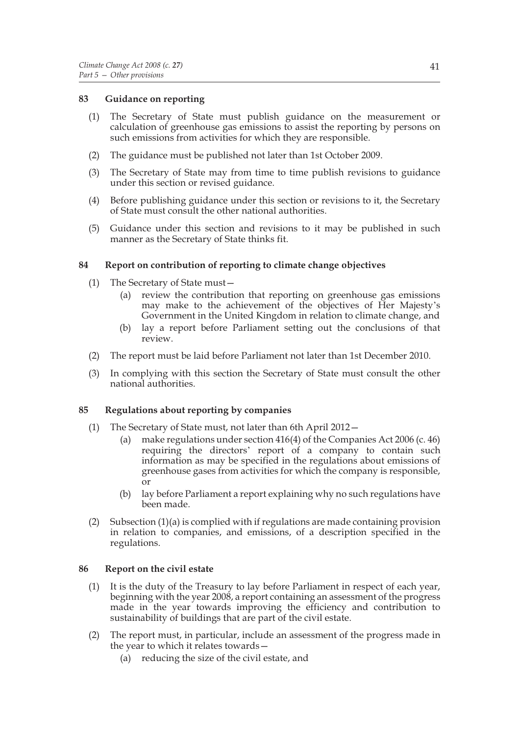## **83 Guidance on reporting**

- (1) The Secretary of State must publish guidance on the measurement or calculation of greenhouse gas emissions to assist the reporting by persons on such emissions from activities for which they are responsible.
- (2) The guidance must be published not later than 1st October 2009.
- (3) The Secretary of State may from time to time publish revisions to guidance under this section or revised guidance.
- (4) Before publishing guidance under this section or revisions to it, the Secretary of State must consult the other national authorities.
- (5) Guidance under this section and revisions to it may be published in such manner as the Secretary of State thinks fit.

#### **84 Report on contribution of reporting to climate change objectives**

- (1) The Secretary of State must—
	- (a) review the contribution that reporting on greenhouse gas emissions may make to the achievement of the objectives of Her Majesty's Government in the United Kingdom in relation to climate change, and
	- (b) lay a report before Parliament setting out the conclusions of that review.
- (2) The report must be laid before Parliament not later than 1st December 2010.
- (3) In complying with this section the Secretary of State must consult the other national authorities.

#### **85 Regulations about reporting by companies**

- (1) The Secretary of State must, not later than 6th April 2012—
	- (a) make regulations under section 416(4) of the Companies Act 2006 (c. 46) requiring the directors' report of a company to contain such information as may be specified in the regulations about emissions of greenhouse gases from activities for which the company is responsible, or
	- (b) lay before Parliament a report explaining why no such regulations have been made.
- (2) Subsection  $(1)(a)$  is complied with if regulations are made containing provision in relation to companies, and emissions, of a description specified in the regulations.

#### **86 Report on the civil estate**

- (1) It is the duty of the Treasury to lay before Parliament in respect of each year, beginning with the year 2008, a report containing an assessment of the progress made in the year towards improving the efficiency and contribution to sustainability of buildings that are part of the civil estate.
- (2) The report must, in particular, include an assessment of the progress made in the year to which it relates towards—
	- (a) reducing the size of the civil estate, and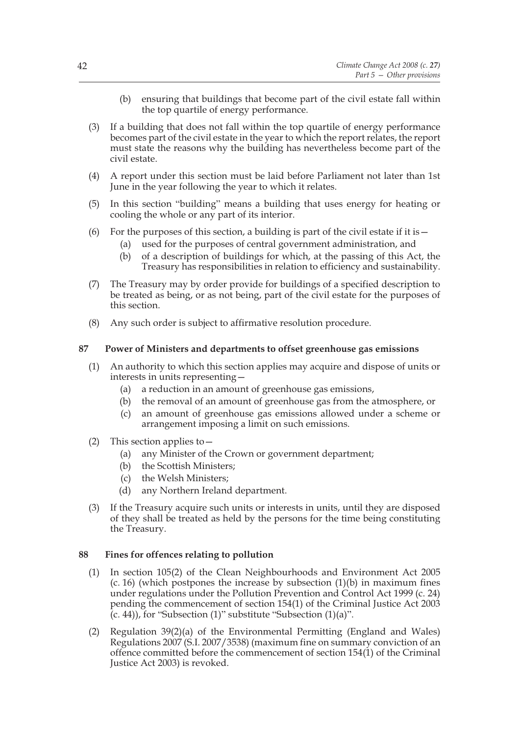- (b) ensuring that buildings that become part of the civil estate fall within the top quartile of energy performance.
- (3) If a building that does not fall within the top quartile of energy performance becomes part of the civil estate in the year to which the report relates, the report must state the reasons why the building has nevertheless become part of the civil estate.
- (4) A report under this section must be laid before Parliament not later than 1st June in the year following the year to which it relates.
- (5) In this section "building" means a building that uses energy for heating or cooling the whole or any part of its interior.
- (6) For the purposes of this section, a building is part of the civil estate if it is  $-$ 
	- (a) used for the purposes of central government administration, and
	- (b) of a description of buildings for which, at the passing of this Act, the Treasury has responsibilities in relation to efficiency and sustainability.
- (7) The Treasury may by order provide for buildings of a specified description to be treated as being, or as not being, part of the civil estate for the purposes of this section.
- (8) Any such order is subject to affirmative resolution procedure.

# **87 Power of Ministers and departments to offset greenhouse gas emissions**

- (1) An authority to which this section applies may acquire and dispose of units or interests in units representing—
	- (a) a reduction in an amount of greenhouse gas emissions,
	- (b) the removal of an amount of greenhouse gas from the atmosphere, or
	- (c) an amount of greenhouse gas emissions allowed under a scheme or arrangement imposing a limit on such emissions.
- (2) This section applies to—
	- (a) any Minister of the Crown or government department;
	- (b) the Scottish Ministers;
	- (c) the Welsh Ministers;
	- (d) any Northern Ireland department.
- (3) If the Treasury acquire such units or interests in units, until they are disposed of they shall be treated as held by the persons for the time being constituting the Treasury.

# **88 Fines for offences relating to pollution**

- (1) In section 105(2) of the Clean Neighbourhoods and Environment Act 2005  $(c. 16)$  (which postpones the increase by subsection  $(1)(b)$  in maximum fines under regulations under the Pollution Prevention and Control Act 1999 (c. 24) pending the commencement of section 154(1) of the Criminal Justice Act 2003  $(c. 44)$ , for "Subsection  $(1)$ " substitute "Subsection  $(1)(a)$ ".
- (2) Regulation 39(2)(a) of the Environmental Permitting (England and Wales) Regulations 2007 (S.I. 2007/3538) (maximum fine on summary conviction of an offence committed before the commencement of section 154(1) of the Criminal Justice Act 2003) is revoked.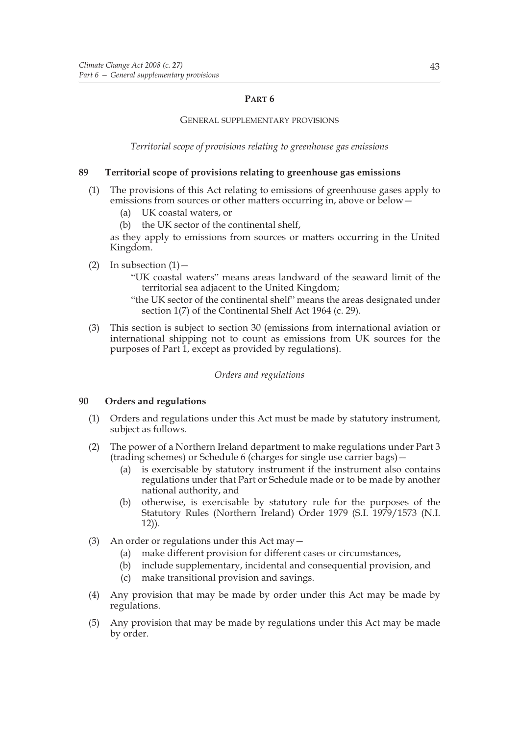## **PART 6**

#### GENERAL SUPPLEMENTARY PROVISIONS

*Territorial scope of provisions relating to greenhouse gas emissions*

## **89 Territorial scope of provisions relating to greenhouse gas emissions**

- (1) The provisions of this Act relating to emissions of greenhouse gases apply to emissions from sources or other matters occurring in, above or below—
	- (a) UK coastal waters, or
	- (b) the UK sector of the continental shelf,

as they apply to emissions from sources or matters occurring in the United Kingdom.

- (2) In subsection  $(1)$ 
	- "UK coastal waters" means areas landward of the seaward limit of the territorial sea adjacent to the United Kingdom;
	- "the UK sector of the continental shelf" means the areas designated under section 1(7) of the Continental Shelf Act 1964 (c. 29).
- (3) This section is subject to section 30 (emissions from international aviation or international shipping not to count as emissions from UK sources for the purposes of Part 1, except as provided by regulations).

# *Orders and regulations*

# **90 Orders and regulations**

- (1) Orders and regulations under this Act must be made by statutory instrument, subject as follows.
- (2) The power of a Northern Ireland department to make regulations under Part 3 (trading schemes) or Schedule 6 (charges for single use carrier bags)—
	- (a) is exercisable by statutory instrument if the instrument also contains regulations under that Part or Schedule made or to be made by another national authority, and
	- (b) otherwise, is exercisable by statutory rule for the purposes of the Statutory Rules (Northern Ireland) Order 1979 (S.I. 1979/1573 (N.I. 12)).
- (3) An order or regulations under this Act may—
	- (a) make different provision for different cases or circumstances,
	- (b) include supplementary, incidental and consequential provision, and
	- (c) make transitional provision and savings.
- (4) Any provision that may be made by order under this Act may be made by regulations.
- (5) Any provision that may be made by regulations under this Act may be made by order.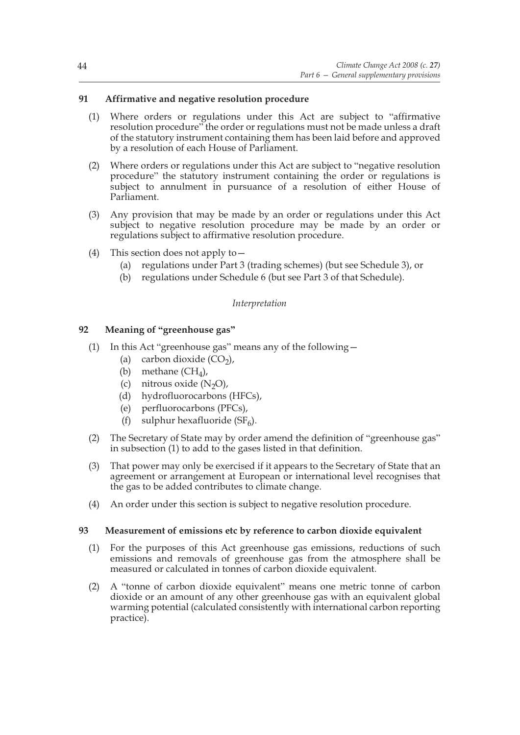# **91 Affirmative and negative resolution procedure**

- (1) Where orders or regulations under this Act are subject to "affirmative resolution procedure" the order or regulations must not be made unless a draft of the statutory instrument containing them has been laid before and approved by a resolution of each House of Parliament.
- (2) Where orders or regulations under this Act are subject to "negative resolution procedure" the statutory instrument containing the order or regulations is subject to annulment in pursuance of a resolution of either House of Parliament.
- (3) Any provision that may be made by an order or regulations under this Act subject to negative resolution procedure may be made by an order or regulations subject to affirmative resolution procedure.
- (4) This section does not apply to—
	- (a) regulations under Part 3 (trading schemes) (but see Schedule 3), or
	- (b) regulations under Schedule 6 (but see Part 3 of that Schedule).

# *Interpretation*

# **92 Meaning of "greenhouse gas"**

- (1) In this Act "greenhouse gas" means any of the following—
	- (a) carbon dioxide  $(CO<sub>2</sub>)$ ,
	- (b) methane  $(CH_4)$ ,
	- (c) nitrous oxide  $(N_2O)$ ,
	- (d) hydrofluorocarbons (HFCs),
	- (e) perfluorocarbons (PFCs),
	- (f) sulphur hexafluoride  $(SF_6)$ .
- (2) The Secretary of State may by order amend the definition of "greenhouse gas" in subsection (1) to add to the gases listed in that definition.
- (3) That power may only be exercised if it appears to the Secretary of State that an agreement or arrangement at European or international level recognises that the gas to be added contributes to climate change.
- (4) An order under this section is subject to negative resolution procedure.

# **93 Measurement of emissions etc by reference to carbon dioxide equivalent**

- (1) For the purposes of this Act greenhouse gas emissions, reductions of such emissions and removals of greenhouse gas from the atmosphere shall be measured or calculated in tonnes of carbon dioxide equivalent.
- (2) A "tonne of carbon dioxide equivalent" means one metric tonne of carbon dioxide or an amount of any other greenhouse gas with an equivalent global warming potential (calculated consistently with international carbon reporting practice).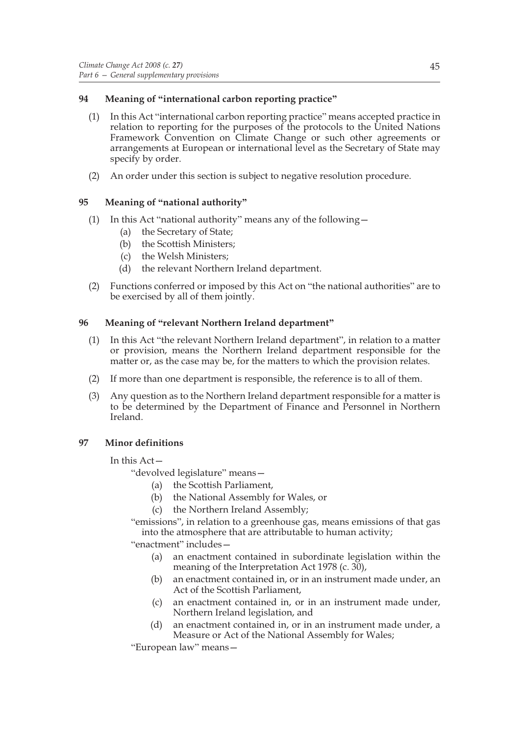# **94 Meaning of "international carbon reporting practice"**

- (1) In this Act "international carbon reporting practice" means accepted practice in relation to reporting for the purposes of the protocols to the United Nations Framework Convention on Climate Change or such other agreements or arrangements at European or international level as the Secretary of State may specify by order.
- (2) An order under this section is subject to negative resolution procedure.

# **95 Meaning of "national authority"**

- (1) In this Act "national authority" means any of the following—
	- (a) the Secretary of State;
	- (b) the Scottish Ministers;
	- (c) the Welsh Ministers;
	- (d) the relevant Northern Ireland department.
- (2) Functions conferred or imposed by this Act on "the national authorities" are to be exercised by all of them jointly.

# **96 Meaning of "relevant Northern Ireland department"**

- (1) In this Act "the relevant Northern Ireland department", in relation to a matter or provision, means the Northern Ireland department responsible for the matter or, as the case may be, for the matters to which the provision relates.
- (2) If more than one department is responsible, the reference is to all of them.
- (3) Any question as to the Northern Ireland department responsible for a matter is to be determined by the Department of Finance and Personnel in Northern Ireland.

# **97 Minor definitions**

# In this Act—

"devolved legislature" means—

- (a) the Scottish Parliament,
- (b) the National Assembly for Wales, or
- (c) the Northern Ireland Assembly;

"emissions", in relation to a greenhouse gas, means emissions of that gas into the atmosphere that are attributable to human activity;

"enactment" includes—

- (a) an enactment contained in subordinate legislation within the meaning of the Interpretation Act 1978 (c. 30),
- (b) an enactment contained in, or in an instrument made under, an Act of the Scottish Parliament,
- (c) an enactment contained in, or in an instrument made under, Northern Ireland legislation, and
- (d) an enactment contained in, or in an instrument made under, a Measure or Act of the National Assembly for Wales;

"European law" means—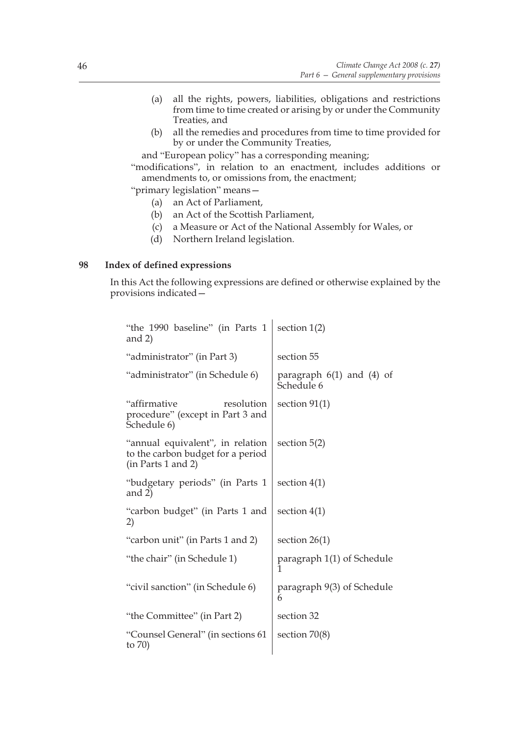- (a) all the rights, powers, liabilities, obligations and restrictions from time to time created or arising by or under the Community Treaties, and
- (b) all the remedies and procedures from time to time provided for by or under the Community Treaties,

and "European policy" has a corresponding meaning;

"modifications", in relation to an enactment, includes additions or amendments to, or omissions from, the enactment;

"primary legislation" means—

- (a) an Act of Parliament,
- (b) an Act of the Scottish Parliament,
- (c) a Measure or Act of the National Assembly for Wales, or
- (d) Northern Ireland legislation.

# **98 Index of defined expressions**

In this Act the following expressions are defined or otherwise explained by the provisions indicated—

| "the 1990 baseline" (in Parts 1<br>and $2)$                                                 | section $1(2)$                              |
|---------------------------------------------------------------------------------------------|---------------------------------------------|
| "administrator" (in Part 3)                                                                 | section 55                                  |
| "administrator" (in Schedule 6)                                                             | paragraph $6(1)$ and $(4)$ of<br>Schedule 6 |
| "affirmative<br>resolution<br>procedure" (except in Part 3 and<br>Schedule 6)               | section $91(1)$                             |
| "annual equivalent", in relation<br>to the carbon budget for a period<br>(in Parts 1 and 2) | section $5(2)$                              |
| "budgetary periods" (in Parts 1<br>and $2)$                                                 | section $4(1)$                              |
| "carbon budget" (in Parts 1 and<br>2)                                                       | section $4(1)$                              |
| "carbon unit" (in Parts 1 and 2)                                                            | section $26(1)$                             |
| "the chair" (in Schedule 1)                                                                 | paragraph 1(1) of Schedule<br>1             |
| "civil sanction" (in Schedule 6)                                                            | paragraph 9(3) of Schedule<br>6             |
| "the Committee" (in Part 2)                                                                 | section 32                                  |
| "Counsel General" (in sections 61<br>to $70$                                                | section $70(8)$                             |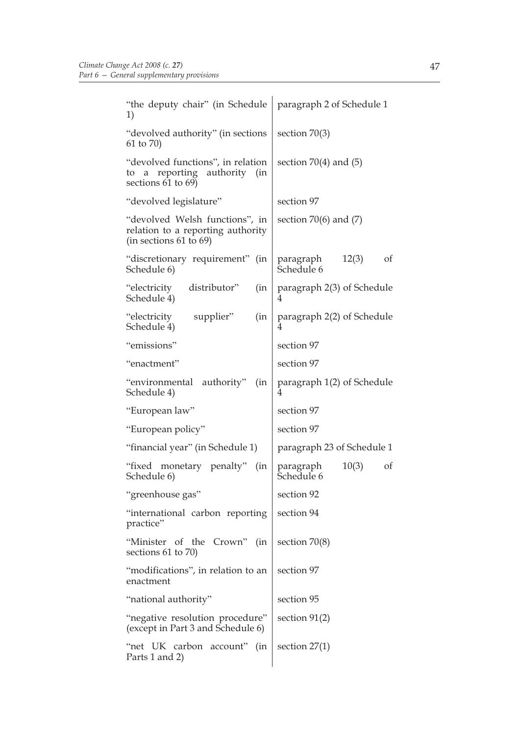| "the deputy chair" (in Schedule<br>1)                                                              | paragraph 2 of Schedule 1              |
|----------------------------------------------------------------------------------------------------|----------------------------------------|
| "devolved authority" (in sections<br>61 to 70)                                                     | section $70(3)$                        |
| "devolved functions", in relation<br>to a reporting authority<br>(in)<br>sections 61 to 69)        | section $70(4)$ and $(5)$              |
| "devolved legislature"                                                                             | section 97                             |
| "devolved Welsh functions", in<br>relation to a reporting authority<br>(in sections $61$ to $69$ ) | section $70(6)$ and $(7)$              |
| "discretionary requirement"<br>(in<br>Schedule 6)                                                  | of<br>12(3)<br>paragraph<br>Schedule 6 |
| distributor"<br>"electricity<br>(in<br>Schedule 4)                                                 | paragraph 2(3) of Schedule<br>4        |
| "electricity<br>supplier"<br>(in<br>Schedule 4)                                                    | paragraph 2(2) of Schedule<br>4        |
| "emissions"                                                                                        | section 97                             |
| "enactment"                                                                                        | section 97                             |
| "environmental authority"<br>(in<br>Schedule 4)                                                    | paragraph 1(2) of Schedule<br>4        |
| "European law"                                                                                     | section 97                             |
| "European policy"                                                                                  | section 97                             |
| "financial year" (in Schedule 1)                                                                   | paragraph 23 of Schedule 1             |
| "fixed monetary penalty"<br>(in<br>Schedule 6)                                                     | 10(3)<br>paragraph<br>of<br>Schedule 6 |
| "greenhouse gas"                                                                                   | section 92                             |
| "international carbon reporting<br>practice"                                                       | section 94                             |
| "Minister of the Crown" (in<br>sections 61 to 70)                                                  | section $70(8)$                        |
| "modifications", in relation to an<br>enactment                                                    | section 97                             |
| "national authority"                                                                               | section 95                             |
| "negative resolution procedure"<br>(except in Part 3 and Schedule 6)                               | section $91(2)$                        |
| "net UK carbon account"<br>(in<br>Parts 1 and 2)                                                   | section $27(1)$                        |
|                                                                                                    |                                        |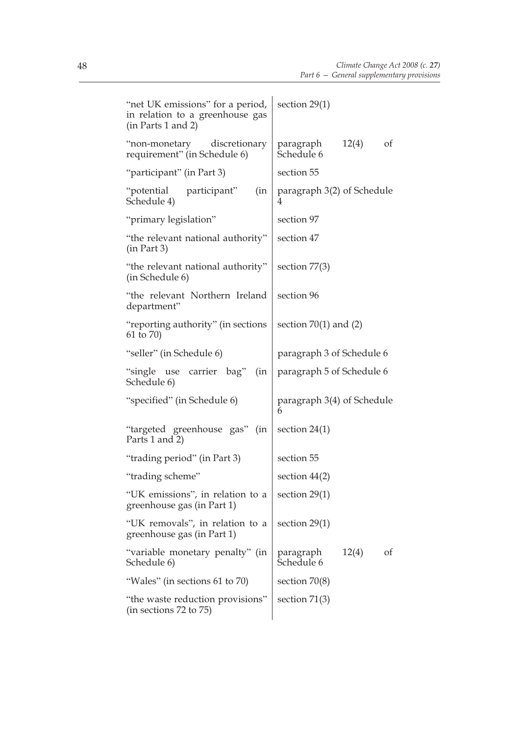| "net UK emissions" for a period,<br>in relation to a greenhouse gas<br>(in Parts 1 and 2) | section $29(1)$                        |
|-------------------------------------------------------------------------------------------|----------------------------------------|
| "non-monetary<br>discretionary<br>requirement" (in Schedule 6)                            | 12(4)<br>of<br>paragraph<br>Schedule 6 |
| "participant" (in Part 3)                                                                 | section 55                             |
| "potential participant"<br>(in<br>Schedule 4)                                             | paragraph 3(2) of Schedule<br>4        |
| "primary legislation"                                                                     | section 97                             |
| "the relevant national authority"<br>(in Part 3)                                          | section 47                             |
| "the relevant national authority"<br>(in Schedule 6)                                      | section $77(3)$                        |
| "the relevant Northern Ireland<br>department"                                             | section 96                             |
| "reporting authority" (in sections)<br>61 to 70)                                          | section $70(1)$ and $(2)$              |
| "seller" (in Schedule 6)                                                                  | paragraph 3 of Schedule 6              |
| "single use carrier bag"<br>(in<br>Schedule 6)                                            | paragraph 5 of Schedule 6              |
| "specified" (in Schedule 6)                                                               | paragraph 3(4) of Schedule<br>6        |
| "targeted greenhouse gas" (in<br>Parts 1 and 2)                                           | section $24(1)$                        |
| "trading period" (in Part 3)                                                              | section 55                             |
| "trading scheme"                                                                          | section $44(2)$                        |
| "UK emissions", in relation to a<br>greenhouse gas (in Part 1)                            | section 29(1)                          |
| "UK removals", in relation to a<br>greenhouse gas (in Part 1)                             | section $29(1)$                        |
| "variable monetary penalty" (in<br>Schedule 6)                                            | 12(4)<br>paragraph<br>of<br>Schedule 6 |
| "Wales" (in sections 61 to 70)                                                            | section $70(8)$                        |
| "the waste reduction provisions"<br>(in sections 72 to 75)                                | section $71(3)$                        |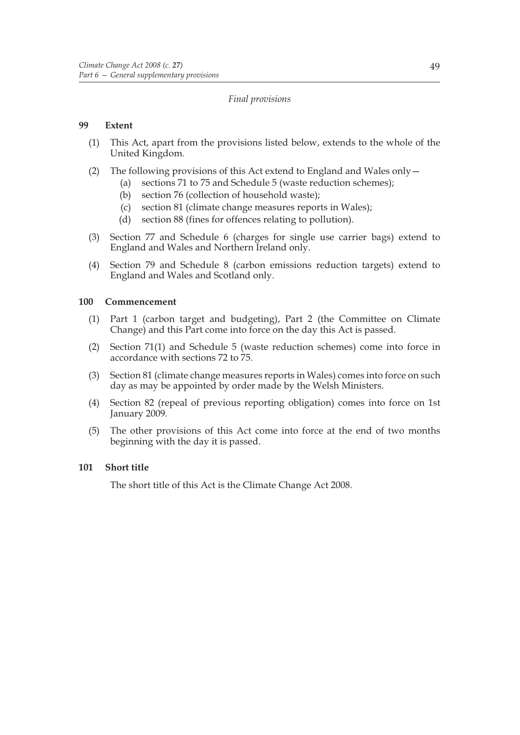# *Final provisions*

# **99 Extent**

- (1) This Act, apart from the provisions listed below, extends to the whole of the United Kingdom.
- (2) The following provisions of this Act extend to England and Wales only—
	- (a) sections 71 to 75 and Schedule 5 (waste reduction schemes);
	- (b) section 76 (collection of household waste);
	- (c) section 81 (climate change measures reports in Wales);
	- (d) section 88 (fines for offences relating to pollution).
- (3) Section 77 and Schedule 6 (charges for single use carrier bags) extend to England and Wales and Northern Ireland only.
- (4) Section 79 and Schedule 8 (carbon emissions reduction targets) extend to England and Wales and Scotland only.

# **100 Commencement**

- (1) Part 1 (carbon target and budgeting), Part 2 (the Committee on Climate Change) and this Part come into force on the day this Act is passed.
- (2) Section 71(1) and Schedule 5 (waste reduction schemes) come into force in accordance with sections 72 to 75.
- (3) Section 81 (climate change measures reports in Wales) comes into force on such day as may be appointed by order made by the Welsh Ministers.
- (4) Section 82 (repeal of previous reporting obligation) comes into force on 1st January 2009.
- (5) The other provisions of this Act come into force at the end of two months beginning with the day it is passed.

# **101 Short title**

The short title of this Act is the Climate Change Act 2008.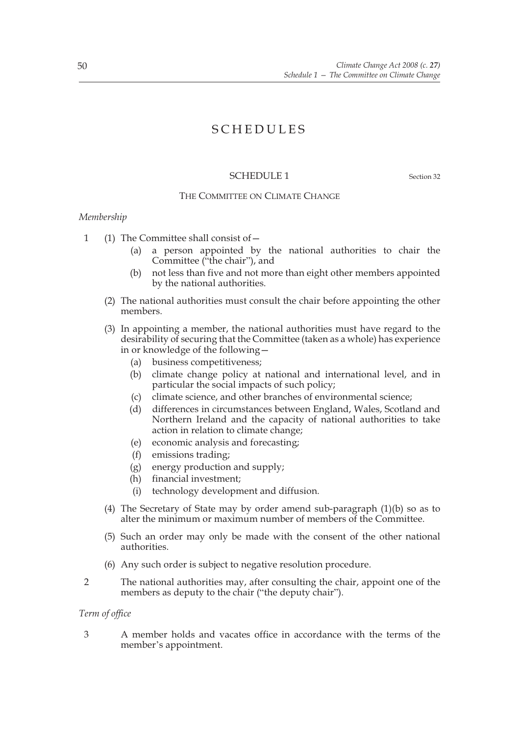# SCHEDULES

# SCHEDULE 1 Section 32

#### THE COMMITTEE ON CLIMATE CHANGE

#### *Membership*

1 (1) The Committee shall consist of—

- (a) a person appointed by the national authorities to chair the Committee ("the chair"), and
- (b) not less than five and not more than eight other members appointed by the national authorities.
- (2) The national authorities must consult the chair before appointing the other members.
- (3) In appointing a member, the national authorities must have regard to the desirability of securing that the Committee (taken as a whole) has experience in or knowledge of the following—
	- (a) business competitiveness;
	- (b) climate change policy at national and international level, and in particular the social impacts of such policy;
	- (c) climate science, and other branches of environmental science;
	- (d) differences in circumstances between England, Wales, Scotland and Northern Ireland and the capacity of national authorities to take action in relation to climate change;
	- (e) economic analysis and forecasting;
	- (f) emissions trading;
	- (g) energy production and supply;
	- (h) financial investment;
	- (i) technology development and diffusion.
- (4) The Secretary of State may by order amend sub-paragraph (1)(b) so as to alter the minimum or maximum number of members of the Committee.
- (5) Such an order may only be made with the consent of the other national authorities.
- (6) Any such order is subject to negative resolution procedure.
- 2 The national authorities may, after consulting the chair, appoint one of the members as deputy to the chair ("the deputy chair").

*Term of office*

3 A member holds and vacates office in accordance with the terms of the member's appointment.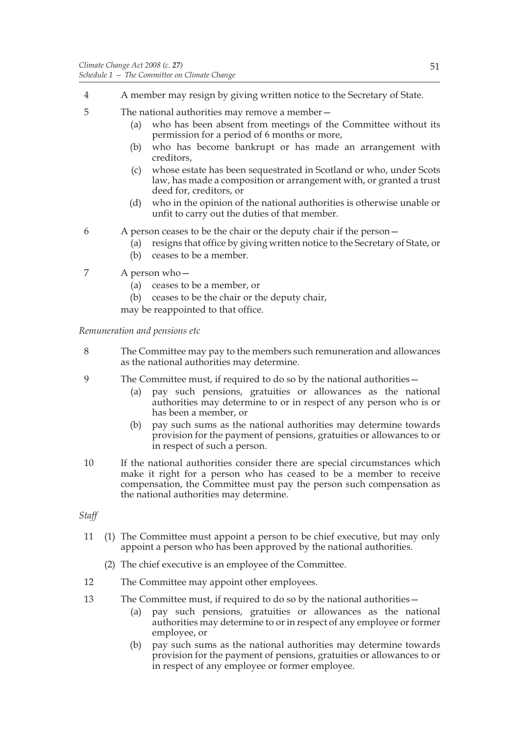- 4 A member may resign by giving written notice to the Secretary of State.
- 5 The national authorities may remove a member—
	- (a) who has been absent from meetings of the Committee without its permission for a period of 6 months or more,
	- (b) who has become bankrupt or has made an arrangement with creditors,
	- (c) whose estate has been sequestrated in Scotland or who, under Scots law, has made a composition or arrangement with, or granted a trust deed for, creditors, or
	- (d) who in the opinion of the national authorities is otherwise unable or unfit to carry out the duties of that member.
- 6 A person ceases to be the chair or the deputy chair if the person—
	- (a) resigns that office by giving written notice to the Secretary of State, or
	- (b) ceases to be a member.
- 7 A person who—
	- (a) ceases to be a member, or
	- (b) ceases to be the chair or the deputy chair,

may be reappointed to that office.

*Remuneration and pensions etc*

- 8 The Committee may pay to the members such remuneration and allowances as the national authorities may determine.
- 9 The Committee must, if required to do so by the national authorities—
	- (a) pay such pensions, gratuities or allowances as the national authorities may determine to or in respect of any person who is or has been a member, or
	- (b) pay such sums as the national authorities may determine towards provision for the payment of pensions, gratuities or allowances to or in respect of such a person.
- 10 If the national authorities consider there are special circumstances which make it right for a person who has ceased to be a member to receive compensation, the Committee must pay the person such compensation as the national authorities may determine.

*Staff*

- 11 (1) The Committee must appoint a person to be chief executive, but may only appoint a person who has been approved by the national authorities.
	- (2) The chief executive is an employee of the Committee.
- 12 The Committee may appoint other employees.
- 13 The Committee must, if required to do so by the national authorities—
	- (a) pay such pensions, gratuities or allowances as the national authorities may determine to or in respect of any employee or former employee, or
	- (b) pay such sums as the national authorities may determine towards provision for the payment of pensions, gratuities or allowances to or in respect of any employee or former employee.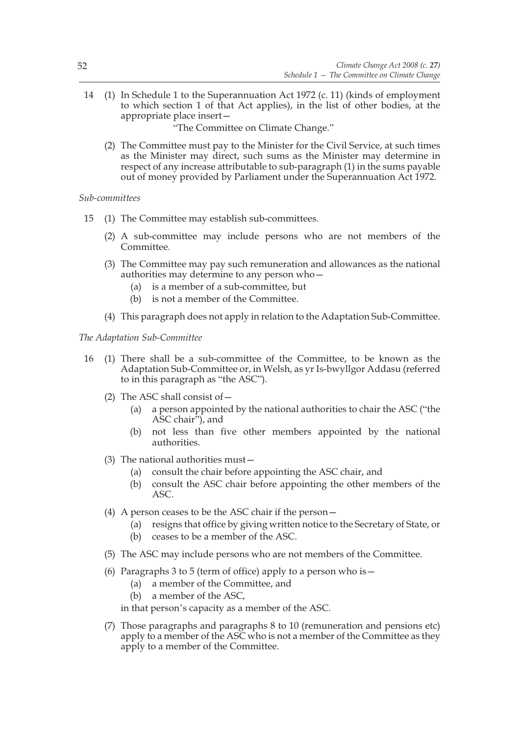14 (1) In Schedule 1 to the Superannuation Act 1972 (c. 11) (kinds of employment to which section 1 of that Act applies), in the list of other bodies, at the appropriate place insert—

"The Committee on Climate Change."

(2) The Committee must pay to the Minister for the Civil Service, at such times as the Minister may direct, such sums as the Minister may determine in respect of any increase attributable to sub-paragraph (1) in the sums payable out of money provided by Parliament under the Superannuation Act 1972.

#### *Sub-committees*

- 15 (1) The Committee may establish sub-committees.
	- (2) A sub-committee may include persons who are not members of the Committee.
	- (3) The Committee may pay such remuneration and allowances as the national authorities may determine to any person who—
		- (a) is a member of a sub-committee, but
		- (b) is not a member of the Committee.
	- (4) This paragraph does not apply in relation to the Adaptation Sub-Committee.

#### *The Adaptation Sub-Committee*

- 16 (1) There shall be a sub-committee of the Committee, to be known as the Adaptation Sub-Committee or, in Welsh, as yr Is-bwyllgor Addasu (referred to in this paragraph as "the ASC").
	- (2) The ASC shall consist of—
		- (a) a person appointed by the national authorities to chair the ASC ("the ASC chair"), and
		- (b) not less than five other members appointed by the national authorities.
	- (3) The national authorities must—
		- (a) consult the chair before appointing the ASC chair, and
		- (b) consult the ASC chair before appointing the other members of the ASC.
	- (4) A person ceases to be the ASC chair if the person—
		- (a) resigns that office by giving written notice to the Secretary of State, or
		- (b) ceases to be a member of the ASC.
	- (5) The ASC may include persons who are not members of the Committee.
	- (6) Paragraphs 3 to 5 (term of office) apply to a person who is  $-$ 
		- (a) a member of the Committee, and
		- (b) a member of the ASC,

in that person's capacity as a member of the ASC.

(7) Those paragraphs and paragraphs 8 to 10 (remuneration and pensions etc) apply to a member of the ASC who is not a member of the Committee as they apply to a member of the Committee.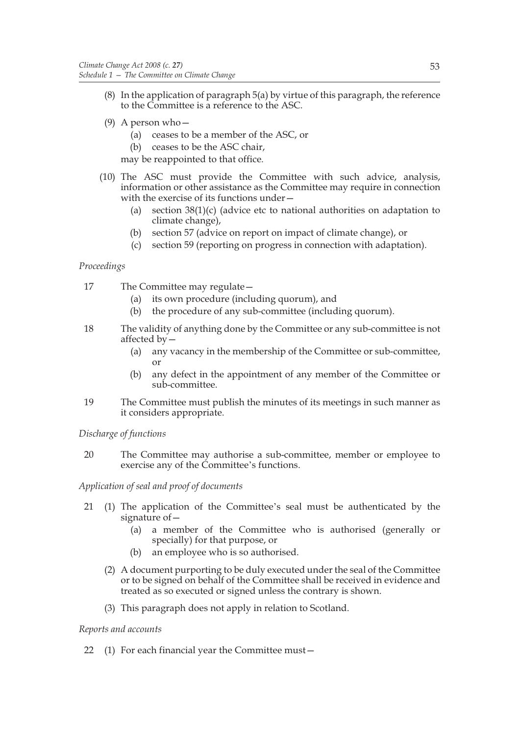- (8) In the application of paragraph 5(a) by virtue of this paragraph, the reference to the Committee is a reference to the ASC.
- (9) A person who—
	- (a) ceases to be a member of the ASC, or
	- (b) ceases to be the ASC chair,

may be reappointed to that office.

- (10) The ASC must provide the Committee with such advice, analysis, information or other assistance as the Committee may require in connection with the exercise of its functions under—
	- (a) section  $38(1)(c)$  (advice etc to national authorities on adaptation to climate change),
	- (b) section 57 (advice on report on impact of climate change), or
	- (c) section 59 (reporting on progress in connection with adaptation).

# *Proceedings*

- 17 The Committee may regulate—
	- (a) its own procedure (including quorum), and
	- (b) the procedure of any sub-committee (including quorum).
- 18 The validity of anything done by the Committee or any sub-committee is not affected by—
	- (a) any vacancy in the membership of the Committee or sub-committee, or
	- (b) any defect in the appointment of any member of the Committee or sub-committee.
- 19 The Committee must publish the minutes of its meetings in such manner as it considers appropriate.

# *Discharge of functions*

20 The Committee may authorise a sub-committee, member or employee to exercise any of the Committee's functions.

# *Application of seal and proof of documents*

- 21 (1) The application of the Committee's seal must be authenticated by the signature of—
	- (a) a member of the Committee who is authorised (generally or specially) for that purpose, or
	- (b) an employee who is so authorised.
	- (2) A document purporting to be duly executed under the seal of the Committee or to be signed on behalf of the Committee shall be received in evidence and treated as so executed or signed unless the contrary is shown.
	- (3) This paragraph does not apply in relation to Scotland.

# *Reports and accounts*

22 (1) For each financial year the Committee must—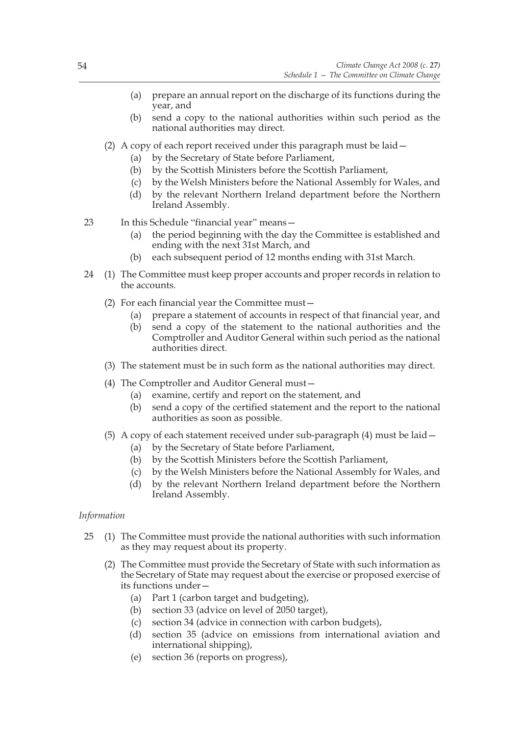- (a) prepare an annual report on the discharge of its functions during the year, and
- (b) send a copy to the national authorities within such period as the national authorities may direct.
- (2) A copy of each report received under this paragraph must be laid—
	- (a) by the Secretary of State before Parliament,
	- (b) by the Scottish Ministers before the Scottish Parliament,
	- (c) by the Welsh Ministers before the National Assembly for Wales, and
	- (d) by the relevant Northern Ireland department before the Northern Ireland Assembly.
- 23 In this Schedule "financial year" means—
	- (a) the period beginning with the day the Committee is established and ending with the next 31st March, and
	- (b) each subsequent period of 12 months ending with 31st March.
- 24 (1) The Committee must keep proper accounts and proper records in relation to the accounts.
	- (2) For each financial year the Committee must—
		- (a) prepare a statement of accounts in respect of that financial year, and
		- (b) send a copy of the statement to the national authorities and the Comptroller and Auditor General within such period as the national authorities direct.
	- (3) The statement must be in such form as the national authorities may direct.
	- (4) The Comptroller and Auditor General must—
		- (a) examine, certify and report on the statement, and
		- (b) send a copy of the certified statement and the report to the national authorities as soon as possible.
	- (5) A copy of each statement received under sub-paragraph (4) must be laid—
		- (a) by the Secretary of State before Parliament,
		- (b) by the Scottish Ministers before the Scottish Parliament,
		- (c) by the Welsh Ministers before the National Assembly for Wales, and
		- (d) by the relevant Northern Ireland department before the Northern Ireland Assembly.

# *Information*

- 25 (1) The Committee must provide the national authorities with such information as they may request about its property.
	- (2) The Committee must provide the Secretary of State with such information as the Secretary of State may request about the exercise or proposed exercise of its functions under—
		- (a) Part 1 (carbon target and budgeting),
		- (b) section 33 (advice on level of 2050 target),
		- (c) section 34 (advice in connection with carbon budgets),
		- (d) section 35 (advice on emissions from international aviation and international shipping),
		- (e) section 36 (reports on progress),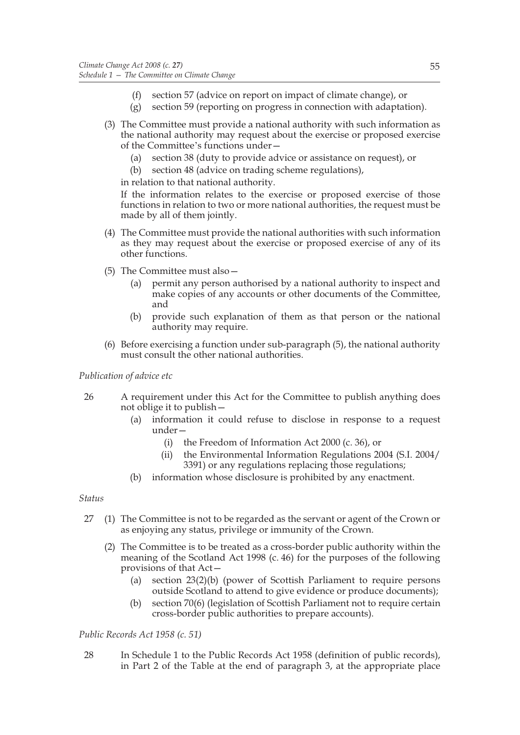- (f) section 57 (advice on report on impact of climate change), or
- (g) section 59 (reporting on progress in connection with adaptation).
- (3) The Committee must provide a national authority with such information as the national authority may request about the exercise or proposed exercise of the Committee's functions under—
	- (a) section 38 (duty to provide advice or assistance on request), or
	- (b) section 48 (advice on trading scheme regulations),

in relation to that national authority.

If the information relates to the exercise or proposed exercise of those functions in relation to two or more national authorities, the request must be made by all of them jointly.

- (4) The Committee must provide the national authorities with such information as they may request about the exercise or proposed exercise of any of its other functions.
- (5) The Committee must also—
	- (a) permit any person authorised by a national authority to inspect and make copies of any accounts or other documents of the Committee, and
	- (b) provide such explanation of them as that person or the national authority may require.
- (6) Before exercising a function under sub-paragraph (5), the national authority must consult the other national authorities.

*Publication of advice etc*

- 26 A requirement under this Act for the Committee to publish anything does not oblige it to publish—
	- (a) information it could refuse to disclose in response to a request under—
		- (i) the Freedom of Information Act 2000 (c. 36), or
		- (ii) the Environmental Information Regulations 2004 (S.I. 2004/ 3391) or any regulations replacing those regulations;
	- (b) information whose disclosure is prohibited by any enactment.

*Status*

- 27 (1) The Committee is not to be regarded as the servant or agent of the Crown or as enjoying any status, privilege or immunity of the Crown.
	- (2) The Committee is to be treated as a cross-border public authority within the meaning of the Scotland Act 1998 (c. 46) for the purposes of the following provisions of that Act—
		- (a) section 23(2)(b) (power of Scottish Parliament to require persons outside Scotland to attend to give evidence or produce documents);
		- (b) section 70(6) (legislation of Scottish Parliament not to require certain cross-border public authorities to prepare accounts).

*Public Records Act 1958 (c. 51)*

28 In Schedule 1 to the Public Records Act 1958 (definition of public records), in Part 2 of the Table at the end of paragraph 3, at the appropriate place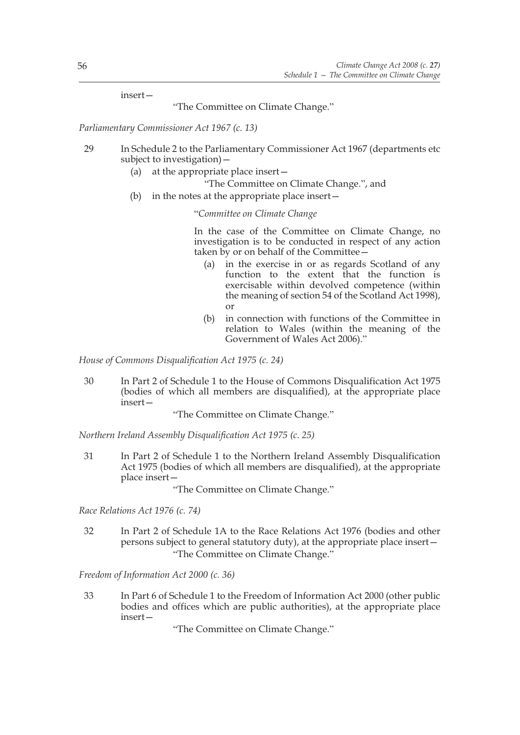insert—

"The Committee on Climate Change."

*Parliamentary Commissioner Act 1967 (c. 13)*

- 29 In Schedule 2 to the Parliamentary Commissioner Act 1967 (departments etc subject to investigation)—
	- (a) at the appropriate place insert—
		- "The Committee on Climate Change.", and
	- (b) in the notes at the appropriate place insert—

"*Committee on Climate Change*

In the case of the Committee on Climate Change, no investigation is to be conducted in respect of any action taken by or on behalf of the Committee—

- (a) in the exercise in or as regards Scotland of any function to the extent that the function is exercisable within devolved competence (within the meaning of section 54 of the Scotland Act 1998), or
- (b) in connection with functions of the Committee in relation to Wales (within the meaning of the Government of Wales Act 2006)."

*House of Commons Disqualification Act 1975 (c. 24)*

30 In Part 2 of Schedule 1 to the House of Commons Disqualification Act 1975 (bodies of which all members are disqualified), at the appropriate place insert—

"The Committee on Climate Change."

*Northern Ireland Assembly Disqualification Act 1975 (c. 25)*

31 In Part 2 of Schedule 1 to the Northern Ireland Assembly Disqualification Act 1975 (bodies of which all members are disqualified), at the appropriate place insert—

"The Committee on Climate Change."

*Race Relations Act 1976 (c. 74)*

32 In Part 2 of Schedule 1A to the Race Relations Act 1976 (bodies and other persons subject to general statutory duty), at the appropriate place insert— "The Committee on Climate Change."

*Freedom of Information Act 2000 (c. 36)*

33 In Part 6 of Schedule 1 to the Freedom of Information Act 2000 (other public bodies and offices which are public authorities), at the appropriate place insert—

"The Committee on Climate Change."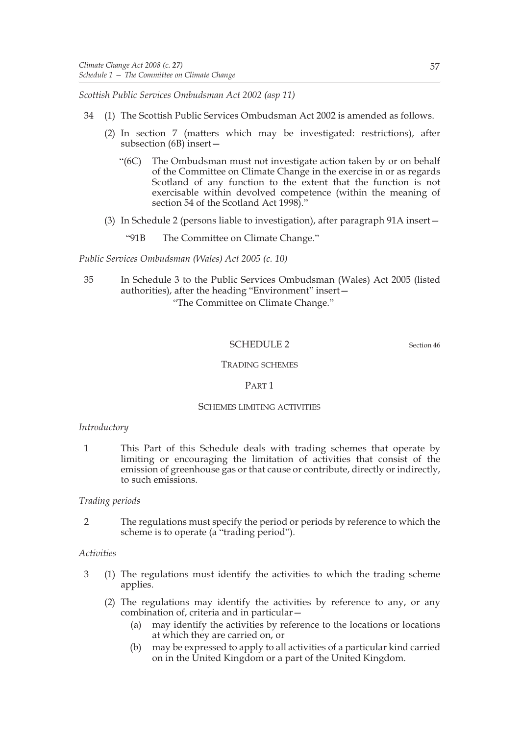*Scottish Public Services Ombudsman Act 2002 (asp 11)*

- 34 (1) The Scottish Public Services Ombudsman Act 2002 is amended as follows.
	- (2) In section 7 (matters which may be investigated: restrictions), after subsection (6B) insert-
		- "(6C) The Ombudsman must not investigate action taken by or on behalf of the Committee on Climate Change in the exercise in or as regards Scotland of any function to the extent that the function is not exercisable within devolved competence (within the meaning of section 54 of the Scotland Act 1998)."
	- (3) In Schedule 2 (persons liable to investigation), after paragraph 91A insert—
		- "91B The Committee on Climate Change."

*Public Services Ombudsman (Wales) Act 2005 (c. 10)*

35 In Schedule 3 to the Public Services Ombudsman (Wales) Act 2005 (listed authorities), after the heading "Environment" insert— "The Committee on Climate Change."

# SCHEDULE 2 Section 46

## TRADING SCHEMES

PART 1

#### SCHEMES LIMITING ACTIVITIES

# *Introductory*

1 This Part of this Schedule deals with trading schemes that operate by limiting or encouraging the limitation of activities that consist of the emission of greenhouse gas or that cause or contribute, directly or indirectly, to such emissions.

# *Trading periods*

2 The regulations must specify the period or periods by reference to which the scheme is to operate (a "trading period").

# *Activities*

- 3 (1) The regulations must identify the activities to which the trading scheme applies.
	- (2) The regulations may identify the activities by reference to any, or any combination of, criteria and in particular—
		- (a) may identify the activities by reference to the locations or locations at which they are carried on, or
		- (b) may be expressed to apply to all activities of a particular kind carried on in the United Kingdom or a part of the United Kingdom.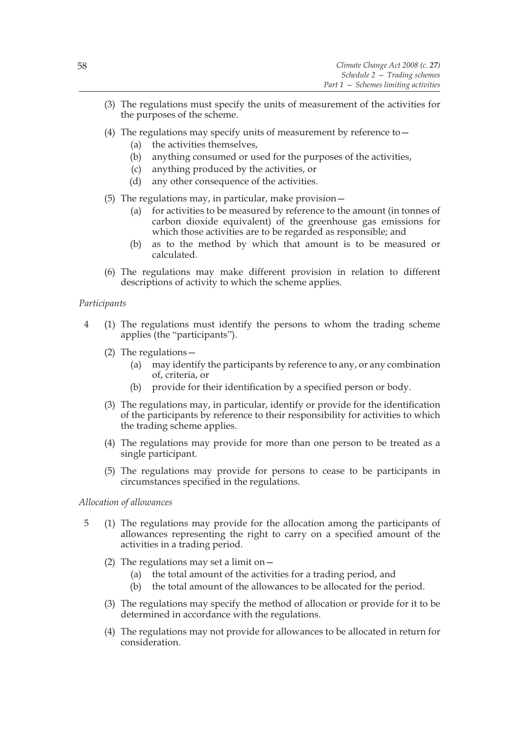- (3) The regulations must specify the units of measurement of the activities for the purposes of the scheme.
- (4) The regulations may specify units of measurement by reference to  $-$ 
	- (a) the activities themselves,
	- (b) anything consumed or used for the purposes of the activities,
	- (c) anything produced by the activities, or
	- (d) any other consequence of the activities.
- (5) The regulations may, in particular, make provision—
	- (a) for activities to be measured by reference to the amount (in tonnes of carbon dioxide equivalent) of the greenhouse gas emissions for which those activities are to be regarded as responsible; and
	- (b) as to the method by which that amount is to be measured or calculated.
- (6) The regulations may make different provision in relation to different descriptions of activity to which the scheme applies.

# *Participants*

- 4 (1) The regulations must identify the persons to whom the trading scheme applies (the "participants").
	- (2) The regulations—
		- (a) may identify the participants by reference to any, or any combination of, criteria, or
		- (b) provide for their identification by a specified person or body.
	- (3) The regulations may, in particular, identify or provide for the identification of the participants by reference to their responsibility for activities to which the trading scheme applies.
	- (4) The regulations may provide for more than one person to be treated as a single participant.
	- (5) The regulations may provide for persons to cease to be participants in circumstances specified in the regulations.

# *Allocation of allowances*

- 5 (1) The regulations may provide for the allocation among the participants of allowances representing the right to carry on a specified amount of the activities in a trading period.
	- (2) The regulations may set a limit on  $-$ 
		- (a) the total amount of the activities for a trading period, and
		- (b) the total amount of the allowances to be allocated for the period.
	- (3) The regulations may specify the method of allocation or provide for it to be determined in accordance with the regulations.
	- (4) The regulations may not provide for allowances to be allocated in return for consideration.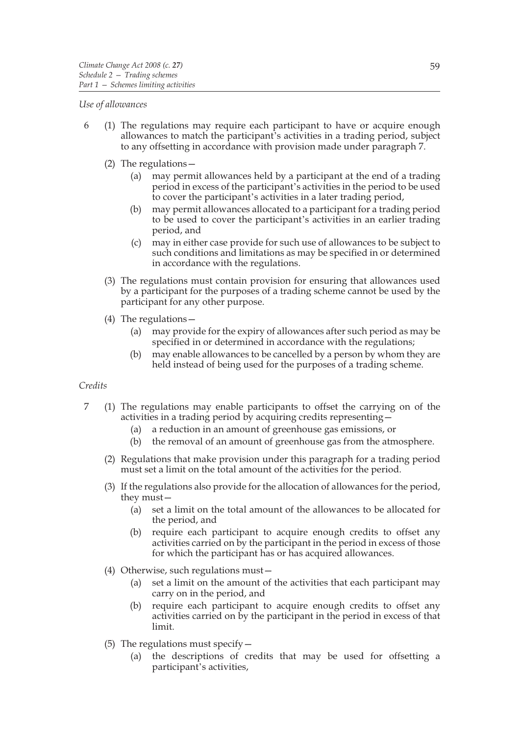#### *Use of allowances*

- 6 (1) The regulations may require each participant to have or acquire enough allowances to match the participant's activities in a trading period, subject to any offsetting in accordance with provision made under paragraph 7.
	- (2) The regulations—
		- (a) may permit allowances held by a participant at the end of a trading period in excess of the participant's activities in the period to be used to cover the participant's activities in a later trading period,
		- (b) may permit allowances allocated to a participant for a trading period to be used to cover the participant's activities in an earlier trading period, and
		- (c) may in either case provide for such use of allowances to be subject to such conditions and limitations as may be specified in or determined in accordance with the regulations.
	- (3) The regulations must contain provision for ensuring that allowances used by a participant for the purposes of a trading scheme cannot be used by the participant for any other purpose.
	- (4) The regulations—
		- (a) may provide for the expiry of allowances after such period as may be specified in or determined in accordance with the regulations;
		- (b) may enable allowances to be cancelled by a person by whom they are held instead of being used for the purposes of a trading scheme.

# *Credits*

- 7 (1) The regulations may enable participants to offset the carrying on of the activities in a trading period by acquiring credits representing—
	- (a) a reduction in an amount of greenhouse gas emissions, or
	- (b) the removal of an amount of greenhouse gas from the atmosphere.
	- (2) Regulations that make provision under this paragraph for a trading period must set a limit on the total amount of the activities for the period.
	- (3) If the regulations also provide for the allocation of allowances for the period, they must—
		- (a) set a limit on the total amount of the allowances to be allocated for the period, and
		- (b) require each participant to acquire enough credits to offset any activities carried on by the participant in the period in excess of those for which the participant has or has acquired allowances.
	- (4) Otherwise, such regulations must—
		- (a) set a limit on the amount of the activities that each participant may carry on in the period, and
		- (b) require each participant to acquire enough credits to offset any activities carried on by the participant in the period in excess of that limit.
	- (5) The regulations must specify  $-$ 
		- (a) the descriptions of credits that may be used for offsetting a participant's activities,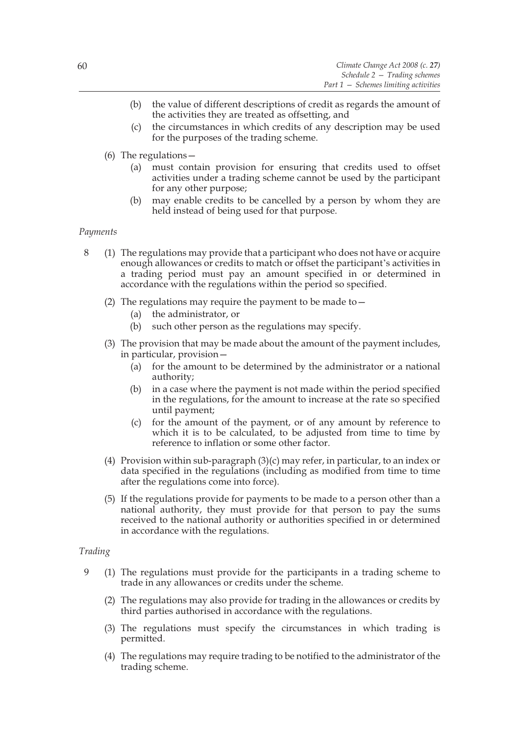- (b) the value of different descriptions of credit as regards the amount of the activities they are treated as offsetting, and
- (c) the circumstances in which credits of any description may be used for the purposes of the trading scheme.
- (6) The regulations—
	- (a) must contain provision for ensuring that credits used to offset activities under a trading scheme cannot be used by the participant for any other purpose;
	- (b) may enable credits to be cancelled by a person by whom they are held instead of being used for that purpose.

#### *Payments*

- 8 (1) The regulations may provide that a participant who does not have or acquire enough allowances or credits to match or offset the participant's activities in a trading period must pay an amount specified in or determined in accordance with the regulations within the period so specified.
	- (2) The regulations may require the payment to be made to  $-$ 
		- (a) the administrator, or
		- (b) such other person as the regulations may specify.
	- (3) The provision that may be made about the amount of the payment includes, in particular, provision—
		- (a) for the amount to be determined by the administrator or a national authority;
		- (b) in a case where the payment is not made within the period specified in the regulations, for the amount to increase at the rate so specified until payment;
		- (c) for the amount of the payment, or of any amount by reference to which it is to be calculated, to be adjusted from time to time by reference to inflation or some other factor.
	- (4) Provision within sub-paragraph (3)(c) may refer, in particular, to an index or data specified in the regulations (including as modified from time to time after the regulations come into force).
	- (5) If the regulations provide for payments to be made to a person other than a national authority, they must provide for that person to pay the sums received to the national authority or authorities specified in or determined in accordance with the regulations.

#### *Trading*

- 9 (1) The regulations must provide for the participants in a trading scheme to trade in any allowances or credits under the scheme.
	- (2) The regulations may also provide for trading in the allowances or credits by third parties authorised in accordance with the regulations.
	- (3) The regulations must specify the circumstances in which trading is permitted.
	- (4) The regulations may require trading to be notified to the administrator of the trading scheme.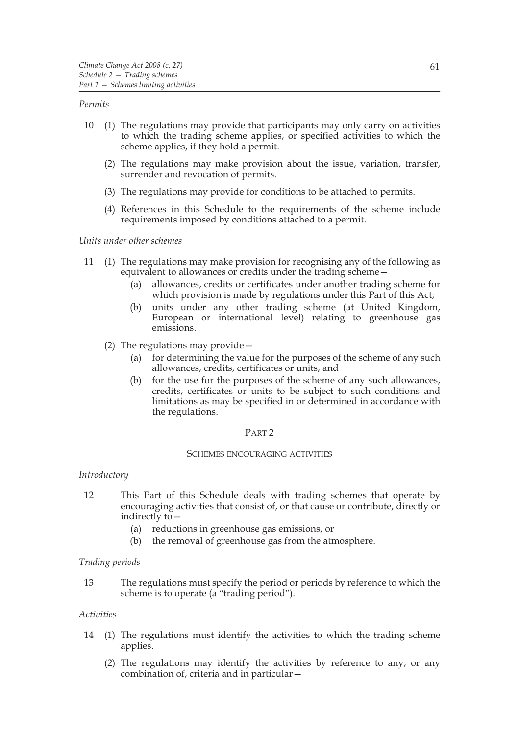#### *Permits*

- 10 (1) The regulations may provide that participants may only carry on activities to which the trading scheme applies, or specified activities to which the scheme applies, if they hold a permit.
	- (2) The regulations may make provision about the issue, variation, transfer, surrender and revocation of permits.
	- (3) The regulations may provide for conditions to be attached to permits.
	- (4) References in this Schedule to the requirements of the scheme include requirements imposed by conditions attached to a permit.

#### *Units under other schemes*

- 11 (1) The regulations may make provision for recognising any of the following as equivalent to allowances or credits under the trading scheme—
	- (a) allowances, credits or certificates under another trading scheme for which provision is made by regulations under this Part of this Act;
	- (b) units under any other trading scheme (at United Kingdom, European or international level) relating to greenhouse gas emissions.
	- (2) The regulations may provide—
		- (a) for determining the value for the purposes of the scheme of any such allowances, credits, certificates or units, and
		- (b) for the use for the purposes of the scheme of any such allowances, credits, certificates or units to be subject to such conditions and limitations as may be specified in or determined in accordance with the regulations.

#### PART 2

#### SCHEMES ENCOURAGING ACTIVITIES

#### *Introductory*

- 12 This Part of this Schedule deals with trading schemes that operate by encouraging activities that consist of, or that cause or contribute, directly or indirectly to—
	- (a) reductions in greenhouse gas emissions, or
	- (b) the removal of greenhouse gas from the atmosphere.

#### *Trading periods*

13 The regulations must specify the period or periods by reference to which the scheme is to operate (a "trading period").

#### *Activities*

- 14 (1) The regulations must identify the activities to which the trading scheme applies.
	- (2) The regulations may identify the activities by reference to any, or any combination of, criteria and in particular—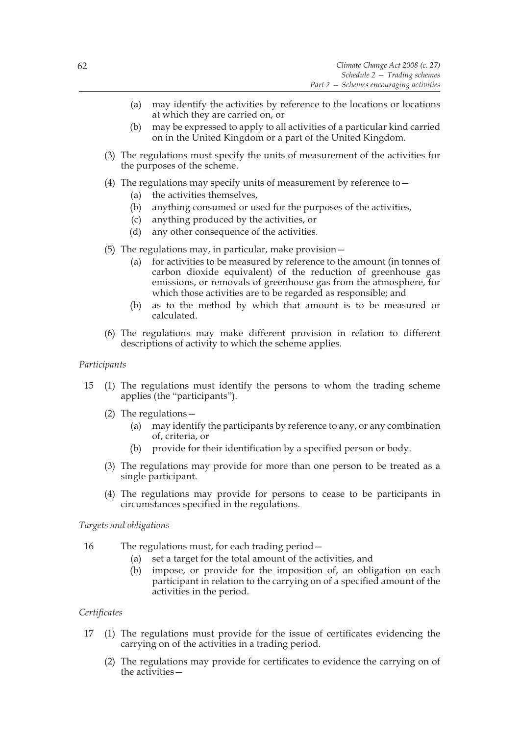- (a) may identify the activities by reference to the locations or locations at which they are carried on, or
- (b) may be expressed to apply to all activities of a particular kind carried on in the United Kingdom or a part of the United Kingdom.
- (3) The regulations must specify the units of measurement of the activities for the purposes of the scheme.
- (4) The regulations may specify units of measurement by reference to  $-$ 
	- (a) the activities themselves,
	- (b) anything consumed or used for the purposes of the activities,
	- (c) anything produced by the activities, or
	- (d) any other consequence of the activities.
- (5) The regulations may, in particular, make provision—
	- (a) for activities to be measured by reference to the amount (in tonnes of carbon dioxide equivalent) of the reduction of greenhouse gas emissions, or removals of greenhouse gas from the atmosphere, for which those activities are to be regarded as responsible; and
	- (b) as to the method by which that amount is to be measured or calculated.
- (6) The regulations may make different provision in relation to different descriptions of activity to which the scheme applies.

## *Participants*

- 15 (1) The regulations must identify the persons to whom the trading scheme applies (the "participants").
	- (2) The regulations—
		- (a) may identify the participants by reference to any, or any combination of, criteria, or
		- (b) provide for their identification by a specified person or body.
	- (3) The regulations may provide for more than one person to be treated as a single participant.
	- (4) The regulations may provide for persons to cease to be participants in circumstances specified in the regulations.

# *Targets and obligations*

- 16 The regulations must, for each trading period—
	- (a) set a target for the total amount of the activities, and
	- (b) impose, or provide for the imposition of, an obligation on each participant in relation to the carrying on of a specified amount of the activities in the period.

# *Certificates*

- 17 (1) The regulations must provide for the issue of certificates evidencing the carrying on of the activities in a trading period.
	- (2) The regulations may provide for certificates to evidence the carrying on of the activities—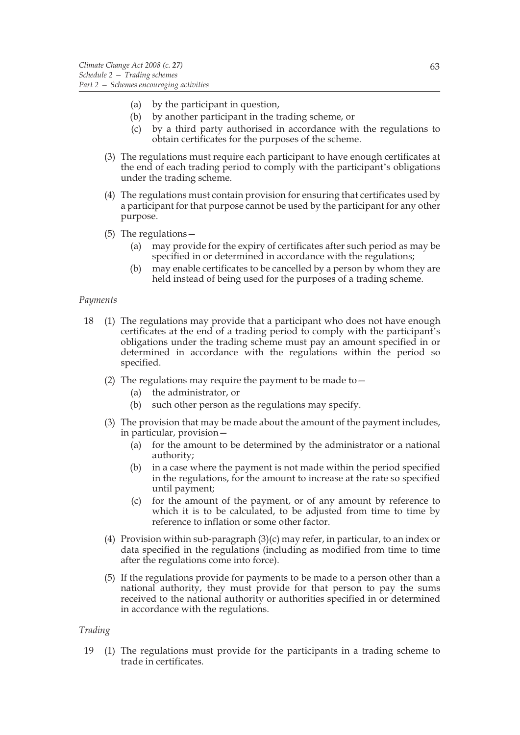- (a) by the participant in question,
- (b) by another participant in the trading scheme, or
- (c) by a third party authorised in accordance with the regulations to obtain certificates for the purposes of the scheme.
- (3) The regulations must require each participant to have enough certificates at the end of each trading period to comply with the participant's obligations under the trading scheme.
- (4) The regulations must contain provision for ensuring that certificates used by a participant for that purpose cannot be used by the participant for any other purpose.
- (5) The regulations—
	- (a) may provide for the expiry of certificates after such period as may be specified in or determined in accordance with the regulations;
	- (b) may enable certificates to be cancelled by a person by whom they are held instead of being used for the purposes of a trading scheme.

#### *Payments*

- 18 (1) The regulations may provide that a participant who does not have enough certificates at the end of a trading period to comply with the participant's obligations under the trading scheme must pay an amount specified in or determined in accordance with the regulations within the period so specified.
	- (2) The regulations may require the payment to be made to  $-$ 
		- (a) the administrator, or
		- (b) such other person as the regulations may specify.
	- (3) The provision that may be made about the amount of the payment includes, in particular, provision—
		- (a) for the amount to be determined by the administrator or a national authority;
		- (b) in a case where the payment is not made within the period specified in the regulations, for the amount to increase at the rate so specified until payment;
		- (c) for the amount of the payment, or of any amount by reference to which it is to be calculated, to be adjusted from time to time by reference to inflation or some other factor.
	- (4) Provision within sub-paragraph  $(3)(c)$  may refer, in particular, to an index or data specified in the regulations (including as modified from time to time after the regulations come into force).
	- (5) If the regulations provide for payments to be made to a person other than a national authority, they must provide for that person to pay the sums received to the national authority or authorities specified in or determined in accordance with the regulations.

# *Trading*

19 (1) The regulations must provide for the participants in a trading scheme to trade in certificates.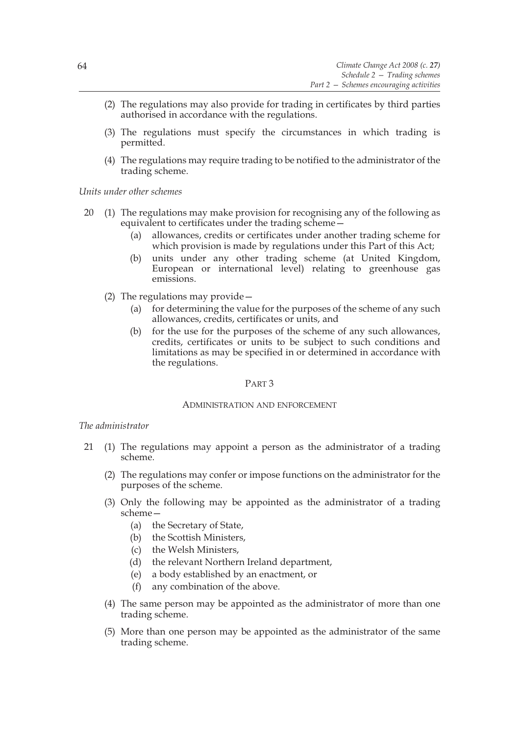- (2) The regulations may also provide for trading in certificates by third parties authorised in accordance with the regulations.
- (3) The regulations must specify the circumstances in which trading is permitted.
- (4) The regulations may require trading to be notified to the administrator of the trading scheme.

*Units under other schemes*

- 20 (1) The regulations may make provision for recognising any of the following as equivalent to certificates under the trading scheme—
	- (a) allowances, credits or certificates under another trading scheme for which provision is made by regulations under this Part of this Act;
	- (b) units under any other trading scheme (at United Kingdom, European or international level) relating to greenhouse gas emissions.
	- (2) The regulations may provide—
		- (a) for determining the value for the purposes of the scheme of any such allowances, credits, certificates or units, and
		- (b) for the use for the purposes of the scheme of any such allowances, credits, certificates or units to be subject to such conditions and limitations as may be specified in or determined in accordance with the regulations.

#### PART 3

#### ADMINISTRATION AND ENFORCEMENT

#### *The administrator*

- 21 (1) The regulations may appoint a person as the administrator of a trading scheme.
	- (2) The regulations may confer or impose functions on the administrator for the purposes of the scheme.
	- (3) Only the following may be appointed as the administrator of a trading scheme—
		- (a) the Secretary of State,
		- (b) the Scottish Ministers,
		- (c) the Welsh Ministers,
		- (d) the relevant Northern Ireland department,
		- (e) a body established by an enactment, or
		- (f) any combination of the above.
	- (4) The same person may be appointed as the administrator of more than one trading scheme.
	- (5) More than one person may be appointed as the administrator of the same trading scheme.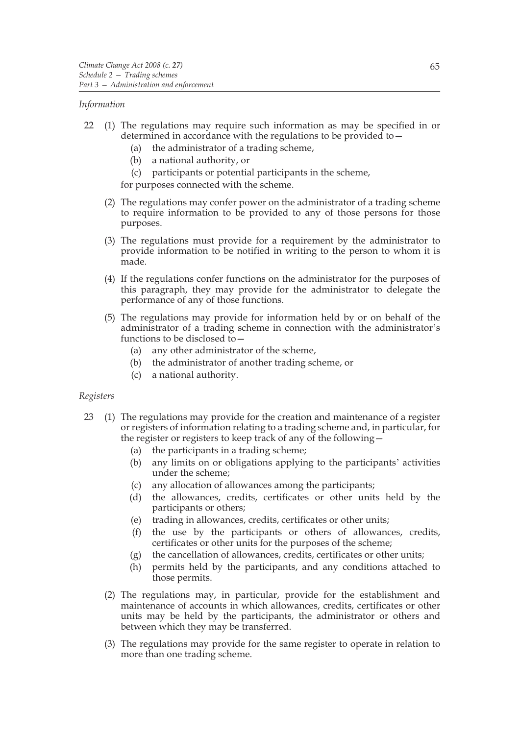#### *Information*

- 22 (1) The regulations may require such information as may be specified in or determined in accordance with the regulations to be provided to—
	- (a) the administrator of a trading scheme,
	- (b) a national authority, or
	- (c) participants or potential participants in the scheme,

for purposes connected with the scheme.

- (2) The regulations may confer power on the administrator of a trading scheme to require information to be provided to any of those persons for those purposes.
- (3) The regulations must provide for a requirement by the administrator to provide information to be notified in writing to the person to whom it is made.
- (4) If the regulations confer functions on the administrator for the purposes of this paragraph, they may provide for the administrator to delegate the performance of any of those functions.
- (5) The regulations may provide for information held by or on behalf of the administrator of a trading scheme in connection with the administrator's functions to be disclosed to—
	- (a) any other administrator of the scheme,
	- (b) the administrator of another trading scheme, or
	- (c) a national authority.

# *Registers*

- 23 (1) The regulations may provide for the creation and maintenance of a register or registers of information relating to a trading scheme and, in particular, for the register or registers to keep track of any of the following—
	- (a) the participants in a trading scheme;
	- (b) any limits on or obligations applying to the participants' activities under the scheme;
	- (c) any allocation of allowances among the participants;
	- (d) the allowances, credits, certificates or other units held by the participants or others;
	- (e) trading in allowances, credits, certificates or other units;
	- (f) the use by the participants or others of allowances, credits, certificates or other units for the purposes of the scheme;
	- (g) the cancellation of allowances, credits, certificates or other units;
	- (h) permits held by the participants, and any conditions attached to those permits.
	- (2) The regulations may, in particular, provide for the establishment and maintenance of accounts in which allowances, credits, certificates or other units may be held by the participants, the administrator or others and between which they may be transferred.
	- (3) The regulations may provide for the same register to operate in relation to more than one trading scheme.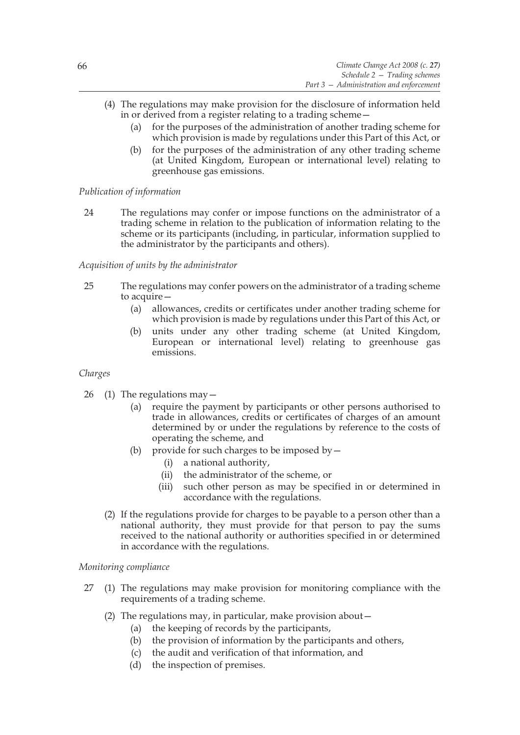- (4) The regulations may make provision for the disclosure of information held in or derived from a register relating to a trading scheme—
	- (a) for the purposes of the administration of another trading scheme for which provision is made by regulations under this Part of this Act, or
	- (b) for the purposes of the administration of any other trading scheme (at United Kingdom, European or international level) relating to greenhouse gas emissions.

# *Publication of information*

24 The regulations may confer or impose functions on the administrator of a trading scheme in relation to the publication of information relating to the scheme or its participants (including, in particular, information supplied to the administrator by the participants and others).

# *Acquisition of units by the administrator*

- 25 The regulations may confer powers on the administrator of a trading scheme to acquire—
	- (a) allowances, credits or certificates under another trading scheme for which provision is made by regulations under this Part of this Act, or
	- (b) units under any other trading scheme (at United Kingdom, European or international level) relating to greenhouse gas emissions.

# *Charges*

- 26 (1) The regulations may—
	- (a) require the payment by participants or other persons authorised to trade in allowances, credits or certificates of charges of an amount determined by or under the regulations by reference to the costs of operating the scheme, and
	- (b) provide for such charges to be imposed by  $-$ 
		- (i) a national authority,
		- (ii) the administrator of the scheme, or
		- (iii) such other person as may be specified in or determined in accordance with the regulations.
	- (2) If the regulations provide for charges to be payable to a person other than a national authority, they must provide for that person to pay the sums received to the national authority or authorities specified in or determined in accordance with the regulations.

# *Monitoring compliance*

- 27 (1) The regulations may make provision for monitoring compliance with the requirements of a trading scheme.
	- (2) The regulations may, in particular, make provision about  $-$ 
		- (a) the keeping of records by the participants,
		- (b) the provision of information by the participants and others,
		- (c) the audit and verification of that information, and
		- (d) the inspection of premises.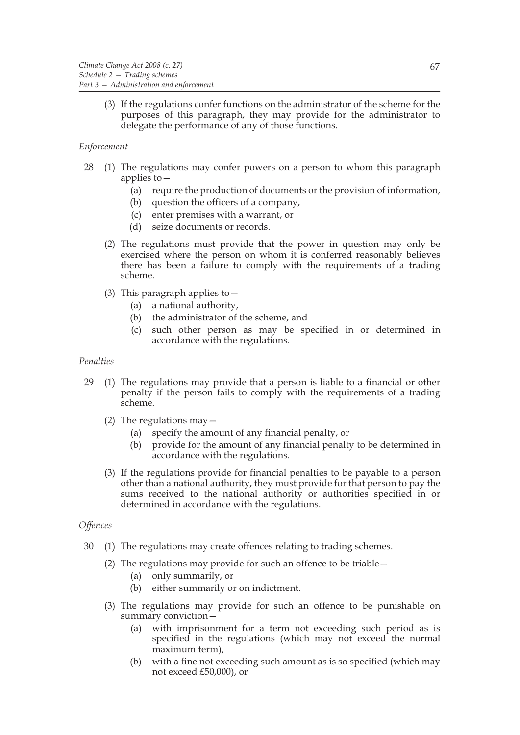(3) If the regulations confer functions on the administrator of the scheme for the purposes of this paragraph, they may provide for the administrator to delegate the performance of any of those functions.

# *Enforcement*

- 28 (1) The regulations may confer powers on a person to whom this paragraph applies to $-$ 
	- (a) require the production of documents or the provision of information,
	- (b) question the officers of a company,
	- (c) enter premises with a warrant, or
	- (d) seize documents or records.
	- (2) The regulations must provide that the power in question may only be exercised where the person on whom it is conferred reasonably believes there has been a failure to comply with the requirements of a trading scheme.
	- (3) This paragraph applies to—
		- (a) a national authority,
		- (b) the administrator of the scheme, and
		- (c) such other person as may be specified in or determined in accordance with the regulations.

# *Penalties*

- 29 (1) The regulations may provide that a person is liable to a financial or other penalty if the person fails to comply with the requirements of a trading scheme.
	- (2) The regulations may  $-$ 
		- (a) specify the amount of any financial penalty, or
		- (b) provide for the amount of any financial penalty to be determined in accordance with the regulations.
	- (3) If the regulations provide for financial penalties to be payable to a person other than a national authority, they must provide for that person to pay the sums received to the national authority or authorities specified in or determined in accordance with the regulations.

# *Offences*

- 30 (1) The regulations may create offences relating to trading schemes.
	- (2) The regulations may provide for such an offence to be triable—
		- (a) only summarily, or
		- (b) either summarily or on indictment.
	- (3) The regulations may provide for such an offence to be punishable on summary conviction-
		- (a) with imprisonment for a term not exceeding such period as is specified in the regulations (which may not exceed the normal maximum term),
		- (b) with a fine not exceeding such amount as is so specified (which may not exceed £50,000), or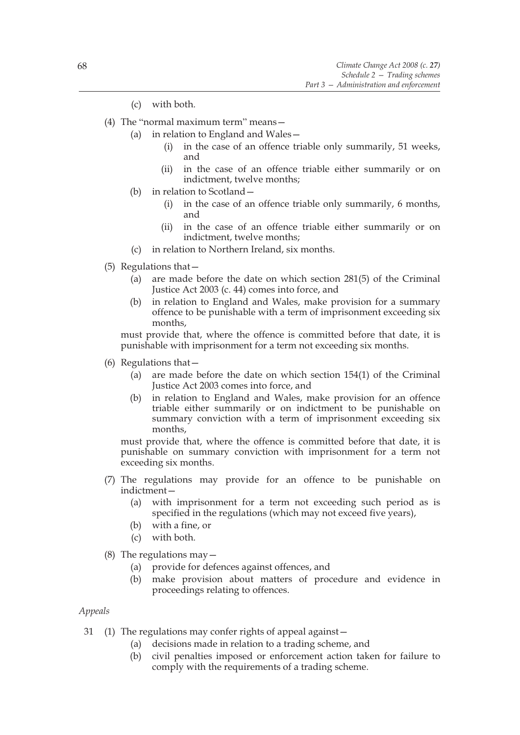- (c) with both.
- (4) The "normal maximum term" means—
	- (a) in relation to England and Wales—
		- (i) in the case of an offence triable only summarily, 51 weeks, and
		- (ii) in the case of an offence triable either summarily or on indictment, twelve months;
	- (b) in relation to Scotland—
		- (i) in the case of an offence triable only summarily, 6 months, and
		- (ii) in the case of an offence triable either summarily or on indictment, twelve months;
	- (c) in relation to Northern Ireland, six months.
- (5) Regulations that—
	- (a) are made before the date on which section 281(5) of the Criminal Justice Act 2003 (c. 44) comes into force, and
	- (b) in relation to England and Wales, make provision for a summary offence to be punishable with a term of imprisonment exceeding six months,

must provide that, where the offence is committed before that date, it is punishable with imprisonment for a term not exceeding six months.

- (6) Regulations that—
	- (a) are made before the date on which section 154(1) of the Criminal Justice Act 2003 comes into force, and
	- (b) in relation to England and Wales, make provision for an offence triable either summarily or on indictment to be punishable on summary conviction with a term of imprisonment exceeding six months,

must provide that, where the offence is committed before that date, it is punishable on summary conviction with imprisonment for a term not exceeding six months.

- (7) The regulations may provide for an offence to be punishable on indictment—
	- (a) with imprisonment for a term not exceeding such period as is specified in the regulations (which may not exceed five years),
	- (b) with a fine, or
	- (c) with both.
- (8) The regulations may  $-$ 
	- (a) provide for defences against offences, and
	- (b) make provision about matters of procedure and evidence in proceedings relating to offences.

*Appeals*

- 31 (1) The regulations may confer rights of appeal against—
	- (a) decisions made in relation to a trading scheme, and
	- (b) civil penalties imposed or enforcement action taken for failure to comply with the requirements of a trading scheme.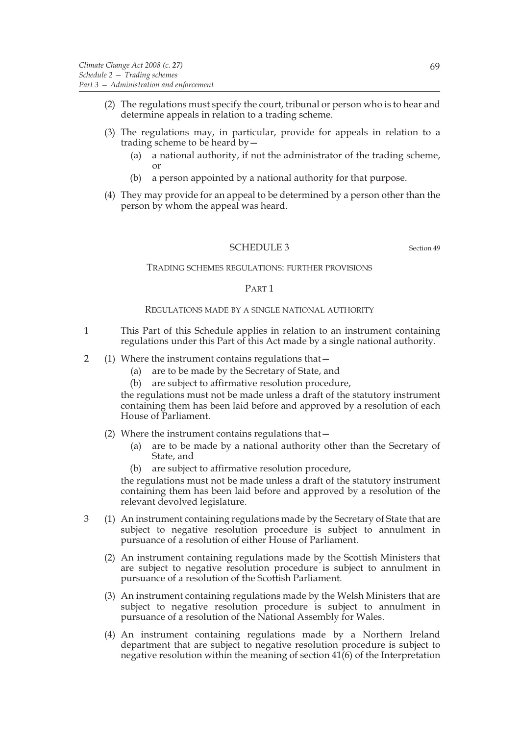- (2) The regulations must specify the court, tribunal or person who is to hear and determine appeals in relation to a trading scheme.
- (3) The regulations may, in particular, provide for appeals in relation to a trading scheme to be heard by—
	- (a) a national authority, if not the administrator of the trading scheme, or
	- (b) a person appointed by a national authority for that purpose.
- (4) They may provide for an appeal to be determined by a person other than the person by whom the appeal was heard.

## SCHEDULE 3 Section 49

## TRADING SCHEMES REGULATIONS: FURTHER PROVISIONS

## PART 1

## REGULATIONS MADE BY A SINGLE NATIONAL AUTHORITY

- 1 This Part of this Schedule applies in relation to an instrument containing regulations under this Part of this Act made by a single national authority.
- 2 (1) Where the instrument contains regulations that—
	- (a) are to be made by the Secretary of State, and
	- (b) are subject to affirmative resolution procedure,

the regulations must not be made unless a draft of the statutory instrument containing them has been laid before and approved by a resolution of each House of Parliament.

- (2) Where the instrument contains regulations that—
	- (a) are to be made by a national authority other than the Secretary of State, and
	- (b) are subject to affirmative resolution procedure,

the regulations must not be made unless a draft of the statutory instrument containing them has been laid before and approved by a resolution of the relevant devolved legislature.

- 3 (1) An instrument containing regulations made by the Secretary of State that are subject to negative resolution procedure is subject to annulment in pursuance of a resolution of either House of Parliament.
	- (2) An instrument containing regulations made by the Scottish Ministers that are subject to negative resolution procedure is subject to annulment in pursuance of a resolution of the Scottish Parliament.
	- (3) An instrument containing regulations made by the Welsh Ministers that are subject to negative resolution procedure is subject to annulment in pursuance of a resolution of the National Assembly for Wales.
	- (4) An instrument containing regulations made by a Northern Ireland department that are subject to negative resolution procedure is subject to negative resolution within the meaning of section  $41(6)$  of the Interpretation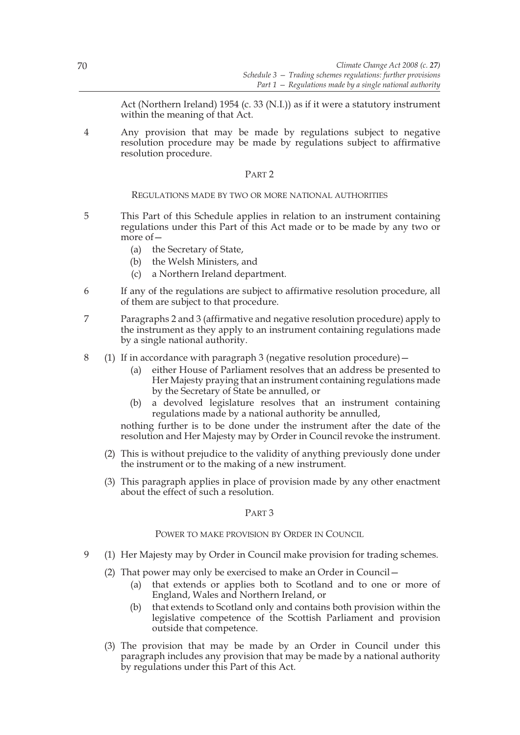Act (Northern Ireland) 1954 (c. 33 (N.I.)) as if it were a statutory instrument within the meaning of that Act.

4 Any provision that may be made by regulations subject to negative resolution procedure may be made by regulations subject to affirmative resolution procedure.

## PART 2

## REGULATIONS MADE BY TWO OR MORE NATIONAL AUTHORITIES

- 5 This Part of this Schedule applies in relation to an instrument containing regulations under this Part of this Act made or to be made by any two or more of—
	- (a) the Secretary of State,
	- (b) the Welsh Ministers, and
	- (c) a Northern Ireland department.
- 6 If any of the regulations are subject to affirmative resolution procedure, all of them are subject to that procedure.
- 7 Paragraphs 2 and 3 (affirmative and negative resolution procedure) apply to the instrument as they apply to an instrument containing regulations made by a single national authority.
- 8 (1) If in accordance with paragraph 3 (negative resolution procedure)—
	- (a) either House of Parliament resolves that an address be presented to Her Majesty praying that an instrument containing regulations made by the Secretary of State be annulled, or
	- (b) a devolved legislature resolves that an instrument containing regulations made by a national authority be annulled,

nothing further is to be done under the instrument after the date of the resolution and Her Majesty may by Order in Council revoke the instrument.

- (2) This is without prejudice to the validity of anything previously done under the instrument or to the making of a new instrument.
- (3) This paragraph applies in place of provision made by any other enactment about the effect of such a resolution.

# PART 3

## POWER TO MAKE PROVISION BY ORDER IN COUNCIL

- 9 (1) Her Majesty may by Order in Council make provision for trading schemes.
	- (2) That power may only be exercised to make an Order in Council—
		- (a) that extends or applies both to Scotland and to one or more of England, Wales and Northern Ireland, or
		- (b) that extends to Scotland only and contains both provision within the legislative competence of the Scottish Parliament and provision outside that competence.
	- (3) The provision that may be made by an Order in Council under this paragraph includes any provision that may be made by a national authority by regulations under this Part of this Act.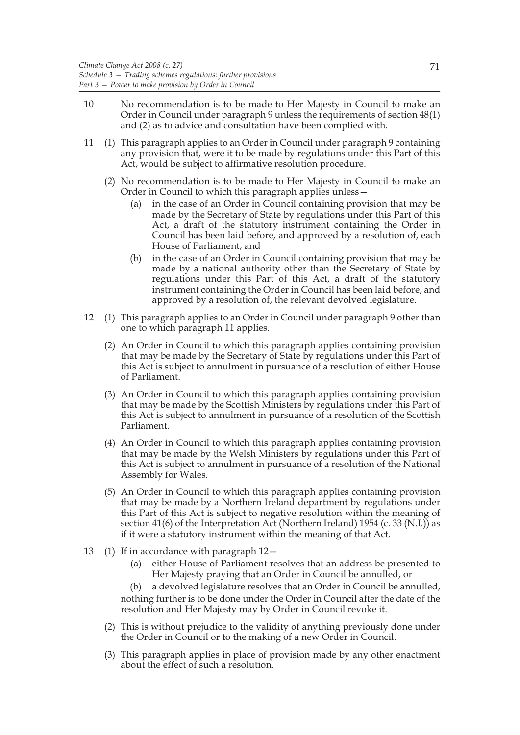- 10 No recommendation is to be made to Her Majesty in Council to make an Order in Council under paragraph 9 unless the requirements of section 48(1) and (2) as to advice and consultation have been complied with.
- 11 (1) This paragraph applies to an Order in Council under paragraph 9 containing any provision that, were it to be made by regulations under this Part of this Act, would be subject to affirmative resolution procedure.
	- (2) No recommendation is to be made to Her Majesty in Council to make an Order in Council to which this paragraph applies unless—
		- (a) in the case of an Order in Council containing provision that may be made by the Secretary of State by regulations under this Part of this Act, a draft of the statutory instrument containing the Order in Council has been laid before, and approved by a resolution of, each House of Parliament, and
		- (b) in the case of an Order in Council containing provision that may be made by a national authority other than the Secretary of State by regulations under this Part of this Act, a draft of the statutory instrument containing the Order in Council has been laid before, and approved by a resolution of, the relevant devolved legislature.
- 12 (1) This paragraph applies to an Order in Council under paragraph 9 other than one to which paragraph 11 applies.
	- (2) An Order in Council to which this paragraph applies containing provision that may be made by the Secretary of State by regulations under this Part of this Act is subject to annulment in pursuance of a resolution of either House of Parliament.
	- (3) An Order in Council to which this paragraph applies containing provision that may be made by the Scottish Ministers by regulations under this Part of this Act is subject to annulment in pursuance of a resolution of the Scottish Parliament.
	- (4) An Order in Council to which this paragraph applies containing provision that may be made by the Welsh Ministers by regulations under this Part of this Act is subject to annulment in pursuance of a resolution of the National Assembly for Wales.
	- (5) An Order in Council to which this paragraph applies containing provision that may be made by a Northern Ireland department by regulations under this Part of this Act is subject to negative resolution within the meaning of section 41(6) of the Interpretation Act (Northern Ireland) 1954 (c. 33 (N.I.)) as if it were a statutory instrument within the meaning of that Act.
- 13 (1) If in accordance with paragraph 12—
	- (a) either House of Parliament resolves that an address be presented to Her Majesty praying that an Order in Council be annulled, or

(b) a devolved legislature resolves that an Order in Council be annulled, nothing further is to be done under the Order in Council after the date of the resolution and Her Majesty may by Order in Council revoke it.

- (2) This is without prejudice to the validity of anything previously done under the Order in Council or to the making of a new Order in Council.
- (3) This paragraph applies in place of provision made by any other enactment about the effect of such a resolution.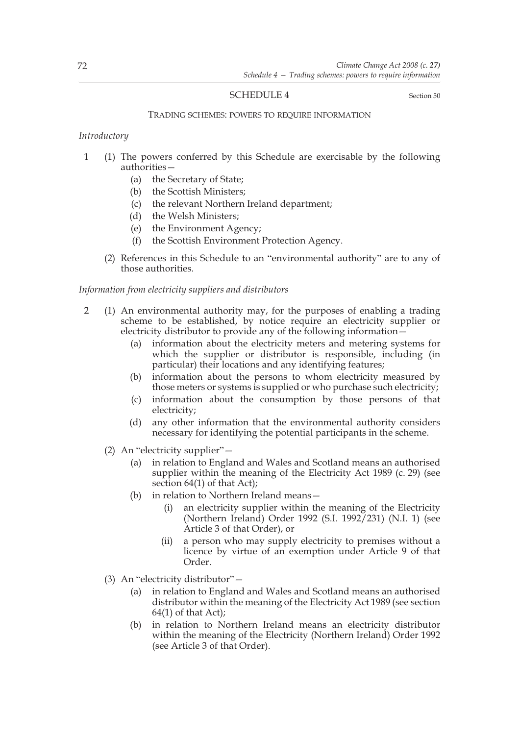# SCHEDULE 4 Section 50

#### TRADING SCHEMES: POWERS TO REQUIRE INFORMATION

## *Introductory*

- 1 (1) The powers conferred by this Schedule are exercisable by the following authorities—
	- (a) the Secretary of State;
	- (b) the Scottish Ministers;
	- (c) the relevant Northern Ireland department;
	- (d) the Welsh Ministers;
	- (e) the Environment Agency;
	- (f) the Scottish Environment Protection Agency.
	- (2) References in this Schedule to an "environmental authority" are to any of those authorities.

## *Information from electricity suppliers and distributors*

- 2 (1) An environmental authority may, for the purposes of enabling a trading scheme to be established, by notice require an electricity supplier or electricity distributor to provide any of the following information—
	- (a) information about the electricity meters and metering systems for which the supplier or distributor is responsible, including (in particular) their locations and any identifying features;
	- (b) information about the persons to whom electricity measured by those meters or systems is supplied or who purchase such electricity;
	- (c) information about the consumption by those persons of that electricity;
	- (d) any other information that the environmental authority considers necessary for identifying the potential participants in the scheme.
	- (2) An "electricity supplier"—
		- (a) in relation to England and Wales and Scotland means an authorised supplier within the meaning of the Electricity Act 1989 (c. 29) (see section 64(1) of that Act);
		- (b) in relation to Northern Ireland means—
			- (i) an electricity supplier within the meaning of the Electricity (Northern Ireland) Order 1992 (S.I. 1992/231) (N.I. 1) (see Article 3 of that Order), or
			- (ii) a person who may supply electricity to premises without a licence by virtue of an exemption under Article 9 of that Order.
	- (3) An "electricity distributor"—
		- (a) in relation to England and Wales and Scotland means an authorised distributor within the meaning of the Electricity Act 1989 (see section  $64(1)$  of that Act);
		- (b) in relation to Northern Ireland means an electricity distributor within the meaning of the Electricity (Northern Ireland) Order 1992 (see Article 3 of that Order).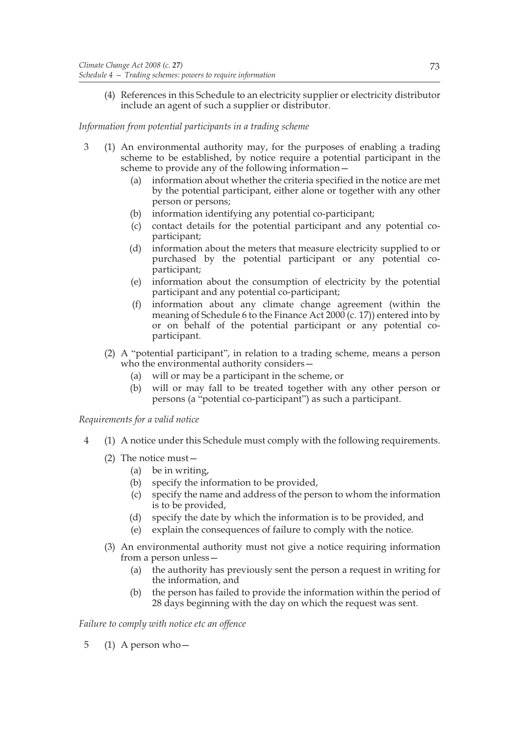(4) References in this Schedule to an electricity supplier or electricity distributor include an agent of such a supplier or distributor.

# *Information from potential participants in a trading scheme*

- 3 (1) An environmental authority may, for the purposes of enabling a trading scheme to be established, by notice require a potential participant in the scheme to provide any of the following information—
	- (a) information about whether the criteria specified in the notice are met by the potential participant, either alone or together with any other person or persons;
	- (b) information identifying any potential co-participant;
	- (c) contact details for the potential participant and any potential coparticipant;
	- (d) information about the meters that measure electricity supplied to or purchased by the potential participant or any potential coparticipant;
	- (e) information about the consumption of electricity by the potential participant and any potential co-participant;
	- (f) information about any climate change agreement (within the meaning of Schedule 6 to the Finance Act 2000 (c. 17)) entered into by or on behalf of the potential participant or any potential coparticipant.
	- (2) A "potential participant", in relation to a trading scheme, means a person who the environmental authority considers—
		- (a) will or may be a participant in the scheme, or
		- (b) will or may fall to be treated together with any other person or persons (a "potential co-participant") as such a participant.

*Requirements for a valid notice*

- 4 (1) A notice under this Schedule must comply with the following requirements.
	- (2) The notice must—
		- (a) be in writing,
		- (b) specify the information to be provided,
		- (c) specify the name and address of the person to whom the information is to be provided,
		- (d) specify the date by which the information is to be provided, and
		- (e) explain the consequences of failure to comply with the notice.
	- (3) An environmental authority must not give a notice requiring information from a person unless—
		- (a) the authority has previously sent the person a request in writing for the information, and
		- (b) the person has failed to provide the information within the period of 28 days beginning with the day on which the request was sent.

# *Failure to comply with notice etc an offence*

5 (1) A person who—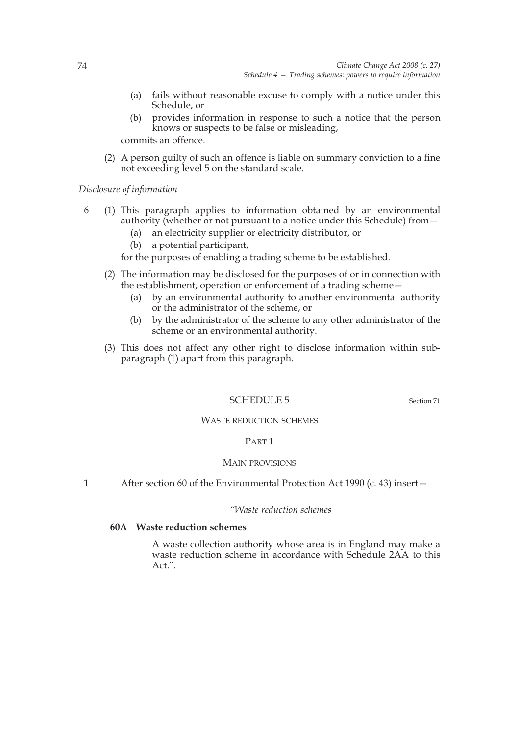- (a) fails without reasonable excuse to comply with a notice under this Schedule, or
- (b) provides information in response to such a notice that the person knows or suspects to be false or misleading,

commits an offence.

(2) A person guilty of such an offence is liable on summary conviction to a fine not exceeding level 5 on the standard scale.

*Disclosure of information*

- 6 (1) This paragraph applies to information obtained by an environmental authority (whether or not pursuant to a notice under this Schedule) from—
	- (a) an electricity supplier or electricity distributor, or
	- (b) a potential participant,
	- for the purposes of enabling a trading scheme to be established.
	- (2) The information may be disclosed for the purposes of or in connection with the establishment, operation or enforcement of a trading scheme—
		- (a) by an environmental authority to another environmental authority or the administrator of the scheme, or
		- (b) by the administrator of the scheme to any other administrator of the scheme or an environmental authority.
	- (3) This does not affect any other right to disclose information within subparagraph (1) apart from this paragraph.

## SCHEDULE 5 Section 71

#### WASTE REDUCTION SCHEMES

## PART 1

## MAIN PROVISIONS

1 After section 60 of the Environmental Protection Act 1990 (c. 43) insert—

## *"Waste reduction schemes*

## **60A Waste reduction schemes**

 A waste collection authority whose area is in England may make a waste reduction scheme in accordance with Schedule 2AA to this Act.".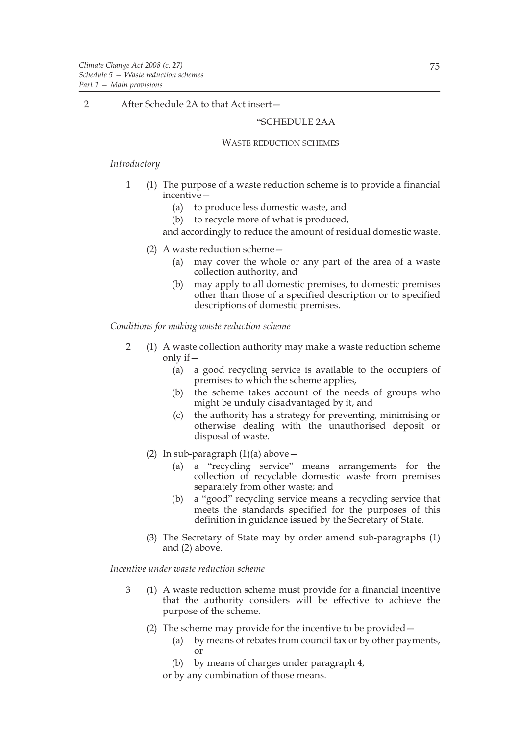2 After Schedule 2A to that Act insert -

# "SCHEDULE 2AA

#### WASTE REDUCTION SCHEMES

#### *Introductory*

- 1 (1) The purpose of a waste reduction scheme is to provide a financial incentive—
	- (a) to produce less domestic waste, and
	- (b) to recycle more of what is produced,

and accordingly to reduce the amount of residual domestic waste.

- (2) A waste reduction scheme—
	- (a) may cover the whole or any part of the area of a waste collection authority, and
	- (b) may apply to all domestic premises, to domestic premises other than those of a specified description or to specified descriptions of domestic premises.

*Conditions for making waste reduction scheme*

- 2 (1) A waste collection authority may make a waste reduction scheme only if—
	- (a) a good recycling service is available to the occupiers of premises to which the scheme applies,
	- (b) the scheme takes account of the needs of groups who might be unduly disadvantaged by it, and
	- (c) the authority has a strategy for preventing, minimising or otherwise dealing with the unauthorised deposit or disposal of waste.
	- (2) In sub-paragraph  $(1)(a)$  above
		- (a) a "recycling service" means arrangements for the collection of recyclable domestic waste from premises separately from other waste; and
		- (b) a "good" recycling service means a recycling service that meets the standards specified for the purposes of this definition in guidance issued by the Secretary of State.
	- (3) The Secretary of State may by order amend sub-paragraphs (1) and (2) above.

*Incentive under waste reduction scheme*

- 3 (1) A waste reduction scheme must provide for a financial incentive that the authority considers will be effective to achieve the purpose of the scheme.
	- (2) The scheme may provide for the incentive to be provided—
		- (a) by means of rebates from council tax or by other payments, or
		- (b) by means of charges under paragraph 4,
		- or by any combination of those means.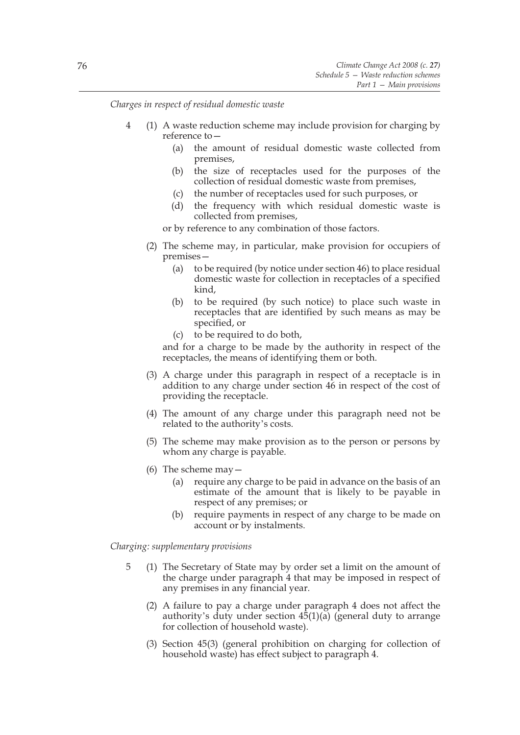*Charges in respect of residual domestic waste*

- 4 (1) A waste reduction scheme may include provision for charging by reference to—
	- (a) the amount of residual domestic waste collected from premises,
	- (b) the size of receptacles used for the purposes of the collection of residual domestic waste from premises,
	- (c) the number of receptacles used for such purposes, or
	- (d) the frequency with which residual domestic waste is collected from premises,

or by reference to any combination of those factors.

- (2) The scheme may, in particular, make provision for occupiers of premises—
	- (a) to be required (by notice under section 46) to place residual domestic waste for collection in receptacles of a specified kind,
	- (b) to be required (by such notice) to place such waste in receptacles that are identified by such means as may be specified, or
	- (c) to be required to do both,

and for a charge to be made by the authority in respect of the receptacles, the means of identifying them or both.

- (3) A charge under this paragraph in respect of a receptacle is in addition to any charge under section 46 in respect of the cost of providing the receptacle.
- (4) The amount of any charge under this paragraph need not be related to the authority's costs.
- (5) The scheme may make provision as to the person or persons by whom any charge is payable.
- (6) The scheme may  $-$ 
	- (a) require any charge to be paid in advance on the basis of an estimate of the amount that is likely to be payable in respect of any premises; or
	- (b) require payments in respect of any charge to be made on account or by instalments.

*Charging: supplementary provisions*

- 5 (1) The Secretary of State may by order set a limit on the amount of the charge under paragraph 4 that may be imposed in respect of any premises in any financial year.
	- (2) A failure to pay a charge under paragraph 4 does not affect the authority's duty under section  $4\overline{5}(1)(a)$  (general duty to arrange for collection of household waste).
	- (3) Section 45(3) (general prohibition on charging for collection of household waste) has effect subject to paragraph 4.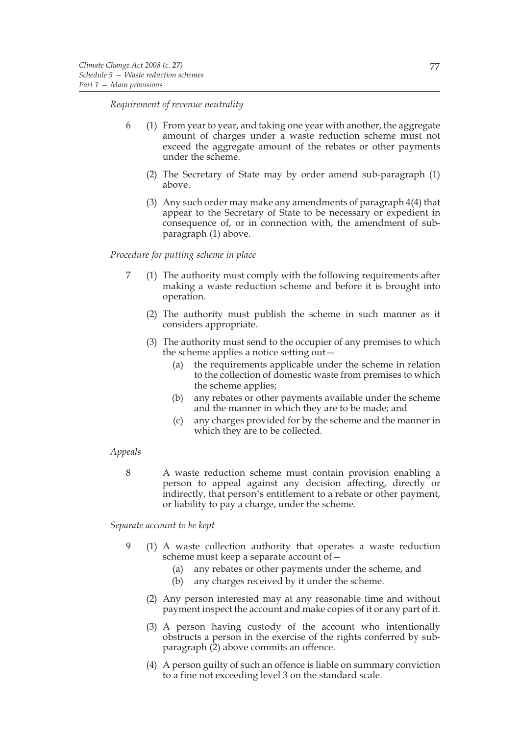*Requirement of revenue neutrality*

- 6 (1) From year to year, and taking one year with another, the aggregate amount of charges under a waste reduction scheme must not exceed the aggregate amount of the rebates or other payments under the scheme.
	- (2) The Secretary of State may by order amend sub-paragraph (1) above.
	- (3) Any such order may make any amendments of paragraph 4(4) that appear to the Secretary of State to be necessary or expedient in consequence of, or in connection with, the amendment of subparagraph (1) above.

#### *Procedure for putting scheme in place*

- 7 (1) The authority must comply with the following requirements after making a waste reduction scheme and before it is brought into operation.
	- (2) The authority must publish the scheme in such manner as it considers appropriate.
	- (3) The authority must send to the occupier of any premises to which the scheme applies a notice setting out—
		- (a) the requirements applicable under the scheme in relation to the collection of domestic waste from premises to which the scheme applies;
		- (b) any rebates or other payments available under the scheme and the manner in which they are to be made; and
		- (c) any charges provided for by the scheme and the manner in which they are to be collected.

#### *Appeals*

8 A waste reduction scheme must contain provision enabling a person to appeal against any decision affecting, directly or indirectly, that person's entitlement to a rebate or other payment, or liability to pay a charge, under the scheme.

*Separate account to be kept*

- 9 (1) A waste collection authority that operates a waste reduction scheme must keep a separate account of—
	- (a) any rebates or other payments under the scheme, and
	- (b) any charges received by it under the scheme.
	- (2) Any person interested may at any reasonable time and without payment inspect the account and make copies of it or any part of it.
	- (3) A person having custody of the account who intentionally obstructs a person in the exercise of the rights conferred by subparagraph  $(2)$  above commits an offence.
	- (4) A person guilty of such an offence is liable on summary conviction to a fine not exceeding level 3 on the standard scale.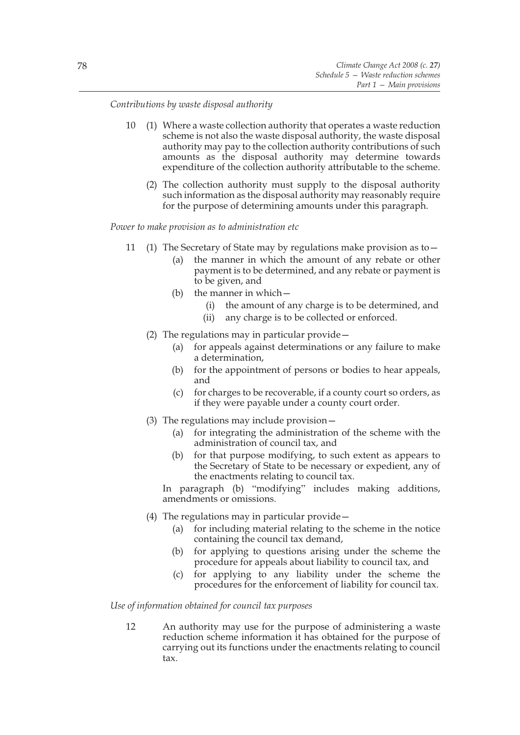*Contributions by waste disposal authority*

- 10 (1) Where a waste collection authority that operates a waste reduction scheme is not also the waste disposal authority, the waste disposal authority may pay to the collection authority contributions of such amounts as the disposal authority may determine towards expenditure of the collection authority attributable to the scheme.
	- (2) The collection authority must supply to the disposal authority such information as the disposal authority may reasonably require for the purpose of determining amounts under this paragraph.

#### *Power to make provision as to administration etc*

- 11 (1) The Secretary of State may by regulations make provision as to—
	- (a) the manner in which the amount of any rebate or other payment is to be determined, and any rebate or payment is to be given, and
	- (b) the manner in which—
		- (i) the amount of any charge is to be determined, and
		- (ii) any charge is to be collected or enforced.
	- (2) The regulations may in particular provide—
		- (a) for appeals against determinations or any failure to make a determination,
		- (b) for the appointment of persons or bodies to hear appeals, and
		- (c) for charges to be recoverable, if a county court so orders, as if they were payable under a county court order.
	- (3) The regulations may include provision—
		- (a) for integrating the administration of the scheme with the administration of council tax, and
		- (b) for that purpose modifying, to such extent as appears to the Secretary of State to be necessary or expedient, any of the enactments relating to council tax.

In paragraph (b) "modifying" includes making additions, amendments or omissions.

- (4) The regulations may in particular provide—
	- (a) for including material relating to the scheme in the notice containing the council tax demand,
	- (b) for applying to questions arising under the scheme the procedure for appeals about liability to council tax, and
	- (c) for applying to any liability under the scheme the procedures for the enforcement of liability for council tax.

# *Use of information obtained for council tax purposes*

12 An authority may use for the purpose of administering a waste reduction scheme information it has obtained for the purpose of carrying out its functions under the enactments relating to council tax.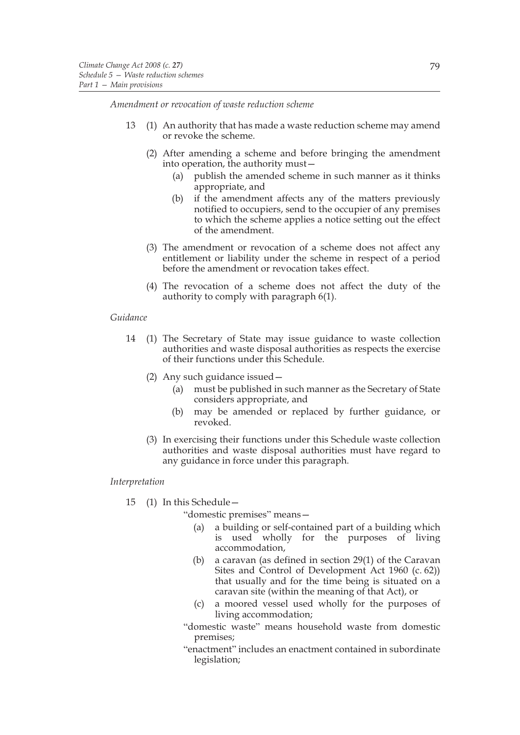*Amendment or revocation of waste reduction scheme*

- 13 (1) An authority that has made a waste reduction scheme may amend or revoke the scheme.
	- (2) After amending a scheme and before bringing the amendment into operation, the authority must—
		- (a) publish the amended scheme in such manner as it thinks appropriate, and
		- (b) if the amendment affects any of the matters previously notified to occupiers, send to the occupier of any premises to which the scheme applies a notice setting out the effect of the amendment.
	- (3) The amendment or revocation of a scheme does not affect any entitlement or liability under the scheme in respect of a period before the amendment or revocation takes effect.
	- (4) The revocation of a scheme does not affect the duty of the authority to comply with paragraph 6(1).

## *Guidance*

- 14 (1) The Secretary of State may issue guidance to waste collection authorities and waste disposal authorities as respects the exercise of their functions under this Schedule.
	- (2) Any such guidance issued—
		- (a) must be published in such manner as the Secretary of State considers appropriate, and
		- (b) may be amended or replaced by further guidance, or revoked.
	- (3) In exercising their functions under this Schedule waste collection authorities and waste disposal authorities must have regard to any guidance in force under this paragraph.

## *Interpretation*

15 (1) In this Schedule—

"domestic premises" means—

- (a) a building or self-contained part of a building which is used wholly for the purposes of living accommodation,
- (b) a caravan (as defined in section 29(1) of the Caravan Sites and Control of Development Act 1960 (c. 62)) that usually and for the time being is situated on a caravan site (within the meaning of that Act), or
- (c) a moored vessel used wholly for the purposes of living accommodation;
- "domestic waste" means household waste from domestic premises;
- "enactment" includes an enactment contained in subordinate legislation;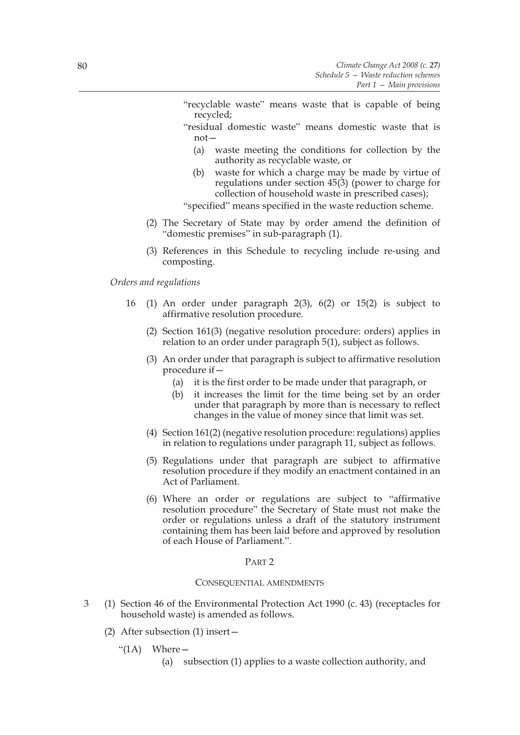- "recyclable waste" means waste that is capable of being recycled;
- "residual domestic waste" means domestic waste that is not—
	- (a) waste meeting the conditions for collection by the authority as recyclable waste, or
	- (b) waste for which a charge may be made by virtue of regulations under section 45(3) (power to charge for collection of household waste in prescribed cases);

"specified" means specified in the waste reduction scheme.

- (2) The Secretary of State may by order amend the definition of "domestic premises" in sub-paragraph (1).
- (3) References in this Schedule to recycling include re-using and composting.

*Orders and regulations*

- 16 (1) An order under paragraph 2(3), 6(2) or 15(2) is subject to affirmative resolution procedure.
	- (2) Section 161(3) (negative resolution procedure: orders) applies in relation to an order under paragraph 5(1), subject as follows.
	- (3) An order under that paragraph is subject to affirmative resolution procedure if—
		- (a) it is the first order to be made under that paragraph, or
		- (b) it increases the limit for the time being set by an order under that paragraph by more than is necessary to reflect changes in the value of money since that limit was set.
	- (4) Section 161(2) (negative resolution procedure: regulations) applies in relation to regulations under paragraph 11, subject as follows.
	- (5) Regulations under that paragraph are subject to affirmative resolution procedure if they modify an enactment contained in an Act of Parliament.
	- (6) Where an order or regulations are subject to "affirmative resolution procedure" the Secretary of State must not make the order or regulations unless a draft of the statutory instrument containing them has been laid before and approved by resolution of each House of Parliament.".

#### PART 2

#### CONSEQUENTIAL AMENDMENTS

- 3 (1) Section 46 of the Environmental Protection Act 1990 (c. 43) (receptacles for household waste) is amended as follows.
	- (2) After subsection (1) insert—
		- " $(1A)$  Where
			- (a) subsection (1) applies to a waste collection authority, and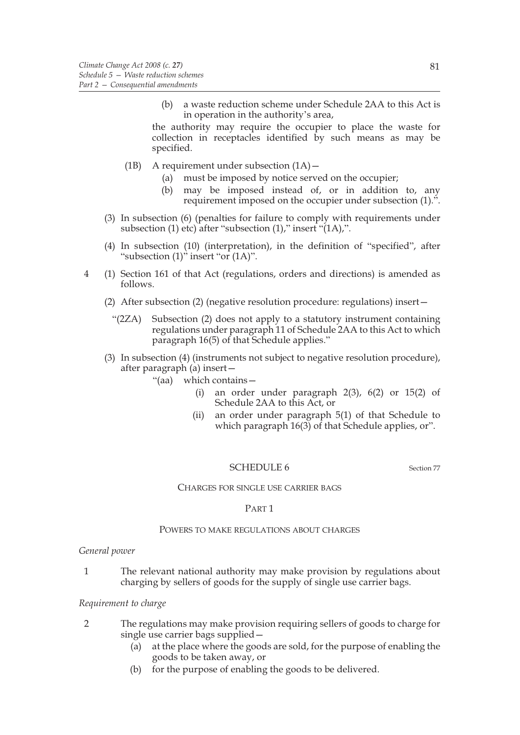(b) a waste reduction scheme under Schedule 2AA to this Act is in operation in the authority's area,

the authority may require the occupier to place the waste for collection in receptacles identified by such means as may be specified.

- (1B) A requirement under subsection  $(1A)$ 
	- (a) must be imposed by notice served on the occupier;
	- (b) may be imposed instead of, or in addition to, any requirement imposed on the occupier under subsection (1).".
- (3) In subsection (6) (penalties for failure to comply with requirements under subsection (1) etc) after "subsection (1)," insert "(1A),".
- (4) In subsection (10) (interpretation), in the definition of "specified", after "subsection  $(1)$ " insert "or  $(1A)$ ".
- 4 (1) Section 161 of that Act (regulations, orders and directions) is amended as follows.
	- (2) After subsection (2) (negative resolution procedure: regulations) insert—
		- "(2ZA) Subsection (2) does not apply to a statutory instrument containing regulations under paragraph 11 of Schedule 2AA to this Act to which paragraph 16(5) of that Schedule applies."
	- (3) In subsection (4) (instruments not subject to negative resolution procedure), after paragraph (a) insert—
		- "(aa) which contains—
			- (i) an order under paragraph  $2(3)$ ,  $6(2)$  or  $15(2)$  of Schedule 2AA to this Act, or
			- (ii) an order under paragraph 5(1) of that Schedule to which paragraph  $16(3)$  of that Schedule applies, or".

#### SCHEDULE 6 Section 77

#### CHARGES FOR SINGLE USE CARRIER BAGS

#### PART 1

## POWERS TO MAKE REGULATIONS ABOUT CHARGES

#### *General power*

1 The relevant national authority may make provision by regulations about charging by sellers of goods for the supply of single use carrier bags.

## *Requirement to charge*

- 2 The regulations may make provision requiring sellers of goods to charge for single use carrier bags supplied—
	- (a) at the place where the goods are sold, for the purpose of enabling the goods to be taken away, or
	- (b) for the purpose of enabling the goods to be delivered.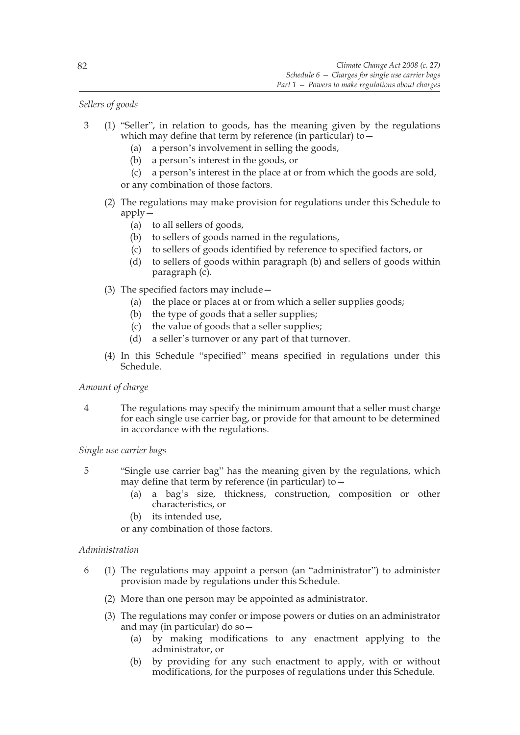# *Sellers of goods*

- 3 (1) "Seller", in relation to goods, has the meaning given by the regulations which may define that term by reference (in particular) to -
	- (a) a person's involvement in selling the goods,
	- (b) a person's interest in the goods, or
	- (c) a person's interest in the place at or from which the goods are sold, or any combination of those factors.
	- (2) The regulations may make provision for regulations under this Schedule to apply—
		- (a) to all sellers of goods,
		- (b) to sellers of goods named in the regulations,
		- (c) to sellers of goods identified by reference to specified factors, or
		- (d) to sellers of goods within paragraph (b) and sellers of goods within paragraph (c).
	- (3) The specified factors may include—
		- (a) the place or places at or from which a seller supplies goods;
		- (b) the type of goods that a seller supplies;
		- (c) the value of goods that a seller supplies;
		- (d) a seller's turnover or any part of that turnover.
	- (4) In this Schedule "specified" means specified in regulations under this Schedule.

# *Amount of charge*

4 The regulations may specify the minimum amount that a seller must charge for each single use carrier bag, or provide for that amount to be determined in accordance with the regulations.

*Single use carrier bags*

- 5 "Single use carrier bag" has the meaning given by the regulations, which may define that term by reference (in particular) to—
	- (a) a bag's size, thickness, construction, composition or other characteristics, or
	- (b) its intended use,

or any combination of those factors.

# *Administration*

- 6 (1) The regulations may appoint a person (an "administrator") to administer provision made by regulations under this Schedule.
	- (2) More than one person may be appointed as administrator.
	- (3) The regulations may confer or impose powers or duties on an administrator and may (in particular) do so—
		- (a) by making modifications to any enactment applying to the administrator, or
		- (b) by providing for any such enactment to apply, with or without modifications, for the purposes of regulations under this Schedule.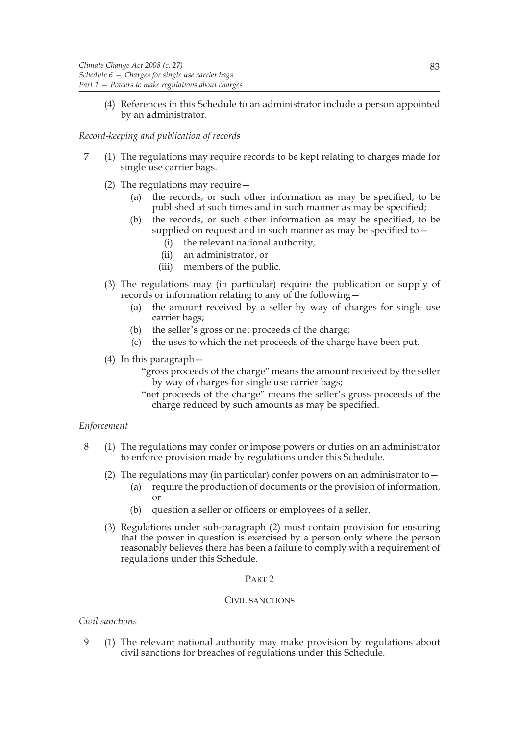(4) References in this Schedule to an administrator include a person appointed by an administrator.

# *Record-keeping and publication of records*

- 7 (1) The regulations may require records to be kept relating to charges made for single use carrier bags.
	- (2) The regulations may require—
		- (a) the records, or such other information as may be specified, to be published at such times and in such manner as may be specified;
		- (b) the records, or such other information as may be specified, to be supplied on request and in such manner as may be specified to
			- the relevant national authority,
			- (ii) an administrator, or
			- (iii) members of the public.
	- (3) The regulations may (in particular) require the publication or supply of records or information relating to any of the following—
		- (a) the amount received by a seller by way of charges for single use carrier bags;
		- (b) the seller's gross or net proceeds of the charge;
		- (c) the uses to which the net proceeds of the charge have been put.
	- (4) In this paragraph—
		- "gross proceeds of the charge" means the amount received by the seller by way of charges for single use carrier bags;
		- "net proceeds of the charge" means the seller's gross proceeds of the charge reduced by such amounts as may be specified.

## *Enforcement*

- 8 (1) The regulations may confer or impose powers or duties on an administrator to enforce provision made by regulations under this Schedule.
	- (2) The regulations may (in particular) confer powers on an administrator to—
		- (a) require the production of documents or the provision of information, or
		- (b) question a seller or officers or employees of a seller.
	- (3) Regulations under sub-paragraph (2) must contain provision for ensuring that the power in question is exercised by a person only where the person reasonably believes there has been a failure to comply with a requirement of regulations under this Schedule.

## PART 2

## CIVIL SANCTIONS

## *Civil sanctions*

9 (1) The relevant national authority may make provision by regulations about civil sanctions for breaches of regulations under this Schedule.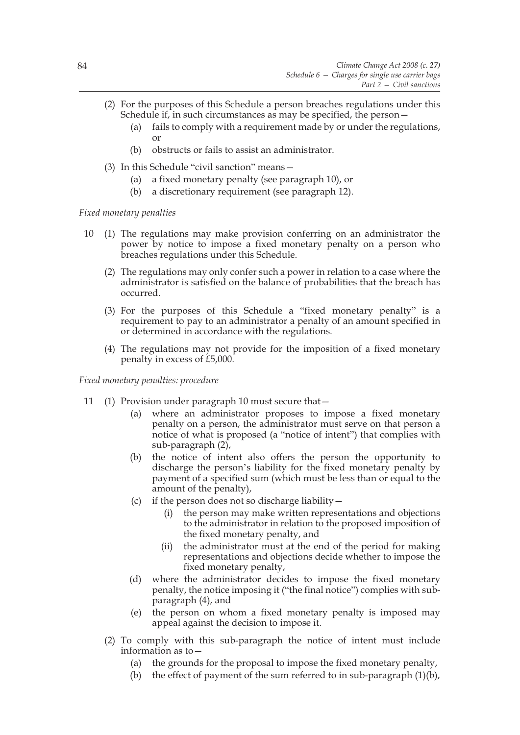- (2) For the purposes of this Schedule a person breaches regulations under this Schedule if, in such circumstances as may be specified, the person—
	- (a) fails to comply with a requirement made by or under the regulations, or
	- (b) obstructs or fails to assist an administrator.
- (3) In this Schedule "civil sanction" means—
	- (a) a fixed monetary penalty (see paragraph 10), or
	- (b) a discretionary requirement (see paragraph 12).

*Fixed monetary penalties*

- 10 (1) The regulations may make provision conferring on an administrator the power by notice to impose a fixed monetary penalty on a person who breaches regulations under this Schedule.
	- (2) The regulations may only confer such a power in relation to a case where the administrator is satisfied on the balance of probabilities that the breach has occurred.
	- (3) For the purposes of this Schedule a "fixed monetary penalty" is a requirement to pay to an administrator a penalty of an amount specified in or determined in accordance with the regulations.
	- (4) The regulations may not provide for the imposition of a fixed monetary penalty in excess of £5,000.

*Fixed monetary penalties: procedure*

- 11 (1) Provision under paragraph 10 must secure that—
	- (a) where an administrator proposes to impose a fixed monetary penalty on a person, the administrator must serve on that person a notice of what is proposed (a "notice of intent") that complies with sub-paragraph (2),
	- (b) the notice of intent also offers the person the opportunity to discharge the person's liability for the fixed monetary penalty by payment of a specified sum (which must be less than or equal to the amount of the penalty),
	- (c) if the person does not so discharge liability  $$ 
		- the person may make written representations and objections to the administrator in relation to the proposed imposition of the fixed monetary penalty, and
		- (ii) the administrator must at the end of the period for making representations and objections decide whether to impose the fixed monetary penalty,
	- (d) where the administrator decides to impose the fixed monetary penalty, the notice imposing it ("the final notice") complies with subparagraph (4), and
	- (e) the person on whom a fixed monetary penalty is imposed may appeal against the decision to impose it.
	- (2) To comply with this sub-paragraph the notice of intent must include information as to—
		- (a) the grounds for the proposal to impose the fixed monetary penalty,
		- (b) the effect of payment of the sum referred to in sub-paragraph (1)(b),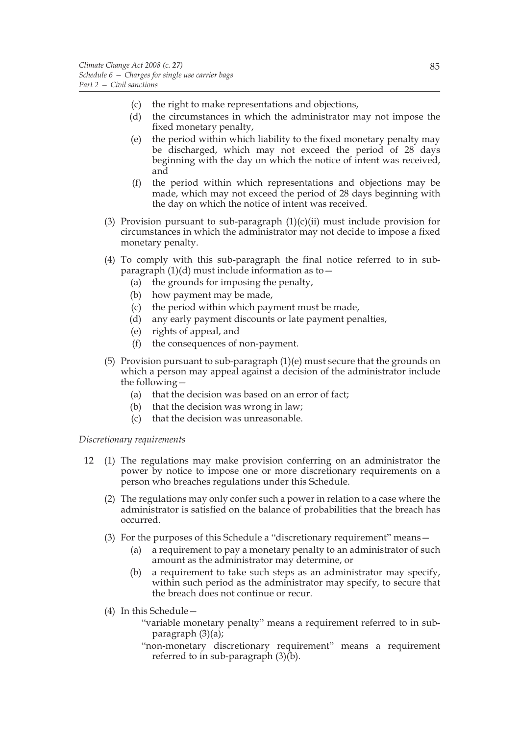- (c) the right to make representations and objections,
- (d) the circumstances in which the administrator may not impose the fixed monetary penalty,
- (e) the period within which liability to the fixed monetary penalty may be discharged, which may not exceed the period of 28 days beginning with the day on which the notice of intent was received, and
- (f) the period within which representations and objections may be made, which may not exceed the period of 28 days beginning with the day on which the notice of intent was received.
- (3) Provision pursuant to sub-paragraph  $(1)(c)(ii)$  must include provision for circumstances in which the administrator may not decide to impose a fixed monetary penalty.
- (4) To comply with this sub-paragraph the final notice referred to in subparagraph  $(1)(d)$  must include information as to -
	- (a) the grounds for imposing the penalty,
	- (b) how payment may be made,
	- (c) the period within which payment must be made,
	- (d) any early payment discounts or late payment penalties,
	- (e) rights of appeal, and
	- (f) the consequences of non-payment.
- (5) Provision pursuant to sub-paragraph  $(1)(e)$  must secure that the grounds on which a person may appeal against a decision of the administrator include the following—
	- (a) that the decision was based on an error of fact;
	- (b) that the decision was wrong in law;
	- (c) that the decision was unreasonable.

# *Discretionary requirements*

- 12 (1) The regulations may make provision conferring on an administrator the power by notice to impose one or more discretionary requirements on a person who breaches regulations under this Schedule.
	- (2) The regulations may only confer such a power in relation to a case where the administrator is satisfied on the balance of probabilities that the breach has occurred.
	- (3) For the purposes of this Schedule a "discretionary requirement" means—
		- (a) a requirement to pay a monetary penalty to an administrator of such amount as the administrator may determine, or
		- (b) a requirement to take such steps as an administrator may specify, within such period as the administrator may specify, to secure that the breach does not continue or recur.
	- (4) In this Schedule—
		- "variable monetary penalty" means a requirement referred to in subparagraph (3)(a);
		- "non-monetary discretionary requirement" means a requirement referred to in sub-paragraph  $(3)(b)$ .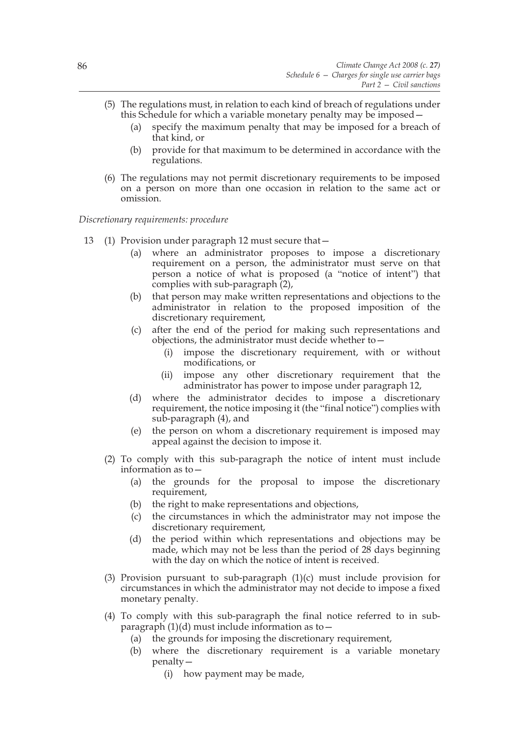- (5) The regulations must, in relation to each kind of breach of regulations under this Schedule for which a variable monetary penalty may be imposed—
	- (a) specify the maximum penalty that may be imposed for a breach of that kind, or
	- (b) provide for that maximum to be determined in accordance with the regulations.
- (6) The regulations may not permit discretionary requirements to be imposed on a person on more than one occasion in relation to the same act or omission.

*Discretionary requirements: procedure*

- 13 (1) Provision under paragraph 12 must secure that—
	- (a) where an administrator proposes to impose a discretionary requirement on a person, the administrator must serve on that person a notice of what is proposed (a "notice of intent") that complies with sub-paragraph (2),
	- (b) that person may make written representations and objections to the administrator in relation to the proposed imposition of the discretionary requirement,
	- (c) after the end of the period for making such representations and objections, the administrator must decide whether to—
		- (i) impose the discretionary requirement, with or without modifications, or
		- (ii) impose any other discretionary requirement that the administrator has power to impose under paragraph 12,
	- (d) where the administrator decides to impose a discretionary requirement, the notice imposing it (the "final notice") complies with sub-paragraph (4), and
	- (e) the person on whom a discretionary requirement is imposed may appeal against the decision to impose it.
	- (2) To comply with this sub-paragraph the notice of intent must include information as to—
		- (a) the grounds for the proposal to impose the discretionary requirement,
		- (b) the right to make representations and objections,
		- (c) the circumstances in which the administrator may not impose the discretionary requirement,
		- (d) the period within which representations and objections may be made, which may not be less than the period of 28 days beginning with the day on which the notice of intent is received.
	- (3) Provision pursuant to sub-paragraph (1)(c) must include provision for circumstances in which the administrator may not decide to impose a fixed monetary penalty.
	- (4) To comply with this sub-paragraph the final notice referred to in subparagraph  $(1)(d)$  must include information as to  $-$ 
		- (a) the grounds for imposing the discretionary requirement,
		- (b) where the discretionary requirement is a variable monetary penalty—
			- (i) how payment may be made,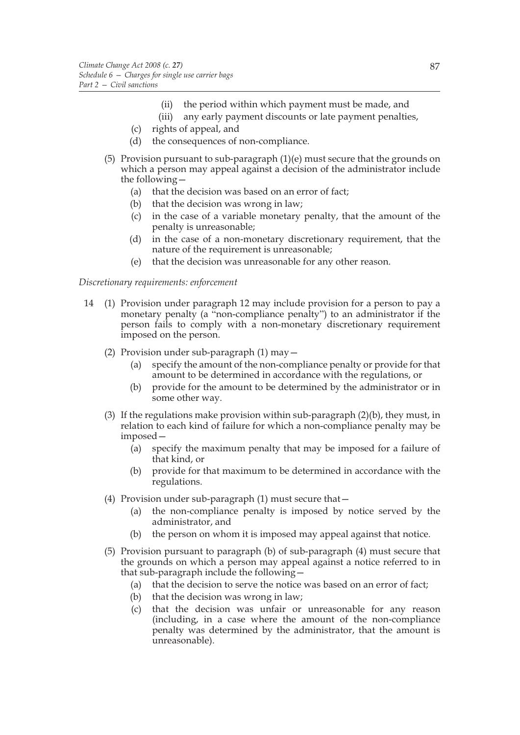- (ii) the period within which payment must be made, and
- (iii) any early payment discounts or late payment penalties,
- (c) rights of appeal, and
- (d) the consequences of non-compliance.
- (5) Provision pursuant to sub-paragraph  $(1)(e)$  must secure that the grounds on which a person may appeal against a decision of the administrator include the following—
	- (a) that the decision was based on an error of fact;
	- (b) that the decision was wrong in law;
	- (c) in the case of a variable monetary penalty, that the amount of the penalty is unreasonable;
	- (d) in the case of a non-monetary discretionary requirement, that the nature of the requirement is unreasonable;
	- (e) that the decision was unreasonable for any other reason.

# *Discretionary requirements: enforcement*

- 14 (1) Provision under paragraph 12 may include provision for a person to pay a monetary penalty (a "non-compliance penalty") to an administrator if the person fails to comply with a non-monetary discretionary requirement imposed on the person.
	- (2) Provision under sub-paragraph (1) may—
		- (a) specify the amount of the non-compliance penalty or provide for that amount to be determined in accordance with the regulations, or
		- (b) provide for the amount to be determined by the administrator or in some other way.
	- (3) If the regulations make provision within sub-paragraph (2)(b), they must, in relation to each kind of failure for which a non-compliance penalty may be imposed—
		- (a) specify the maximum penalty that may be imposed for a failure of that kind, or
		- (b) provide for that maximum to be determined in accordance with the regulations.
	- (4) Provision under sub-paragraph (1) must secure that—
		- (a) the non-compliance penalty is imposed by notice served by the administrator, and
		- (b) the person on whom it is imposed may appeal against that notice.
	- (5) Provision pursuant to paragraph (b) of sub-paragraph (4) must secure that the grounds on which a person may appeal against a notice referred to in that sub-paragraph include the following—
		- (a) that the decision to serve the notice was based on an error of fact;
		- (b) that the decision was wrong in law;
		- (c) that the decision was unfair or unreasonable for any reason (including, in a case where the amount of the non-compliance penalty was determined by the administrator, that the amount is unreasonable).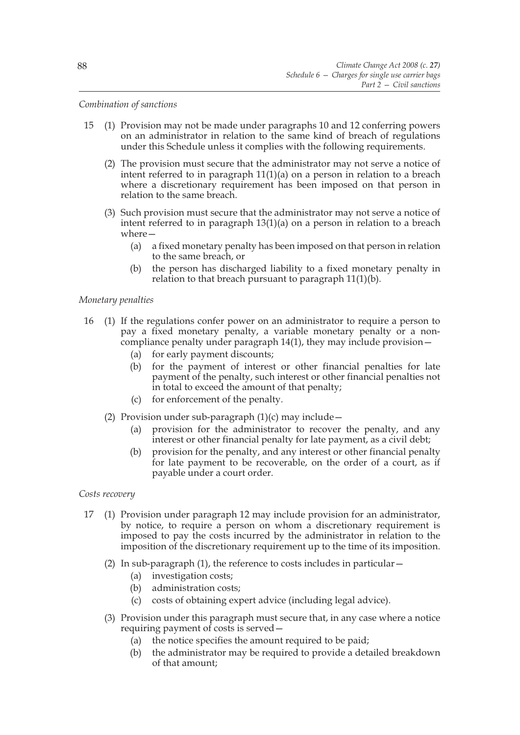## *Combination of sanctions*

- 15 (1) Provision may not be made under paragraphs 10 and 12 conferring powers on an administrator in relation to the same kind of breach of regulations under this Schedule unless it complies with the following requirements.
	- (2) The provision must secure that the administrator may not serve a notice of intent referred to in paragraph 11(1)(a) on a person in relation to a breach where a discretionary requirement has been imposed on that person in relation to the same breach.
	- (3) Such provision must secure that the administrator may not serve a notice of intent referred to in paragraph 13(1)(a) on a person in relation to a breach where—
		- (a) a fixed monetary penalty has been imposed on that person in relation to the same breach, or
		- (b) the person has discharged liability to a fixed monetary penalty in relation to that breach pursuant to paragraph 11(1)(b).

## *Monetary penalties*

- 16 (1) If the regulations confer power on an administrator to require a person to pay a fixed monetary penalty, a variable monetary penalty or a noncompliance penalty under paragraph 14(1), they may include provision—
	- (a) for early payment discounts;
	- (b) for the payment of interest or other financial penalties for late payment of the penalty, such interest or other financial penalties not in total to exceed the amount of that penalty;
	- (c) for enforcement of the penalty.
	- (2) Provision under sub-paragraph  $(1)(c)$  may include
		- (a) provision for the administrator to recover the penalty, and any interest or other financial penalty for late payment, as a civil debt;
		- (b) provision for the penalty, and any interest or other financial penalty for late payment to be recoverable, on the order of a court, as if payable under a court order.

*Costs recovery*

- 17 (1) Provision under paragraph 12 may include provision for an administrator, by notice, to require a person on whom a discretionary requirement is imposed to pay the costs incurred by the administrator in relation to the imposition of the discretionary requirement up to the time of its imposition.
	- (2) In sub-paragraph (1), the reference to costs includes in particular—
		- (a) investigation costs;
		- (b) administration costs;
		- (c) costs of obtaining expert advice (including legal advice).
	- (3) Provision under this paragraph must secure that, in any case where a notice requiring payment of costs is served—
		- (a) the notice specifies the amount required to be paid;
		- (b) the administrator may be required to provide a detailed breakdown of that amount;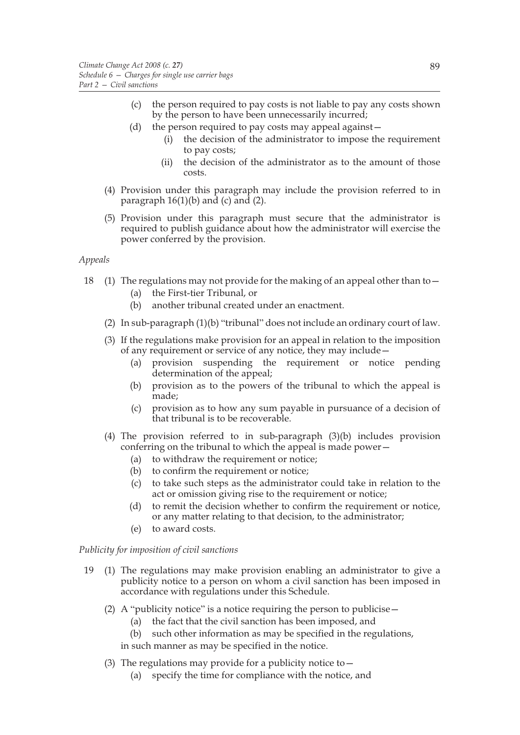- (c) the person required to pay costs is not liable to pay any costs shown by the person to have been unnecessarily incurred;
- (d) the person required to pay costs may appeal against—
	- (i) the decision of the administrator to impose the requirement to pay costs;
	- (ii) the decision of the administrator as to the amount of those costs.
- (4) Provision under this paragraph may include the provision referred to in paragraph  $16(1)(b)$  and (c) and (2).
- (5) Provision under this paragraph must secure that the administrator is required to publish guidance about how the administrator will exercise the power conferred by the provision.

## *Appeals*

- 18 (1) The regulations may not provide for the making of an appeal other than to—
	- (a) the First-tier Tribunal, or
	- (b) another tribunal created under an enactment.
	- (2) In sub-paragraph (1)(b) "tribunal" does not include an ordinary court of law.
	- (3) If the regulations make provision for an appeal in relation to the imposition of any requirement or service of any notice, they may include—
		- (a) provision suspending the requirement or notice pending determination of the appeal;
		- (b) provision as to the powers of the tribunal to which the appeal is made;
		- (c) provision as to how any sum payable in pursuance of a decision of that tribunal is to be recoverable.
	- (4) The provision referred to in sub-paragraph (3)(b) includes provision conferring on the tribunal to which the appeal is made power—
		- (a) to withdraw the requirement or notice;
		- (b) to confirm the requirement or notice;
		- (c) to take such steps as the administrator could take in relation to the act or omission giving rise to the requirement or notice;
		- (d) to remit the decision whether to confirm the requirement or notice, or any matter relating to that decision, to the administrator;
		- (e) to award costs.

## *Publicity for imposition of civil sanctions*

- 19 (1) The regulations may make provision enabling an administrator to give a publicity notice to a person on whom a civil sanction has been imposed in accordance with regulations under this Schedule.
	- (2) A "publicity notice" is a notice requiring the person to publicise  $-$ 
		- (a) the fact that the civil sanction has been imposed, and
		- (b) such other information as may be specified in the regulations,

in such manner as may be specified in the notice.

- (3) The regulations may provide for a publicity notice to  $-$ 
	- (a) specify the time for compliance with the notice, and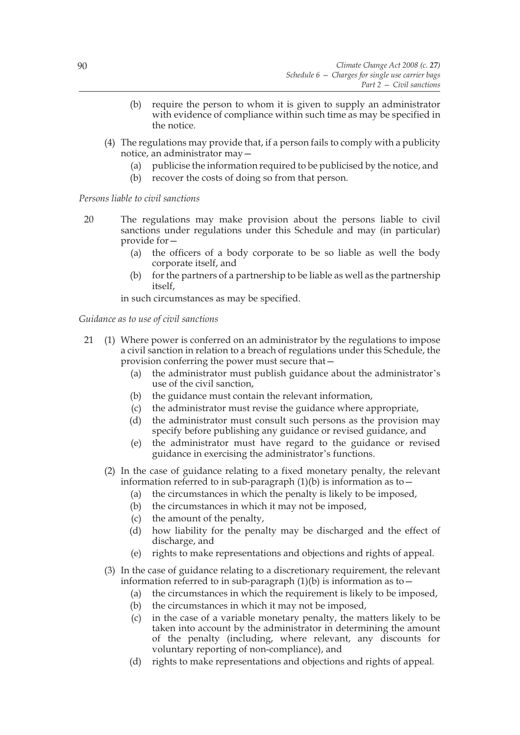- (b) require the person to whom it is given to supply an administrator with evidence of compliance within such time as may be specified in the notice.
- (4) The regulations may provide that, if a person fails to comply with a publicity notice, an administrator may—
	- (a) publicise the information required to be publicised by the notice, and
	- (b) recover the costs of doing so from that person.

# *Persons liable to civil sanctions*

- 20 The regulations may make provision about the persons liable to civil sanctions under regulations under this Schedule and may (in particular) provide for—
	- (a) the officers of a body corporate to be so liable as well the body corporate itself, and
	- (b) for the partners of a partnership to be liable as well as the partnership itself,

in such circumstances as may be specified.

# *Guidance as to use of civil sanctions*

- 21 (1) Where power is conferred on an administrator by the regulations to impose a civil sanction in relation to a breach of regulations under this Schedule, the provision conferring the power must secure that—
	- (a) the administrator must publish guidance about the administrator's use of the civil sanction,
	- (b) the guidance must contain the relevant information,
	- (c) the administrator must revise the guidance where appropriate,
	- (d) the administrator must consult such persons as the provision may specify before publishing any guidance or revised guidance, and
	- (e) the administrator must have regard to the guidance or revised guidance in exercising the administrator's functions.
	- (2) In the case of guidance relating to a fixed monetary penalty, the relevant information referred to in sub-paragraph  $(1)(b)$  is information as to  $-$ 
		- (a) the circumstances in which the penalty is likely to be imposed,
		- (b) the circumstances in which it may not be imposed,
		- (c) the amount of the penalty,
		- (d) how liability for the penalty may be discharged and the effect of discharge, and
		- (e) rights to make representations and objections and rights of appeal.
	- (3) In the case of guidance relating to a discretionary requirement, the relevant information referred to in sub-paragraph  $(1)(b)$  is information as to –
		- (a) the circumstances in which the requirement is likely to be imposed,
		- (b) the circumstances in which it may not be imposed,
		- (c) in the case of a variable monetary penalty, the matters likely to be taken into account by the administrator in determining the amount of the penalty (including, where relevant, any discounts for voluntary reporting of non-compliance), and
		- (d) rights to make representations and objections and rights of appeal.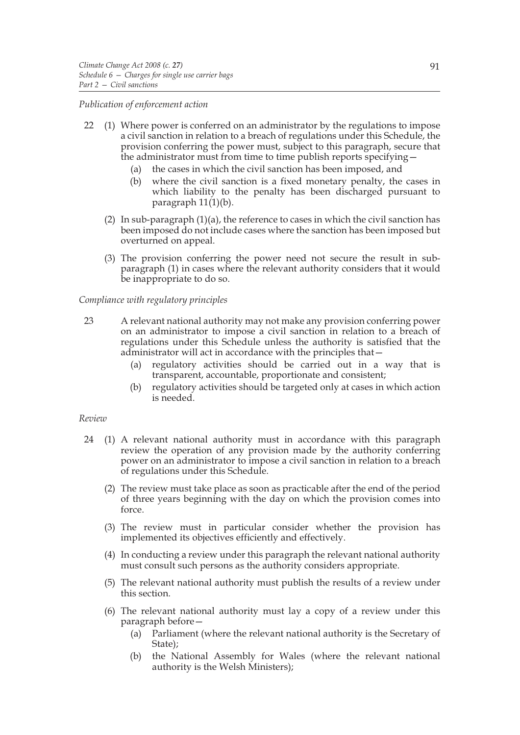## *Publication of enforcement action*

- 22 (1) Where power is conferred on an administrator by the regulations to impose a civil sanction in relation to a breach of regulations under this Schedule, the provision conferring the power must, subject to this paragraph, secure that the administrator must from time to time publish reports specifying—
	- (a) the cases in which the civil sanction has been imposed, and
	- (b) where the civil sanction is a fixed monetary penalty, the cases in which liability to the penalty has been discharged pursuant to paragraph 11(1)(b).
	- (2) In sub-paragraph (1)(a), the reference to cases in which the civil sanction has been imposed do not include cases where the sanction has been imposed but overturned on appeal.
	- (3) The provision conferring the power need not secure the result in subparagraph (1) in cases where the relevant authority considers that it would be inappropriate to do so.

## *Compliance with regulatory principles*

- 23 A relevant national authority may not make any provision conferring power on an administrator to impose a civil sanction in relation to a breach of regulations under this Schedule unless the authority is satisfied that the administrator will act in accordance with the principles that—
	- (a) regulatory activities should be carried out in a way that is transparent, accountable, proportionate and consistent;
	- (b) regulatory activities should be targeted only at cases in which action is needed.

## *Review*

- 24 (1) A relevant national authority must in accordance with this paragraph review the operation of any provision made by the authority conferring power on an administrator to impose a civil sanction in relation to a breach of regulations under this Schedule.
	- (2) The review must take place as soon as practicable after the end of the period of three years beginning with the day on which the provision comes into force.
	- (3) The review must in particular consider whether the provision has implemented its objectives efficiently and effectively.
	- (4) In conducting a review under this paragraph the relevant national authority must consult such persons as the authority considers appropriate.
	- (5) The relevant national authority must publish the results of a review under this section.
	- (6) The relevant national authority must lay a copy of a review under this paragraph before—
		- (a) Parliament (where the relevant national authority is the Secretary of State);
		- (b) the National Assembly for Wales (where the relevant national authority is the Welsh Ministers);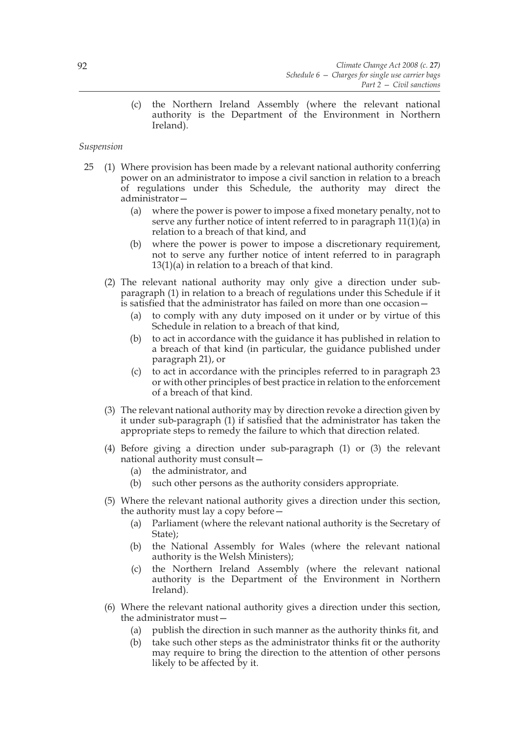(c) the Northern Ireland Assembly (where the relevant national authority is the Department of the Environment in Northern Ireland).

# *Suspension*

- 25 (1) Where provision has been made by a relevant national authority conferring power on an administrator to impose a civil sanction in relation to a breach of regulations under this Schedule, the authority may direct the administrator—
	- (a) where the power is power to impose a fixed monetary penalty, not to serve any further notice of intent referred to in paragraph 11(1)(a) in relation to a breach of that kind, and
	- (b) where the power is power to impose a discretionary requirement, not to serve any further notice of intent referred to in paragraph 13(1)(a) in relation to a breach of that kind.
	- (2) The relevant national authority may only give a direction under subparagraph (1) in relation to a breach of regulations under this Schedule if it is satisfied that the administrator has failed on more than one occasion—
		- (a) to comply with any duty imposed on it under or by virtue of this Schedule in relation to a breach of that kind,
		- (b) to act in accordance with the guidance it has published in relation to a breach of that kind (in particular, the guidance published under paragraph 21), or
		- (c) to act in accordance with the principles referred to in paragraph 23 or with other principles of best practice in relation to the enforcement of a breach of that kind.
	- (3) The relevant national authority may by direction revoke a direction given by it under sub-paragraph (1) if satisfied that the administrator has taken the appropriate steps to remedy the failure to which that direction related.
	- (4) Before giving a direction under sub-paragraph (1) or (3) the relevant national authority must consult—
		- (a) the administrator, and
		- (b) such other persons as the authority considers appropriate.
	- (5) Where the relevant national authority gives a direction under this section, the authority must lay a copy before—
		- (a) Parliament (where the relevant national authority is the Secretary of State);
		- (b) the National Assembly for Wales (where the relevant national authority is the Welsh Ministers);
		- (c) the Northern Ireland Assembly (where the relevant national authority is the Department of the Environment in Northern Ireland).
	- (6) Where the relevant national authority gives a direction under this section, the administrator must—
		- (a) publish the direction in such manner as the authority thinks fit, and
		- (b) take such other steps as the administrator thinks fit or the authority may require to bring the direction to the attention of other persons likely to be affected by it.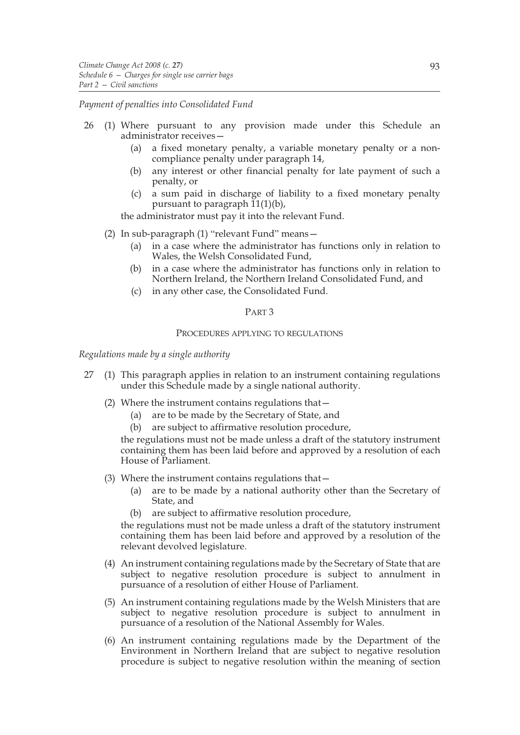#### *Payment of penalties into Consolidated Fund*

- 26 (1) Where pursuant to any provision made under this Schedule an administrator receives—
	- (a) a fixed monetary penalty, a variable monetary penalty or a noncompliance penalty under paragraph 14,
	- (b) any interest or other financial penalty for late payment of such a penalty, or
	- (c) a sum paid in discharge of liability to a fixed monetary penalty pursuant to paragraph  $\tilde{11}(1)(b)$ ,

the administrator must pay it into the relevant Fund.

- (2) In sub-paragraph (1) "relevant Fund" means—
	- (a) in a case where the administrator has functions only in relation to Wales, the Welsh Consolidated Fund,
	- (b) in a case where the administrator has functions only in relation to Northern Ireland, the Northern Ireland Consolidated Fund, and
	- (c) in any other case, the Consolidated Fund.

# PART 3

## PROCEDURES APPLYING TO REGULATIONS

*Regulations made by a single authority*

- 27 (1) This paragraph applies in relation to an instrument containing regulations under this Schedule made by a single national authority.
	- (2) Where the instrument contains regulations that—
		- (a) are to be made by the Secretary of State, and
		- (b) are subject to affirmative resolution procedure,

the regulations must not be made unless a draft of the statutory instrument containing them has been laid before and approved by a resolution of each House of Parliament.

- (3) Where the instrument contains regulations that—
	- (a) are to be made by a national authority other than the Secretary of State, and
	- (b) are subject to affirmative resolution procedure,

the regulations must not be made unless a draft of the statutory instrument containing them has been laid before and approved by a resolution of the relevant devolved legislature.

- (4) An instrument containing regulations made by the Secretary of State that are subject to negative resolution procedure is subject to annulment in pursuance of a resolution of either House of Parliament.
- (5) An instrument containing regulations made by the Welsh Ministers that are subject to negative resolution procedure is subject to annulment in pursuance of a resolution of the National Assembly for Wales.
- (6) An instrument containing regulations made by the Department of the Environment in Northern Ireland that are subject to negative resolution procedure is subject to negative resolution within the meaning of section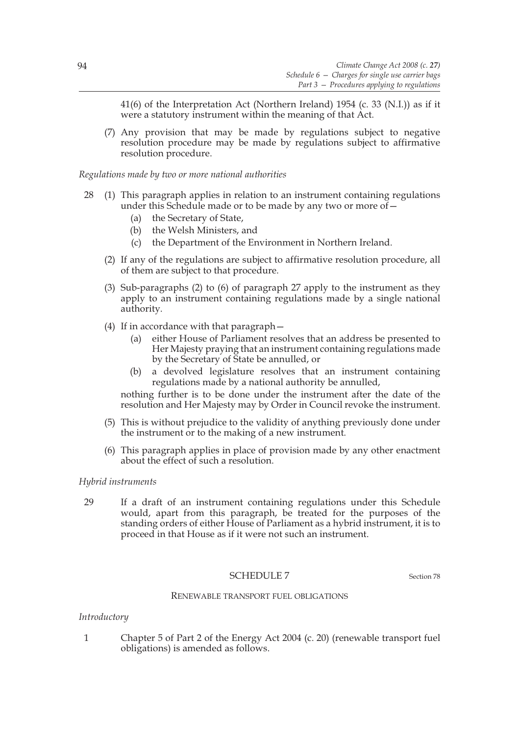41(6) of the Interpretation Act (Northern Ireland) 1954 (c. 33 (N.I.)) as if it were a statutory instrument within the meaning of that Act.

(7) Any provision that may be made by regulations subject to negative resolution procedure may be made by regulations subject to affirmative resolution procedure.

*Regulations made by two or more national authorities*

- 28 (1) This paragraph applies in relation to an instrument containing regulations under this Schedule made or to be made by any two or more of  $-$ 
	- (a) the Secretary of State,
	- (b) the Welsh Ministers, and
	- (c) the Department of the Environment in Northern Ireland.
	- (2) If any of the regulations are subject to affirmative resolution procedure, all of them are subject to that procedure.
	- (3) Sub-paragraphs (2) to (6) of paragraph 27 apply to the instrument as they apply to an instrument containing regulations made by a single national authority.
	- (4) If in accordance with that paragraph—
		- (a) either House of Parliament resolves that an address be presented to Her Majesty praying that an instrument containing regulations made by the Secretary of State be annulled, or
		- (b) a devolved legislature resolves that an instrument containing regulations made by a national authority be annulled,

nothing further is to be done under the instrument after the date of the resolution and Her Majesty may by Order in Council revoke the instrument.

- (5) This is without prejudice to the validity of anything previously done under the instrument or to the making of a new instrument.
- (6) This paragraph applies in place of provision made by any other enactment about the effect of such a resolution.

## *Hybrid instruments*

29 If a draft of an instrument containing regulations under this Schedule would, apart from this paragraph, be treated for the purposes of the standing orders of either House of Parliament as a hybrid instrument, it is to proceed in that House as if it were not such an instrument.

## SCHEDULE 7 Section 78

## RENEWABLE TRANSPORT FUEL OBLIGATIONS

## *Introductory*

1 Chapter 5 of Part 2 of the Energy Act 2004 (c. 20) (renewable transport fuel obligations) is amended as follows.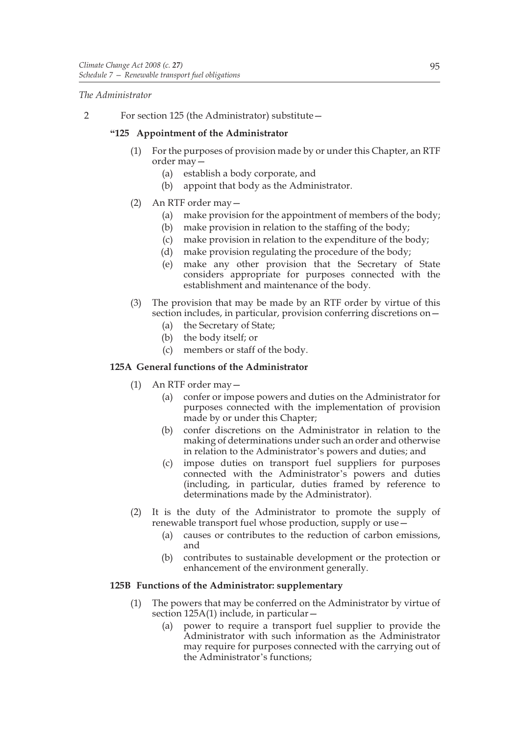*The Administrator*

2 For section 125 (the Administrator) substitute—

# **"125 Appointment of the Administrator**

- (1) For the purposes of provision made by or under this Chapter, an RTF order may—
	- (a) establish a body corporate, and
	- (b) appoint that body as the Administrator.
- (2) An RTF order may—
	- (a) make provision for the appointment of members of the body;
	- (b) make provision in relation to the staffing of the body;
	- (c) make provision in relation to the expenditure of the body;
	- (d) make provision regulating the procedure of the body;
	- (e) make any other provision that the Secretary of State considers appropriate for purposes connected with the establishment and maintenance of the body.
- (3) The provision that may be made by an RTF order by virtue of this section includes, in particular, provision conferring discretions on—
	- (a) the Secretary of State;
	- (b) the body itself; or
	- (c) members or staff of the body.

# **125A General functions of the Administrator**

- (1) An RTF order may—
	- (a) confer or impose powers and duties on the Administrator for purposes connected with the implementation of provision made by or under this Chapter;
	- (b) confer discretions on the Administrator in relation to the making of determinations under such an order and otherwise in relation to the Administrator's powers and duties; and
	- (c) impose duties on transport fuel suppliers for purposes connected with the Administrator's powers and duties (including, in particular, duties framed by reference to determinations made by the Administrator).
- (2) It is the duty of the Administrator to promote the supply of renewable transport fuel whose production, supply or use—
	- (a) causes or contributes to the reduction of carbon emissions, and
	- (b) contributes to sustainable development or the protection or enhancement of the environment generally.

# **125B Functions of the Administrator: supplementary**

- (1) The powers that may be conferred on the Administrator by virtue of section 125A(1) include, in particular—
	- (a) power to require a transport fuel supplier to provide the Administrator with such information as the Administrator may require for purposes connected with the carrying out of the Administrator's functions;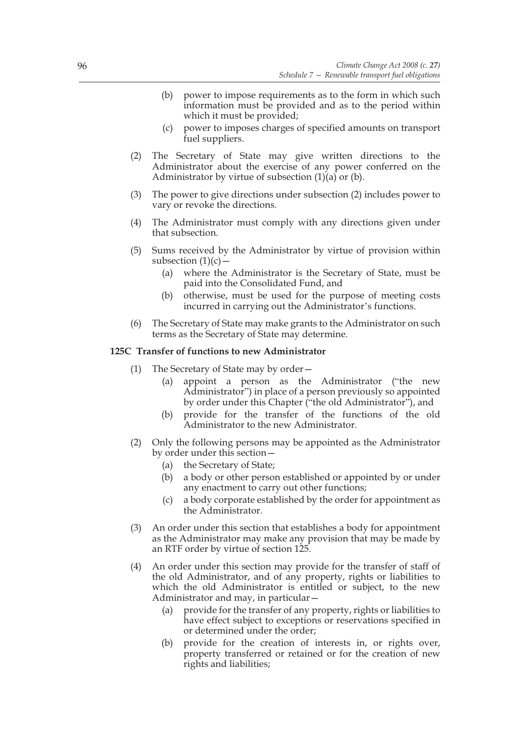- (b) power to impose requirements as to the form in which such information must be provided and as to the period within which it must be provided;
- (c) power to imposes charges of specified amounts on transport fuel suppliers.
- (2) The Secretary of State may give written directions to the Administrator about the exercise of any power conferred on the Administrator by virtue of subsection  $(1)(a)$  or  $(b)$ .
- (3) The power to give directions under subsection (2) includes power to vary or revoke the directions.
- (4) The Administrator must comply with any directions given under that subsection.
- (5) Sums received by the Administrator by virtue of provision within subsection  $(1)(c)$  –
	- (a) where the Administrator is the Secretary of State, must be paid into the Consolidated Fund, and
	- (b) otherwise, must be used for the purpose of meeting costs incurred in carrying out the Administrator's functions.
- (6) The Secretary of State may make grants to the Administrator on such terms as the Secretary of State may determine.

## **125C Transfer of functions to new Administrator**

- (1) The Secretary of State may by order—
	- (a) appoint a person as the Administrator ("the new Administrator") in place of a person previously so appointed by order under this Chapter ("the old Administrator"), and
	- (b) provide for the transfer of the functions of the old Administrator to the new Administrator.
- (2) Only the following persons may be appointed as the Administrator by order under this section—
	- (a) the Secretary of State;
	- (b) a body or other person established or appointed by or under any enactment to carry out other functions;
	- (c) a body corporate established by the order for appointment as the Administrator.
- (3) An order under this section that establishes a body for appointment as the Administrator may make any provision that may be made by an RTF order by virtue of section 125.
- (4) An order under this section may provide for the transfer of staff of the old Administrator, and of any property, rights or liabilities to which the old Administrator is entitled or subject, to the new Administrator and may, in particular—
	- (a) provide for the transfer of any property, rights or liabilities to have effect subject to exceptions or reservations specified in or determined under the order;
	- (b) provide for the creation of interests in, or rights over, property transferred or retained or for the creation of new rights and liabilities;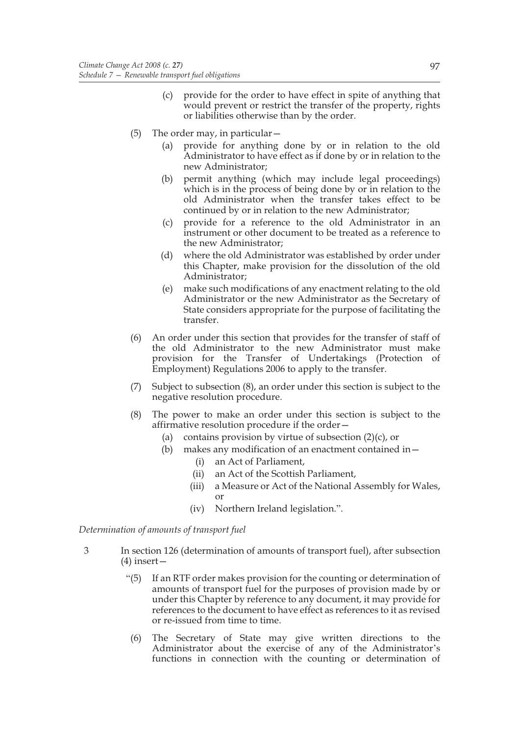- (c) provide for the order to have effect in spite of anything that would prevent or restrict the transfer of the property, rights or liabilities otherwise than by the order.
- (5) The order may, in particular—
	- (a) provide for anything done by or in relation to the old Administrator to have effect as if done by or in relation to the new Administrator;
	- (b) permit anything (which may include legal proceedings) which is in the process of being done by or in relation to the old Administrator when the transfer takes effect to be continued by or in relation to the new Administrator;
	- (c) provide for a reference to the old Administrator in an instrument or other document to be treated as a reference to the new Administrator;
	- (d) where the old Administrator was established by order under this Chapter, make provision for the dissolution of the old Administrator;
	- (e) make such modifications of any enactment relating to the old Administrator or the new Administrator as the Secretary of State considers appropriate for the purpose of facilitating the transfer.
- (6) An order under this section that provides for the transfer of staff of the old Administrator to the new Administrator must make provision for the Transfer of Undertakings (Protection of Employment) Regulations 2006 to apply to the transfer.
- (7) Subject to subsection (8), an order under this section is subject to the negative resolution procedure.
- (8) The power to make an order under this section is subject to the affirmative resolution procedure if the order—
	- (a) contains provision by virtue of subsection  $(2)(c)$ , or
	- (b) makes any modification of an enactment contained in—
		- (i) an Act of Parliament,
		- (ii) an Act of the Scottish Parliament,
		- (iii) a Measure or Act of the National Assembly for Wales, or
		- (iv) Northern Ireland legislation.".

*Determination of amounts of transport fuel*

- 3 In section 126 (determination of amounts of transport fuel), after subsection  $(4)$  insert –
	- "(5) If an RTF order makes provision for the counting or determination of amounts of transport fuel for the purposes of provision made by or under this Chapter by reference to any document, it may provide for references to the document to have effect as references to it as revised or re-issued from time to time.
	- (6) The Secretary of State may give written directions to the Administrator about the exercise of any of the Administrator's functions in connection with the counting or determination of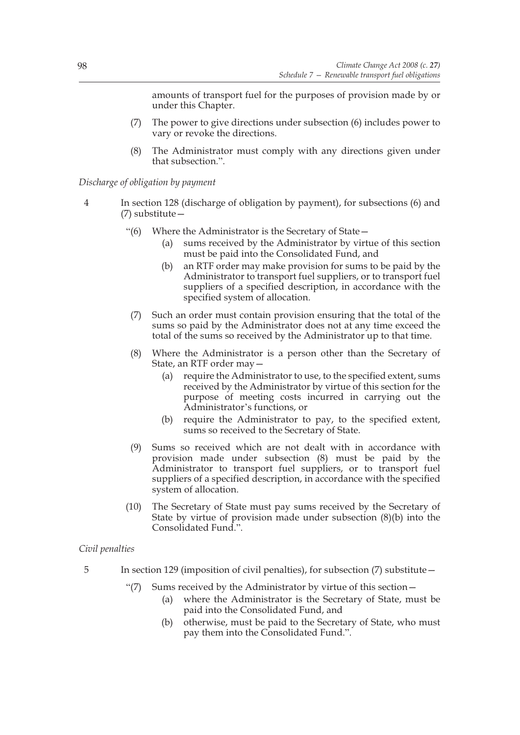amounts of transport fuel for the purposes of provision made by or under this Chapter.

- (7) The power to give directions under subsection (6) includes power to vary or revoke the directions.
- (8) The Administrator must comply with any directions given under that subsection.".

*Discharge of obligation by payment*

- 4 In section 128 (discharge of obligation by payment), for subsections (6) and (7) substitute—
	- "(6) Where the Administrator is the Secretary of State—
		- (a) sums received by the Administrator by virtue of this section must be paid into the Consolidated Fund, and
		- (b) an RTF order may make provision for sums to be paid by the Administrator to transport fuel suppliers, or to transport fuel suppliers of a specified description, in accordance with the specified system of allocation.
	- (7) Such an order must contain provision ensuring that the total of the sums so paid by the Administrator does not at any time exceed the total of the sums so received by the Administrator up to that time.
	- (8) Where the Administrator is a person other than the Secretary of State, an RTF order may—
		- (a) require the Administrator to use, to the specified extent, sums received by the Administrator by virtue of this section for the purpose of meeting costs incurred in carrying out the Administrator's functions, or
		- (b) require the Administrator to pay, to the specified extent, sums so received to the Secretary of State.
	- (9) Sums so received which are not dealt with in accordance with provision made under subsection (8) must be paid by the Administrator to transport fuel suppliers, or to transport fuel suppliers of a specified description, in accordance with the specified system of allocation.
	- (10) The Secretary of State must pay sums received by the Secretary of State by virtue of provision made under subsection (8)(b) into the Consolidated Fund.".

# *Civil penalties*

- 5 In section 129 (imposition of civil penalties), for subsection (7) substitute—
	- "(7) Sums received by the Administrator by virtue of this section—
		- (a) where the Administrator is the Secretary of State, must be paid into the Consolidated Fund, and
		- (b) otherwise, must be paid to the Secretary of State, who must pay them into the Consolidated Fund.".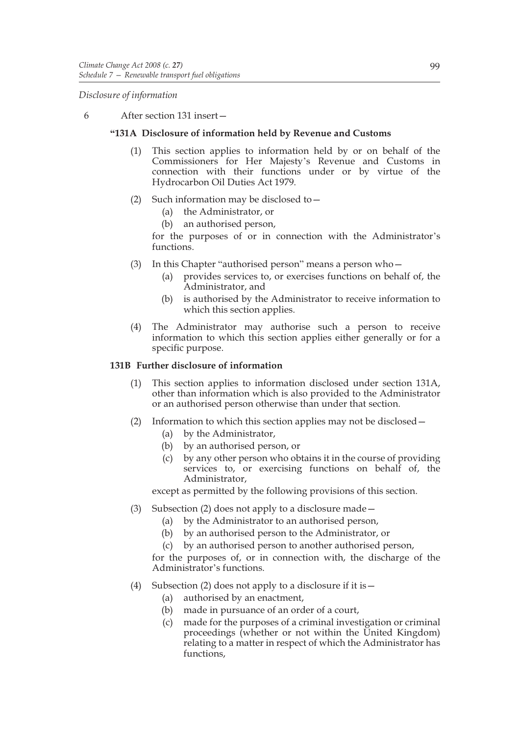*Disclosure of information*

6 After section 131 insert—

# **"131A Disclosure of information held by Revenue and Customs**

- (1) This section applies to information held by or on behalf of the Commissioners for Her Majesty's Revenue and Customs in connection with their functions under or by virtue of the Hydrocarbon Oil Duties Act 1979.
- (2) Such information may be disclosed to—
	- (a) the Administrator, or
	- (b) an authorised person,

for the purposes of or in connection with the Administrator's functions.

- (3) In this Chapter "authorised person" means a person who—
	- (a) provides services to, or exercises functions on behalf of, the Administrator, and
	- (b) is authorised by the Administrator to receive information to which this section applies.
- (4) The Administrator may authorise such a person to receive information to which this section applies either generally or for a specific purpose.

# **131B Further disclosure of information**

- (1) This section applies to information disclosed under section 131A, other than information which is also provided to the Administrator or an authorised person otherwise than under that section.
- (2) Information to which this section applies may not be disclosed—
	- (a) by the Administrator,
	- (b) by an authorised person, or
	- (c) by any other person who obtains it in the course of providing services to, or exercising functions on behalf of, the Administrator,

except as permitted by the following provisions of this section.

- (3) Subsection (2) does not apply to a disclosure made—
	- (a) by the Administrator to an authorised person,
	- (b) by an authorised person to the Administrator, or
	- (c) by an authorised person to another authorised person,

for the purposes of, or in connection with, the discharge of the Administrator's functions.

- (4) Subsection (2) does not apply to a disclosure if it is  $-$ 
	- (a) authorised by an enactment,
	- (b) made in pursuance of an order of a court,
	- (c) made for the purposes of a criminal investigation or criminal proceedings (whether or not within the United Kingdom) relating to a matter in respect of which the Administrator has functions,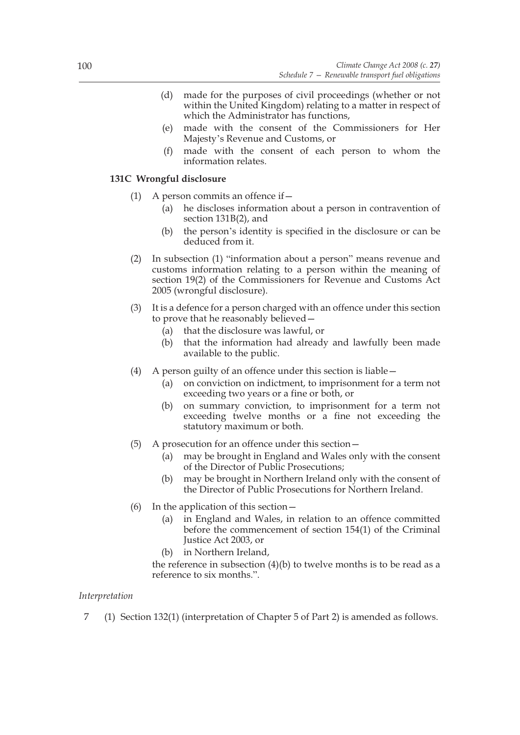- (d) made for the purposes of civil proceedings (whether or not within the United Kingdom) relating to a matter in respect of which the Administrator has functions,
- (e) made with the consent of the Commissioners for Her Majesty's Revenue and Customs, or
- (f) made with the consent of each person to whom the information relates.

# **131C Wrongful disclosure**

- (1) A person commits an offence if—
	- (a) he discloses information about a person in contravention of section 131B(2), and
	- (b) the person's identity is specified in the disclosure or can be deduced from it.
- (2) In subsection (1) "information about a person" means revenue and customs information relating to a person within the meaning of section 19(2) of the Commissioners for Revenue and Customs Act 2005 (wrongful disclosure).
- (3) It is a defence for a person charged with an offence under this section to prove that he reasonably believed—
	- (a) that the disclosure was lawful, or
	- (b) that the information had already and lawfully been made available to the public.
- (4) A person guilty of an offence under this section is liable—
	- (a) on conviction on indictment, to imprisonment for a term not exceeding two years or a fine or both, or
	- (b) on summary conviction, to imprisonment for a term not exceeding twelve months or a fine not exceeding the statutory maximum or both.
- (5) A prosecution for an offence under this section—
	- (a) may be brought in England and Wales only with the consent of the Director of Public Prosecutions;
	- (b) may be brought in Northern Ireland only with the consent of the Director of Public Prosecutions for Northern Ireland.
- (6) In the application of this section—
	- (a) in England and Wales, in relation to an offence committed before the commencement of section 154(1) of the Criminal Justice Act 2003, or
	- (b) in Northern Ireland,
	- the reference in subsection  $(4)(b)$  to twelve months is to be read as a reference to six months.".

# *Interpretation*

7 (1) Section 132(1) (interpretation of Chapter 5 of Part 2) is amended as follows.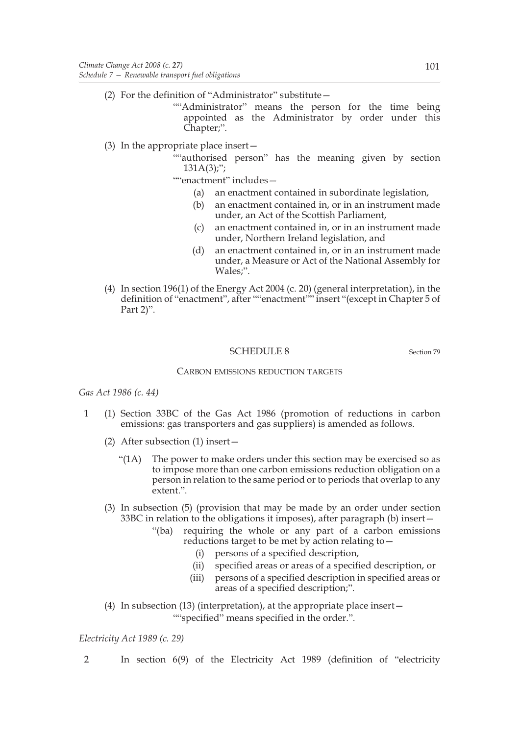(2) For the definition of "Administrator" substitute—

""Administrator" means the person for the time being appointed as the Administrator by order under this Chapter;".

- (3) In the appropriate place insert—
	- ""authorised person" has the meaning given by section  $131A(3)$ ;";

""enactment" includes—

- (a) an enactment contained in subordinate legislation,
- (b) an enactment contained in, or in an instrument made under, an Act of the Scottish Parliament,
- (c) an enactment contained in, or in an instrument made under, Northern Ireland legislation, and
- (d) an enactment contained in, or in an instrument made under, a Measure or Act of the National Assembly for Wales;".
- (4) In section 196(1) of the Energy Act 2004 (c. 20) (general interpretation), in the definition of "enactment", after ""enactment"" insert "(except in Chapter 5 of Part 2)".

# SCHEDULE 8 Section 79

## CARBON EMISSIONS REDUCTION TARGETS

## *Gas Act 1986 (c. 44)*

- 1 (1) Section 33BC of the Gas Act 1986 (promotion of reductions in carbon emissions: gas transporters and gas suppliers) is amended as follows.
	- (2) After subsection (1) insert—
		- "(1A) The power to make orders under this section may be exercised so as to impose more than one carbon emissions reduction obligation on a person in relation to the same period or to periods that overlap to any extent.".
	- (3) In subsection (5) (provision that may be made by an order under section 33BC in relation to the obligations it imposes), after paragraph (b) insert—
		- "(ba) requiring the whole or any part of a carbon emissions reductions target to be met by action relating to—
			- (i) persons of a specified description,
			- (ii) specified areas or areas of a specified description, or
			- (iii) persons of a specified description in specified areas or areas of a specified description;".
	- (4) In subsection (13) (interpretation), at the appropriate place insert— ""specified" means specified in the order.".

## *Electricity Act 1989 (c. 29)*

2 In section 6(9) of the Electricity Act 1989 (definition of "electricity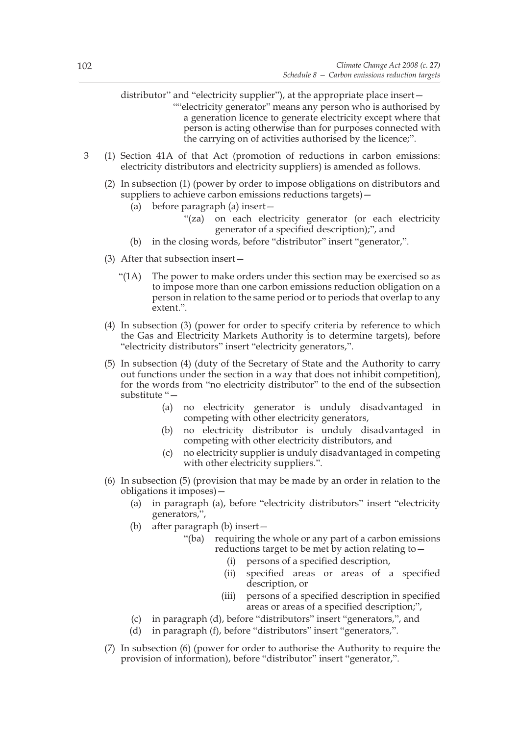distributor" and "electricity supplier"), at the appropriate place insert— ""electricity generator" means any person who is authorised by a generation licence to generate electricity except where that person is acting otherwise than for purposes connected with the carrying on of activities authorised by the licence;".

- 3 (1) Section 41A of that Act (promotion of reductions in carbon emissions: electricity distributors and electricity suppliers) is amended as follows.
	- (2) In subsection (1) (power by order to impose obligations on distributors and suppliers to achieve carbon emissions reductions targets)—
		- (a) before paragraph (a) insert—
			- "(za) on each electricity generator (or each electricity generator of a specified description);", and
		- (b) in the closing words, before "distributor" insert "generator,".
	- (3) After that subsection insert—
		- "(1A) The power to make orders under this section may be exercised so as to impose more than one carbon emissions reduction obligation on a person in relation to the same period or to periods that overlap to any extent.".
	- (4) In subsection (3) (power for order to specify criteria by reference to which the Gas and Electricity Markets Authority is to determine targets), before "electricity distributors" insert "electricity generators,".
	- (5) In subsection (4) (duty of the Secretary of State and the Authority to carry out functions under the section in a way that does not inhibit competition), for the words from "no electricity distributor" to the end of the subsection substitute "—
		- (a) no electricity generator is unduly disadvantaged in competing with other electricity generators,
		- (b) no electricity distributor is unduly disadvantaged in competing with other electricity distributors, and
		- (c) no electricity supplier is unduly disadvantaged in competing with other electricity suppliers.".
	- (6) In subsection (5) (provision that may be made by an order in relation to the obligations it imposes)—
		- (a) in paragraph (a), before "electricity distributors" insert "electricity generators,",
		- (b) after paragraph (b) insert—
			- "(ba) requiring the whole or any part of a carbon emissions reductions target to be met by action relating to—
				- (i) persons of a specified description,
				- (ii) specified areas or areas of a specified description, or
				- (iii) persons of a specified description in specified areas or areas of a specified description;",
		- (c) in paragraph (d), before "distributors" insert "generators,", and
		- (d) in paragraph (f), before "distributors" insert "generators,".
	- (7) In subsection (6) (power for order to authorise the Authority to require the provision of information), before "distributor" insert "generator,".